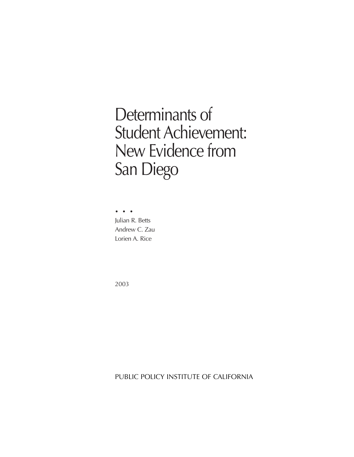# Determinants of Student Achievement: New Evidence from San Diego

••• Julian R. Betts Andrew C. Zau Lorien A. Rice

2003

PUBLIC POLICY INSTITUTE OF CALIFORNIA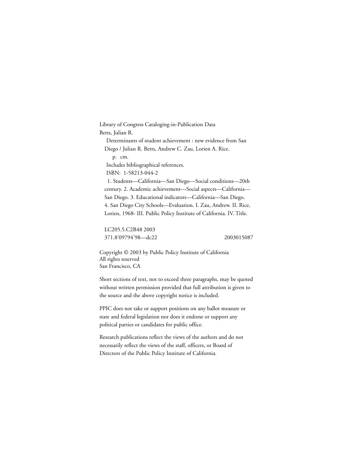Library of Congress Cataloging-in-Publication Data Betts, Julian R. Determinants of student achievement : new evidence from San Diego / Julian R. Betts, Andrew C. Zau, Lorien A. Rice. p. cm. Includes bibliographical references. ISBN: 1-58213-044-2 1. Students—California—San Diego—Social conditions—20th century. 2. Academic achievement—Social aspects—California— San Diego. 3. Educational indicators—California—San Diego. 4. San Diego City Schools—Evaluation. I. Zau, Andrew. II. Rice, Lorien, 1968- III. Public Policy Institute of California. IV. Title.

LC205.5.C2B48 2003 371.8'09794'98—dc22 2003015087

Copyright © 2003 by Public Policy Institute of California All rights reserved San Francisco, CA

Short sections of text, not to exceed three paragraphs, may be quoted without written permission provided that full attribution is given to the source and the above copyright notice is included.

PPIC does not take or support positions on any ballot measure or state and federal legislation nor does it endorse or support any political parties or candidates for public office.

Research publications reflect the views of the authors and do not necessarily reflect the views of the staff, officers, or Board of Directors of the Public Policy Institute of California.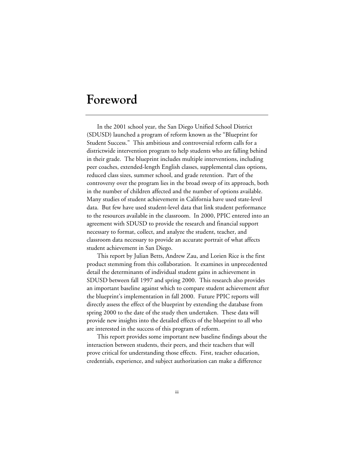## **Foreword**

In the 2001 school year, the San Diego Unified School District (SDUSD) launched a program of reform known as the "Blueprint for Student Success." This ambitious and controversial reform calls for a districtwide intervention program to help students who are falling behind in their grade. The blueprint includes multiple interventions, including peer coaches, extended-length English classes, supplemental class options, reduced class sizes, summer school, and grade retention. Part of the controversy over the program lies in the broad sweep of its approach, both in the number of children affected and the number of options available. Many studies of student achievement in California have used state-level data. But few have used student-level data that link student performance to the resources available in the classroom. In 2000, PPIC entered into an agreement with SDUSD to provide the research and financial support necessary to format, collect, and analyze the student, teacher, and classroom data necessary to provide an accurate portrait of what affects student achievement in San Diego.

This report by Julian Betts, Andrew Zau, and Lorien Rice is the first product stemming from this collaboration. It examines in unprecedented detail the determinants of individual student gains in achievement in SDUSD between fall 1997 and spring 2000. This research also provides an important baseline against which to compare student achievement after the blueprint's implementation in fall 2000. Future PPIC reports will directly assess the effect of the blueprint by extending the database from spring 2000 to the date of the study then undertaken. These data will provide new insights into the detailed effects of the blueprint to all who are interested in the success of this program of reform.

This report provides some important new baseline findings about the interaction between students, their peers, and their teachers that will prove critical for understanding those effects. First, teacher education, credentials, experience, and subject authorization can make a difference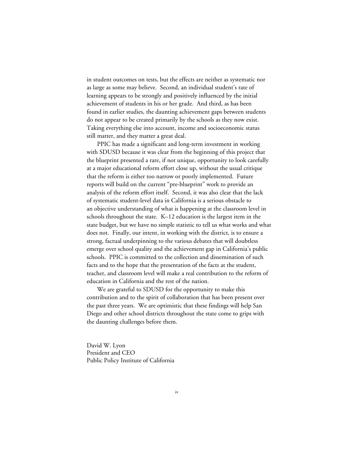in student outcomes on tests, but the effects are neither as systematic nor as large as some may believe. Second, an individual student's rate of learning appears to be strongly and positively influenced by the initial achievement of students in his or her grade. And third, as has been found in earlier studies, the daunting achievement gaps between students do not appear to be created primarily by the schools as they now exist. Taking everything else into account, income and socioeconomic status still matter, and they matter a great deal.

PPIC has made a significant and long-term investment in working with SDUSD because it was clear from the beginning of this project that the blueprint presented a rare, if not unique, opportunity to look carefully at a major educational reform effort close up, without the usual critique that the reform is either too narrow or poorly implemented. Future reports will build on the current "pre-blueprint" work to provide an analysis of the reform effort itself. Second, it was also clear that the lack of systematic student-level data in California is a serious obstacle to an objective understanding of what is happening at the classroom level in schools throughout the state. K–12 education is the largest item in the state budget, but we have no simple statistic to tell us what works and what does not. Finally, our intent, in working with the district, is to ensure a strong, factual underpinning to the various debates that will doubtless emerge over school quality and the achievement gap in California's public schools. PPIC is committed to the collection and dissemination of such facts and to the hope that the presentation of the facts at the student, teacher, and classroom level will make a real contribution to the reform of education in California and the rest of the nation.

We are grateful to SDUSD for the opportunity to make this contribution and to the spirit of collaboration that has been present over the past three years. We are optimistic that these findings will help San Diego and other school districts throughout the state come to grips with the daunting challenges before them.

David W. Lyon President and CEO Public Policy Institute of California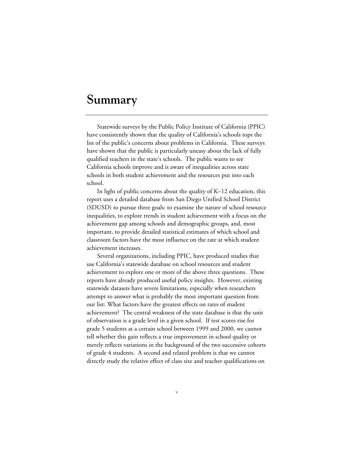### **Summary**

Statewide surveys by the Public Policy Institute of California (PPIC) have consistently shown that the quality of California's schools tops the list of the public's concerns about problems in California. These surveys have shown that the public is particularly uneasy about the lack of fully qualified teachers in the state's schools. The public wants to see California schools improve and is aware of inequalities across state schools in both student achievement and the resources put into each school.

In light of public concerns about the quality of K–12 education, this report uses a detailed database from San Diego Unified School District (SDUSD) to pursue three goals: to examine the nature of school resource inequalities, to explore trends in student achievement with a focus on the achievement gap among schools and demographic groups, and, most important, to provide detailed statistical estimates of which school and classroom factors have the most influence on the rate at which student achievement increases.

Several organizations, including PPIC, have produced studies that use California's statewide database on school resources and student achievement to explore one or more of the above three questions. These reports have already produced useful policy insights. However, existing statewide datasets have severe limitations, especially when researchers attempt to answer what is probably the most important question from our list: What factors have the greatest effects on rates of student achievement? The central weakness of the state database is that the unit of observation is a grade level in a given school. If test scores rise for grade 5 students at a certain school between 1999 and 2000, we cannot tell whether this gain reflects a true improvement in school quality or merely reflects variations in the background of the two successive cohorts of grade 4 students. A second and related problem is that we cannot directly study the relative effect of class size and teacher qualifications on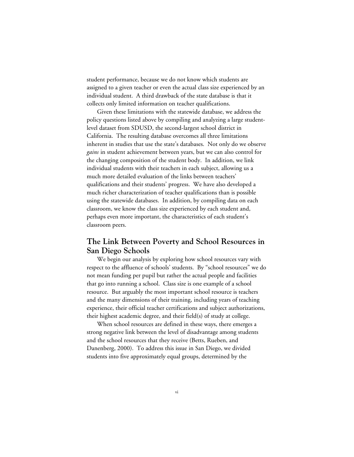student performance, because we do not know which students are assigned to a given teacher or even the actual class size experienced by an individual student. A third drawback of the state database is that it collects only limited information on teacher qualifications.

Given these limitations with the statewide database, we address the policy questions listed above by compiling and analyzing a large studentlevel dataset from SDUSD, the second-largest school district in California. The resulting database overcomes all three limitations inherent in studies that use the state's databases. Not only do we observe *gains* in student achievement between years, but we can also control for the changing composition of the student body. In addition, we link individual students with their teachers in each subject, allowing us a much more detailed evaluation of the links between teachers' qualifications and their students' progress. We have also developed a much richer characterization of teacher qualifications than is possible using the statewide databases. In addition, by compiling data on each classroom, we know the class size experienced by each student and, perhaps even more important, the characteristics of each student's classroom peers.

#### **The Link Between Poverty and School Resources in San Diego Schools**

We begin our analysis by exploring how school resources vary with respect to the affluence of schools' students. By "school resources" we do not mean funding per pupil but rather the actual people and facilities that go into running a school. Class size is one example of a school resource. But arguably the most important school resource is teachers and the many dimensions of their training, including years of teaching experience, their official teacher certifications and subject authorizations, their highest academic degree, and their field(s) of study at college.

When school resources are defined in these ways, there emerges a strong negative link between the level of disadvantage among students and the school resources that they receive (Betts, Rueben, and Danenberg, 2000). To address this issue in San Diego, we divided students into five approximately equal groups, determined by the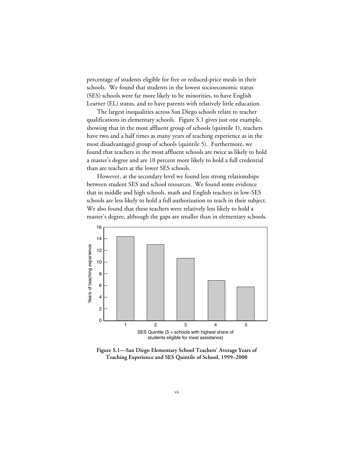percentage of students eligible for free or reduced-price meals in their schools. We found that students in the lowest socioeconomic status (SES) schools were far more likely to be minorities, to have English Learner (EL) status, and to have parents with relatively little education.

The largest inequalities across San Diego schools relate to teacher qualifications in elementary schools. Figure S.1 gives just one example, showing that in the most affluent group of schools (quintile 1), teachers have two and a half times as many years of teaching experience as in the most disadvantaged group of schools (quintile 5). Furthermore, we found that teachers in the most affluent schools are twice as likely to hold a master's degree and are 10 percent more likely to hold a full credential than are teachers at the lower SES schools.

However, at the secondary level we found less strong relationships between student SES and school resources. We found some evidence that in middle and high schools, math and English teachers in low-SES schools are less likely to hold a full authorization to teach in their subject. We also found that these teachers were relatively less likely to hold a master's degree, although the gaps are smaller than in elementary schools.



**Figure S.1—San Diego Elementary School Teachers' Average Years of Teaching Experience and SES Quintile of School, 1999–2000**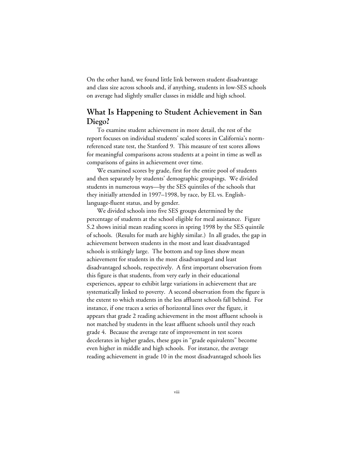On the other hand, we found little link between student disadvantage and class size across schools and, if anything, students in low-SES schools on average had slightly smaller classes in middle and high school.

#### **What Is Happening to Student Achievement in San Diego?**

To examine student achievement in more detail, the rest of the report focuses on individual students' scaled scores in California's normreferenced state test, the Stanford 9. This measure of test scores allows for meaningful comparisons across students at a point in time as well as comparisons of gains in achievement over time.

We examined scores by grade, first for the entire pool of students and then separately by students' demographic groupings. We divided students in numerous ways—by the SES quintiles of the schools that they initially attended in 1997–1998, by race, by EL vs. Englishlanguage-fluent status, and by gender.

We divided schools into five SES groups determined by the percentage of students at the school eligible for meal assistance. Figure S.2 shows initial mean reading scores in spring 1998 by the SES quintile of schools. (Results for math are highly similar.) In all grades, the gap in achievement between students in the most and least disadvantaged schools is strikingly large. The bottom and top lines show mean achievement for students in the most disadvantaged and least disadvantaged schools, respectively. A first important observation from this figure is that students, from very early in their educational experiences, appear to exhibit large variations in achievement that are systematically linked to poverty. A second observation from the figure is the extent to which students in the less affluent schools fall behind. For instance, if one traces a series of horizontal lines over the figure, it appears that grade 2 reading achievement in the most affluent schools is not matched by students in the least affluent schools until they reach grade 4. Because the average rate of improvement in test scores decelerates in higher grades, these gaps in "grade equivalents" become even higher in middle and high schools. For instance, the average reading achievement in grade 10 in the most disadvantaged schools lies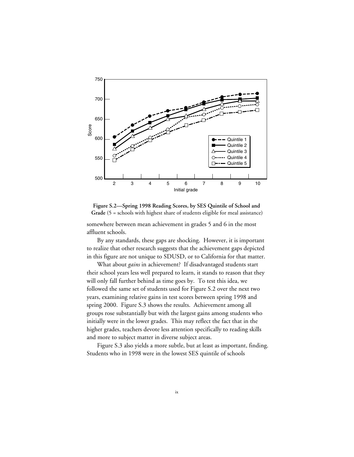

**Figure S.2—Spring 1998 Reading Scores, by SES Quintile of School and Grade** (5 = schools with highest share of students eligible for meal assistance)

somewhere between mean achievement in grades 5 and 6 in the most affluent schools.

By any standards, these gaps are shocking. However, it is important to realize that other research suggests that the achievement gaps depicted in this figure are not unique to SDUSD, or to California for that matter.

What about *gains* in achievement? If disadvantaged students start their school years less well prepared to learn, it stands to reason that they will only fall further behind as time goes by. To test this idea, we followed the same set of students used for Figure S.2 over the next two years, examining relative gains in test scores between spring 1998 and spring 2000. Figure S.3 shows the results. Achievement among all groups rose substantially but with the largest gains among students who initially were in the lower grades. This may reflect the fact that in the higher grades, teachers devote less attention specifically to reading skills and more to subject matter in diverse subject areas.

Figure S.3 also yields a more subtle, but at least as important, finding. Students who in 1998 were in the lowest SES quintile of schools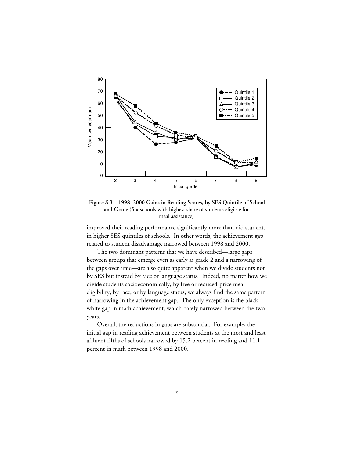

**Figure S.3—1998–2000 Gains in Reading Scores, by SES Quintile of School and Grade** (5 = schools with highest share of students eligible for meal assistance)

improved their reading performance significantly more than did students in higher SES quintiles of schools. In other words, the achievement gap related to student disadvantage narrowed between 1998 and 2000.

The two dominant patterns that we have described—large gaps between groups that emerge even as early as grade 2 and a narrowing of the gaps over time—are also quite apparent when we divide students not by SES but instead by race or language status. Indeed, no matter how we divide students socioeconomically, by free or reduced-price meal eligibility, by race, or by language status, we always find the same pattern of narrowing in the achievement gap. The only exception is the blackwhite gap in math achievement, which barely narrowed between the two years.

Overall, the reductions in gaps are substantial. For example, the initial gap in reading achievement between students at the most and least affluent fifths of schools narrowed by 15.2 percent in reading and 11.1 percent in math between 1998 and 2000.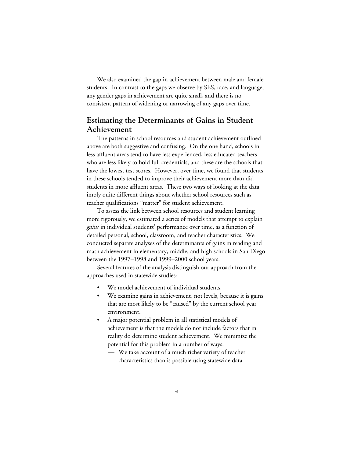We also examined the gap in achievement between male and female students. In contrast to the gaps we observe by SES, race, and language, any gender gaps in achievement are quite small, and there is no consistent pattern of widening or narrowing of any gaps over time.

#### **Estimating the Determinants of Gains in Student Achievement**

The patterns in school resources and student achievement outlined above are both suggestive and confusing. On the one hand, schools in less affluent areas tend to have less experienced, less educated teachers who are less likely to hold full credentials, and these are the schools that have the lowest test scores. However, over time, we found that students in these schools tended to improve their achievement more than did students in more affluent areas. These two ways of looking at the data imply quite different things about whether school resources such as teacher qualifications "matter" for student achievement.

To assess the link between school resources and student learning more rigorously, we estimated a series of models that attempt to explain *gains* in individual students' performance over time, as a function of detailed personal, school, classroom, and teacher characteristics. We conducted separate analyses of the determinants of gains in reading and math achievement in elementary, middle, and high schools in San Diego between the 1997–1998 and 1999–2000 school years.

Several features of the analysis distinguish our approach from the approaches used in statewide studies:

- We model achievement of individual students.
- We examine gains in achievement, not levels, because it is gains that are most likely to be "caused" by the current school year environment.
- A major potential problem in all statistical models of achievement is that the models do not include factors that in reality do determine student achievement. We minimize the potential for this problem in a number of ways:
	- We take account of a much richer variety of teacher characteristics than is possible using statewide data.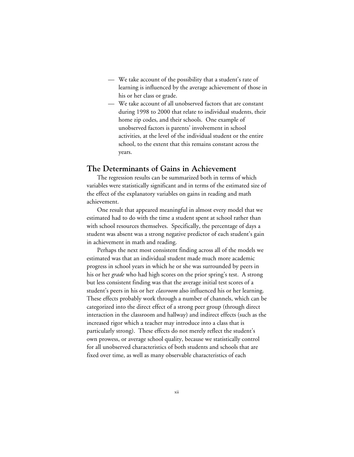- We take account of the possibility that a student's rate of learning is influenced by the average achievement of those in his or her class or grade.
- We take account of all unobserved factors that are constant during 1998 to 2000 that relate to individual students, their home zip codes, and their schools. One example of unobserved factors is parents' involvement in school activities, at the level of the individual student or the entire school, to the extent that this remains constant across the years.

#### **The Determinants of Gains in Achievement**

The regression results can be summarized both in terms of which variables were statistically significant and in terms of the estimated size of the effect of the explanatory variables on gains in reading and math achievement.

One result that appeared meaningful in almost every model that we estimated had to do with the time a student spent at school rather than with school resources themselves. Specifically, the percentage of days a student was absent was a strong negative predictor of each student's gain in achievement in math and reading.

Perhaps the next most consistent finding across all of the models we estimated was that an individual student made much more academic progress in school years in which he or she was surrounded by peers in his or her *grade* who had high scores on the prior spring's test. A strong but less consistent finding was that the average initial test scores of a student's peers in his or her *classroom* also influenced his or her learning. These effects probably work through a number of channels, which can be categorized into the direct effect of a strong peer group (through direct interaction in the classroom and hallway) and indirect effects (such as the increased rigor which a teacher may introduce into a class that is particularly strong). These effects do not merely reflect the student's own prowess, or average school quality, because we statistically control for all unobserved characteristics of both students and schools that are fixed over time, as well as many observable characteristics of each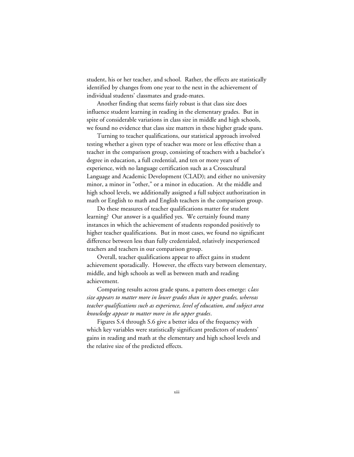student, his or her teacher, and school. Rather, the effects are statistically identified by changes from one year to the next in the achievement of individual students' classmates and grade-mates.

Another finding that seems fairly robust is that class size does influence student learning in reading in the elementary grades. But in spite of considerable variations in class size in middle and high schools, we found no evidence that class size matters in these higher grade spans.

Turning to teacher qualifications, our statistical approach involved testing whether a given type of teacher was more or less effective than a teacher in the comparison group, consisting of teachers with a bachelor's degree in education, a full credential, and ten or more years of experience, with no language certification such as a Crosscultural Language and Academic Development (CLAD); and either no university minor, a minor in "other," or a minor in education. At the middle and high school levels, we additionally assigned a full subject authorization in math or English to math and English teachers in the comparison group.

Do these measures of teacher qualifications matter for student learning? Our answer is a qualified yes. We certainly found many instances in which the achievement of students responded positively to higher teacher qualifications. But in most cases, we found no significant difference between less than fully credentialed, relatively inexperienced teachers and teachers in our comparison group.

Overall, teacher qualifications appear to affect gains in student achievement sporadically. However, the effects vary between elementary, middle, and high schools as well as between math and reading achievement.

Comparing results across grade spans, a pattern does emerge: c*lass size appears to matter more in lower grades than in upper grades, whereas teacher qualifications such as experience, level of education, and subject area knowledge appear to matter more in the upper grades*.

Figures S.4 through S.6 give a better idea of the frequency with which key variables were statistically significant predictors of students' gains in reading and math at the elementary and high school levels and the relative size of the predicted effects.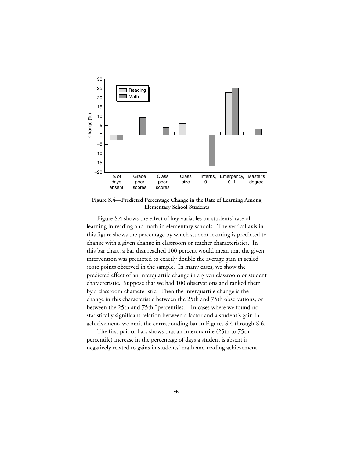

**Figure S.4—Predicted Percentage Change in the Rate of Learning Among Elementary School Students**

Figure S.4 shows the effect of key variables on students' rate of learning in reading and math in elementary schools. The vertical axis in this figure shows the percentage by which student learning is predicted to change with a given change in classroom or teacher characteristics. In this bar chart, a bar that reached 100 percent would mean that the given intervention was predicted to exactly double the average gain in scaled score points observed in the sample. In many cases, we show the predicted effect of an interquartile change in a given classroom or student characteristic. Suppose that we had 100 observations and ranked them by a classroom characteristic. Then the interquartile change is the change in this characteristic between the 25th and 75th observations, or between the 25th and 75th "percentiles." In cases where we found no statistically significant relation between a factor and a student's gain in achieivement, we omit the corresponding bar in Figures S.4 through S.6.

The first pair of bars shows that an interquartile (25th to 75th percentile) increase in the percentage of days a student is absent is negatively related to gains in students' math and reading achievement.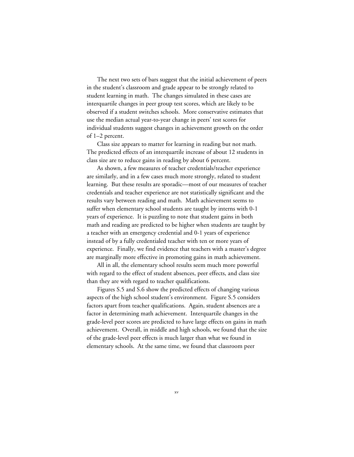The next two sets of bars suggest that the initial achievement of peers in the student's classroom and grade appear to be strongly related to student learning in math. The changes simulated in these cases are interquartile changes in peer group test scores, which are likely to be observed if a student switches schools. More conservative estimates that use the median actual year-to-year change in peers' test scores for individual students suggest changes in achievement growth on the order of 1–2 percent.

Class size appears to matter for learning in reading but not math. The predicted effects of an interquartile increase of about 12 students in class size are to reduce gains in reading by about 6 percent.

As shown, a few measures of teacher credentials/teacher experience are similarly, and in a few cases much more strongly, related to student learning. But these results are sporadic—most of our measures of teacher credentials and teacher experience are not statistically significant and the results vary between reading and math. Math achievement seems to suffer when elementary school students are taught by interns with 0-1 years of experience. It is puzzling to note that student gains in both math and reading are predicted to be higher when students are taught by a teacher with an emergency credential and 0-1 years of experience instead of by a fully credentialed teacher with ten or more years of experience. Finally, we find evidence that teachers with a master's degree are marginally more effective in promoting gains in math achievement.

All in all, the elementary school results seem much more powerful with regard to the effect of student absences, peer effects, and class size than they are with regard to teacher qualifications.

Figures S.5 and S.6 show the predicted effects of changing various aspects of the high school student's environment. Figure S.5 considers factors apart from teacher qualifications. Again, student absences are a factor in determining math achievement. Interquartile changes in the grade-level peer scores are predicted to have large effects on gains in math achievement. Overall, in middle and high schools, we found that the size of the grade-level peer effects is much larger than what we found in elementary schools. At the same time, we found that classroom peer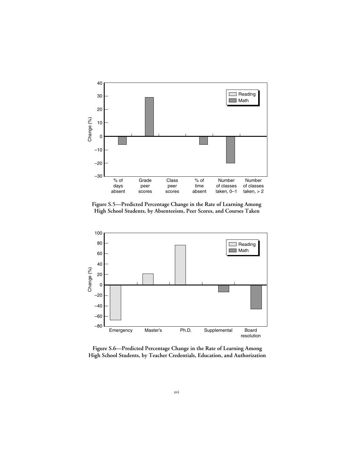

**Figure S.5—Predicted Percentage Change in the Rate of Learning Among High School Students, by Absenteeism, Peer Scores, and Courses Taken**



**Figure S.6—Predicted Percentage Change in the Rate of Learning Among High School Students, by Teacher Credentials, Education, and Authorization**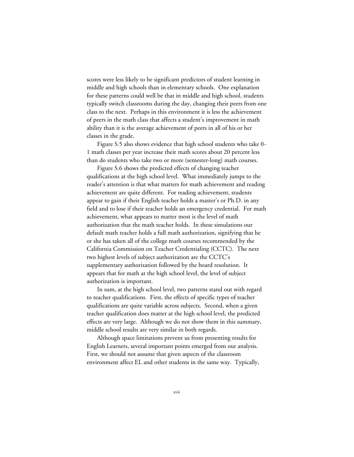scores were less likely to be significant predictors of student learning in middle and high schools than in elementary schools. One explanation for these patterns could well be that in middle and high school, students typically switch classrooms during the day, changing their peers from one class to the next. Perhaps in this environment it is less the achievement of peers in the math class that affects a student's improvement in math ability than it is the average achievement of peers in all of his or her classes in the grade.

Figure S.5 also shows evidence that high school students who take 0- 1 math classes per year increase their math scores about 20 percent less than do students who take two or more (semester-long) math courses.

Figure S.6 shows the predicted effects of changing teacher qualifications at the high school level. What immediately jumps to the reader's attention is that what matters for math achievement and reading achievement are quite different. For reading achievement, students appear to gain if their English teacher holds a master's or Ph.D. in any field and to lose if their teacher holds an emergency credential. For math achievement, what appears to matter most is the level of math authorization that the math teacher holds. In these simulations our default math teacher holds a full math authorization, signifying that he or she has taken all of the college math courses recommended by the California Commission on Teacher Credentialing (CCTC). The next two highest levels of subject authorization are the CCTC's supplementary authorization followed by the board resolution. It appears that for math at the high school level, the level of subject authorization is important.

In sum, at the high school level, two patterns stand out with regard to teacher qualifications. First, the effects of specific types of teacher qualifications are quite variable across subjects. Second, when a given teacher qualification does matter at the high school level, the predicted effects are very large. Although we do not show them in this summary, middle school results are very similar in both regards.

Although space limitations prevent us from presenting results for English Learners, several important points emerged from our analysis. First, we should not assume that given aspects of the classroom environment affect EL and other students in the same way. Typically,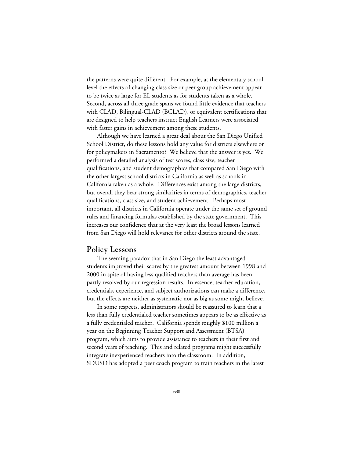the patterns were quite different. For example, at the elementary school level the effects of changing class size or peer group achievement appear to be twice as large for EL students as for students taken as a whole. Second, across all three grade spans we found little evidence that teachers with CLAD, Bilingual-CLAD (BCLAD), or equivalent certifications that are designed to help teachers instruct English Learners were associated with faster gains in achievement among these students.

Although we have learned a great deal about the San Diego Unified School District, do these lessons hold any value for districts elsewhere or for policymakers in Sacramento? We believe that the answer is yes. We performed a detailed analysis of test scores, class size, teacher qualifications, and student demographics that compared San Diego with the other largest school districts in California as well as schools in California taken as a whole. Differences exist among the large districts, but overall they bear strong similarities in terms of demographics, teacher qualifications, class size, and student achievement. Perhaps most important, all districts in California operate under the same set of ground rules and financing formulas established by the state government. This increases our confidence that at the very least the broad lessons learned from San Diego will hold relevance for other districts around the state.

#### **Policy Lessons**

The seeming paradox that in San Diego the least advantaged students improved their scores by the greatest amount between 1998 and 2000 in spite of having less qualified teachers than average has been partly resolved by our regression results. In essence, teacher education, credentials, experience, and subject authorizations can make a difference, but the effects are neither as systematic nor as big as some might believe.

In some respects, administrators should be reassured to learn that a less than fully credentialed teacher sometimes appears to be as effective as a fully credentialed teacher. California spends roughly \$100 million a year on the Beginning Teacher Support and Assessment (BTSA) program, which aims to provide assistance to teachers in their first and second years of teaching. This and related programs might successfully integrate inexperienced teachers into the classroom. In addition, SDUSD has adopted a peer coach program to train teachers in the latest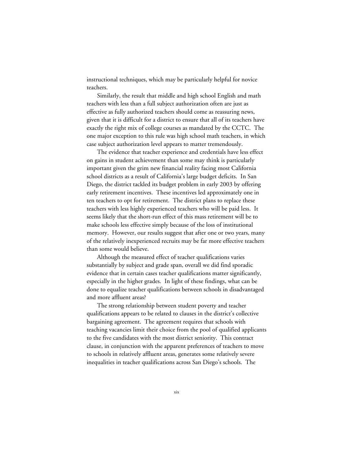instructional techniques, which may be particularly helpful for novice teachers.

Similarly, the result that middle and high school English and math teachers with less than a full subject authorization often are just as effective as fully authorized teachers should come as reassuring news, given that it is difficult for a district to ensure that all of its teachers have exactly the right mix of college courses as mandated by the CCTC. The one major exception to this rule was high school math teachers, in which case subject authorization level appears to matter tremendously.

The evidence that teacher experience and credentials have less effect on gains in student achievement than some may think is particularly important given the grim new financial reality facing most California school districts as a result of California's large budget deficits. In San Diego, the district tackled its budget problem in early 2003 by offering early retirement incentives. These incentives led approximately one in ten teachers to opt for retirement. The district plans to replace these teachers with less highly experienced teachers who will be paid less. It seems likely that the short-run effect of this mass retirement will be to make schools less effective simply because of the loss of institutional memory. However, our results suggest that after one or two years, many of the relatively inexperienced recruits may be far more effective teachers than some would believe.

Although the measured effect of teacher qualifications varies substantially by subject and grade span, overall we did find sporadic evidence that in certain cases teacher qualifications matter significantly, especially in the higher grades. In light of these findings, what can be done to equalize teacher qualifications between schools in disadvantaged and more affluent areas?

The strong relationship between student poverty and teacher qualifications appears to be related to clauses in the district's collective bargaining agreement. The agreement requires that schools with teaching vacancies limit their choice from the pool of qualified applicants to the five candidates with the most district seniority. This contract clause, in conjunction with the apparent preferences of teachers to move to schools in relatively affluent areas, generates some relatively severe inequalities in teacher qualifications across San Diego's schools. The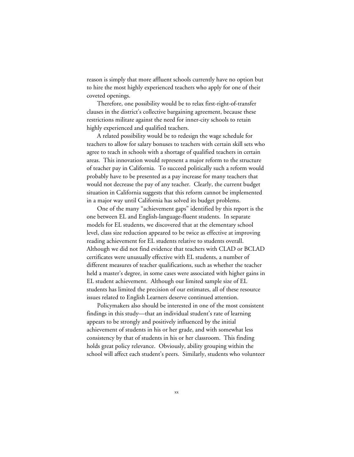reason is simply that more affluent schools currently have no option but to hire the most highly experienced teachers who apply for one of their coveted openings.

Therefore, one possibility would be to relax first-right-of-transfer clauses in the district's collective bargaining agreement, because these restrictions militate against the need for inner-city schools to retain highly experienced and qualified teachers.

A related possibility would be to redesign the wage schedule for teachers to allow for salary bonuses to teachers with certain skill sets who agree to teach in schools with a shortage of qualified teachers in certain areas. This innovation would represent a major reform to the structure of teacher pay in California. To succeed politically such a reform would probably have to be presented as a pay increase for many teachers that would not decrease the pay of any teacher. Clearly, the current budget situation in California suggests that this reform cannot be implemented in a major way until California has solved its budget problems.

One of the many "achievement gaps" identified by this report is the one between EL and English-language-fluent students. In separate models for EL students, we discovered that at the elementary school level, class size reduction appeared to be twice as effective at improving reading achievement for EL students relative to students overall. Although we did not find evidence that teachers with CLAD or BCLAD certificates were unusually effective with EL students, a number of different measures of teacher qualifications, such as whether the teacher held a master's degree, in some cases were associated with higher gains in EL student achievement. Although our limited sample size of EL students has limited the precision of our estimates, all of these resource issues related to English Learners deserve continued attention.

Policymakers also should be interested in one of the most consistent findings in this study—that an individual student's rate of learning appears to be strongly and positively influenced by the initial achievement of students in his or her grade, and with somewhat less consistency by that of students in his or her classroom. This finding holds great policy relevance. Obviously, ability grouping within the school will affect each student's peers. Similarly, students who volunteer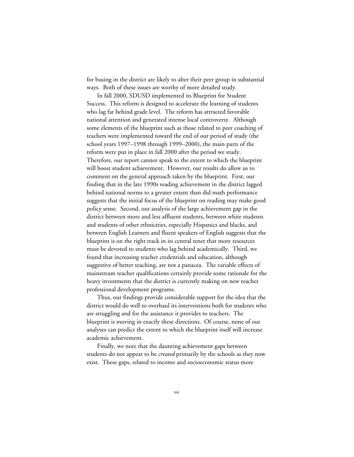for busing in the district are likely to alter their peer group in substantial ways. Both of these issues are worthy of more detailed study.

In fall 2000, SDUSD implemented its Blueprint for Student Success. This reform is designed to accelerate the learning of students who lag far behind grade level. The reform has attracted favorable national attention and generated intense local controversy. Although some elements of the blueprint such as those related to peer coaching of teachers were implemented toward the end of our period of study (the school years 1997–1998 through 1999–2000), the main parts of the reform were put in place in fall 2000 after the period we study. Therefore, our report cannot speak to the extent to which the blueprint will boost student achievement. However, our results do allow us to comment on the general approach taken by the blueprint. First, our finding that in the late 1990s reading achievement in the district lagged behind national norms to a greater extent than did math performance suggests that the initial focus of the blueprint on reading may make good policy sense. Second, our analysis of the large achievement gap in the district between more and less affluent students, between white students and students of other ethnicities, especially Hispanics and blacks, and between English Learners and fluent speakers of English suggests that the blueprint is on the right track in its central tenet that more resources must be devoted to students who lag behind academically. Third, we found that increasing teacher credentials and education, although suggestive of better teaching, are not a panacea. The variable effects of mainstream teacher qualifications certainly provide some rationale for the heavy investments that the district is currently making on new teacher professional development programs.

Thus, our findings provide considerable support for the idea that the district would do well to overhaul its interventions both for students who are struggling and for the assistance it provides to teachers. The blueprint is moving in exactly these directions. Of course, none of our analyses can predict the extent to which the blueprint itself will increase academic achievement.

Finally, we note that the daunting achievement gaps between students do not appear to be *created* primarily by the schools as they now exist. These gaps, related to income and socioeconomic status more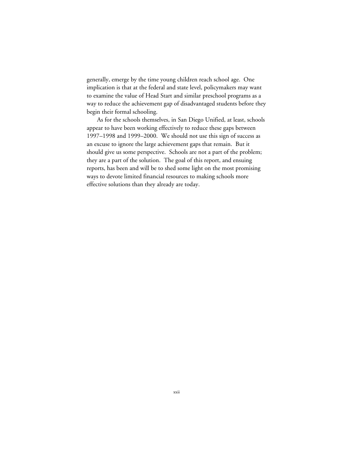generally, emerge by the time young children reach school age. One implication is that at the federal and state level, policymakers may want to examine the value of Head Start and similar preschool programs as a way to reduce the achievement gap of disadvantaged students before they begin their formal schooling.

As for the schools themselves, in San Diego Unified, at least, schools appear to have been working effectively to reduce these gaps between 1997–1998 and 1999–2000. We should not use this sign of success as an excuse to ignore the large achievement gaps that remain. But it should give us some perspective. Schools are not a part of the problem; they are a part of the solution. The goal of this report, and ensuing reports, has been and will be to shed some light on the most promising ways to devote limited financial resources to making schools more effective solutions than they already are today.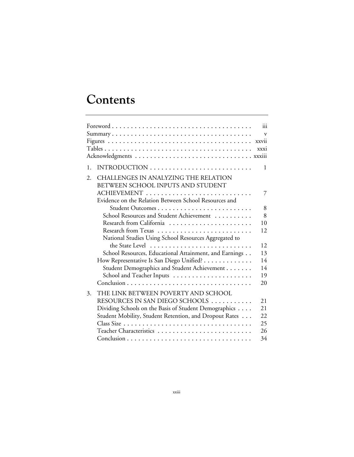# **Contents**

|    |                                                                           | $\dddot{\mathbf{u}}$ |
|----|---------------------------------------------------------------------------|----------------------|
|    |                                                                           | $\mathbf{V}$         |
|    |                                                                           | xxvii                |
|    |                                                                           | xxxi                 |
|    |                                                                           |                      |
| 1. |                                                                           | 1                    |
| 2. | CHALLENGES IN ANALYZING THE RELATION<br>BETWEEN SCHOOL INPUTS AND STUDENT |                      |
|    | ACHIEVEMENT                                                               | 7                    |
|    | Evidence on the Relation Between School Resources and                     |                      |
|    | Student Outcomes                                                          | 8                    |
|    | School Resources and Student Achievement                                  | 8                    |
|    | Research from California                                                  | 10                   |
|    |                                                                           | 12                   |
|    | National Studies Using School Resources Aggregated to                     |                      |
|    |                                                                           | 12                   |
|    | School Resources, Educational Attainment, and Earnings                    | 13                   |
|    | How Representative Is San Diego Unified?                                  | 14                   |
|    | Student Demographics and Student Achievement                              | 14                   |
|    |                                                                           | 19                   |
|    |                                                                           | 20                   |
| 3. | THE LINK BETWEEN POVERTY AND SCHOOL                                       |                      |
|    | RESOURCES IN SAN DIEGO SCHOOLS                                            | 2.1                  |
|    | Dividing Schools on the Basis of Student Demographics                     | 2.1                  |
|    | Student Mobility, Student Retention, and Dropout Rates                    | 22                   |
|    |                                                                           | 25                   |
|    |                                                                           | 26                   |
|    |                                                                           | 34                   |
|    |                                                                           |                      |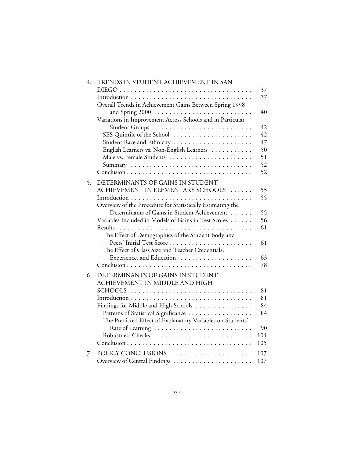| 4. | TRENDS IN STUDENT ACHIEVEMENT IN SAN                               | 37  |
|----|--------------------------------------------------------------------|-----|
|    |                                                                    | 37  |
|    | Overall Trends in Achievement Gains Between Spring 1998            | 40  |
|    | Variations in Improvement Across Schools and in Particular         |     |
|    | Student Groups                                                     | 42  |
|    | SES Quintile of the School                                         | 42  |
|    |                                                                    | 47  |
|    | English Learners vs. Non-English Learners                          | 50  |
|    | Male vs. Female Students                                           | 51  |
|    |                                                                    | 52  |
|    |                                                                    | 52  |
| 5. | DETERMINANTS OF GAINS IN STUDENT                                   |     |
|    | ACHIEVEMENT IN ELEMENTARY SCHOOLS                                  | 55  |
|    |                                                                    | 55  |
|    | Overview of the Procedure for Statistically Estimating the         |     |
|    | Determinants of Gains in Student Achievement                       | 55  |
|    | Variables Included in Models of Gains in Test Scores               | 56  |
|    |                                                                    | 61  |
|    | The Effect of Demographics of the Student Body and                 |     |
|    | Peers' Initial Test Score                                          | 61  |
|    | The Effect of Class Size and Teacher Credentials,                  |     |
|    |                                                                    | 63  |
|    |                                                                    | 78  |
|    |                                                                    |     |
| 6. | DETERMINANTS OF GAINS IN STUDENT<br>ACHIEVEMENT IN MIDDLE AND HIGH |     |
|    |                                                                    | 81  |
|    | SCHOOLS                                                            | 81  |
|    |                                                                    | 84  |
|    | Findings for Middle and High Schools                               | 84  |
|    | Patterns of Statistical Significance                               |     |
|    | The Predicted Effect of Explanatory Variables on Students'         | 90  |
|    |                                                                    | 104 |
|    | Robustness Checks                                                  |     |
|    |                                                                    | 105 |
| 7. | POLICY CONCLUSIONS                                                 | 107 |
|    | Overview of Central Findings                                       | 107 |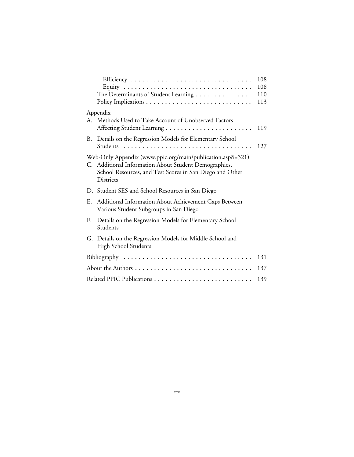|    | The Determinants of Student Learning                                                                                                                                                                 | 108<br>108<br>110<br>113 |
|----|------------------------------------------------------------------------------------------------------------------------------------------------------------------------------------------------------|--------------------------|
| A. | Appendix<br>Methods Used to Take Account of Unobserved Factors                                                                                                                                       | 119                      |
| В. | Details on the Regression Models for Elementary School                                                                                                                                               | 127                      |
|    | Web-Only Appendix (www.ppic.org/main/publication.asp?i=321)<br>C. Additional Information About Student Demographics,<br>School Resources, and Test Scores in San Diego and Other<br><b>Districts</b> |                          |
|    | D. Student SES and School Resources in San Diego                                                                                                                                                     |                          |
| E. | Additional Information About Achievement Gaps Between<br>Various Student Subgroups in San Diego                                                                                                      |                          |
| F. | Details on the Regression Models for Elementary School<br>Students                                                                                                                                   |                          |
|    | G. Details on the Regression Models for Middle School and<br><b>High School Students</b>                                                                                                             |                          |
|    | Bibliography                                                                                                                                                                                         | 131                      |
|    |                                                                                                                                                                                                      | 137                      |
|    |                                                                                                                                                                                                      | 139                      |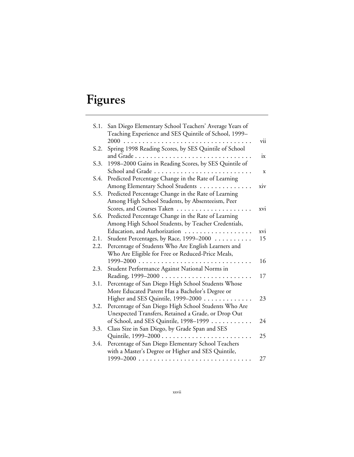# **Figures**

| S.1. | San Diego Elementary School Teachers' Average Years of |     |
|------|--------------------------------------------------------|-----|
|      | Teaching Experience and SES Quintile of School, 1999-  |     |
|      | $2000$                                                 | vii |
| S.2. | Spring 1998 Reading Scores, by SES Quintile of School  |     |
|      |                                                        | ix  |
| S.3. | 1998-2000 Gains in Reading Scores, by SES Quintile of  |     |
|      | School and Grade                                       | X   |
| S.4. | Predicted Percentage Change in the Rate of Learning    |     |
|      | Among Elementary School Students                       | xiv |
| S.5. | Predicted Percentage Change in the Rate of Learning    |     |
|      | Among High School Students, by Absenteeism, Peer       |     |
|      | Scores, and Courses Taken                              | xvi |
| S.6. | Predicted Percentage Change in the Rate of Learning    |     |
|      | Among High School Students, by Teacher Credentials,    |     |
|      | Education, and Authorization                           | xvi |
| 2.1. | Student Percentages, by Race, 1999-2000                | 15  |
| 2.2. | Percentage of Students Who Are English Learners and    |     |
|      | Who Are Eligible for Free or Reduced-Price Meals,      |     |
|      | $1999 - 2000$                                          | 16  |
| 2.3. | Student Performance Against National Norms in          |     |
|      |                                                        | 17  |
| 3.1. | Percentage of San Diego High School Students Whose     |     |
|      | More Educated Parent Has a Bachelor's Degree or        |     |
|      | Higher and SES Quintile, 1999-2000                     | 23  |
| 3.2. | Percentage of San Diego High School Students Who Are   |     |
|      | Unexpected Transfers, Retained a Grade, or Drop Out    |     |
|      | of School, and SES Quintile, 1998-1999                 | 24  |
| 3.3. | Class Size in San Diego, by Grade Span and SES         |     |
|      |                                                        | 25  |
| 3.4. | Percentage of San Diego Elementary School Teachers     |     |
|      | with a Master's Degree or Higher and SES Quintile,     |     |
|      |                                                        | 27  |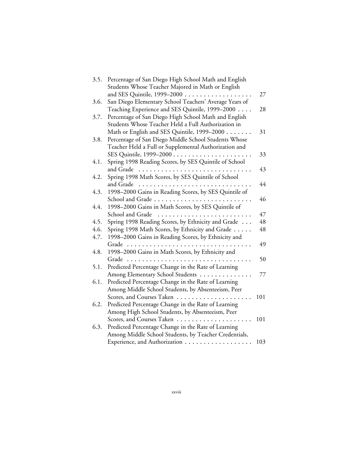| 3.5. | Percentage of San Diego High School Math and English   |     |
|------|--------------------------------------------------------|-----|
|      | Students Whose Teacher Majored in Math or English      |     |
|      | and SES Quintile, 1999-2000                            | 27  |
| 3.6. | San Diego Elementary School Teachers' Average Years of |     |
|      | Teaching Experience and SES Quintile, 1999–2000        | 28  |
| 3.7. | Percentage of San Diego High School Math and English   |     |
|      | Students Whose Teacher Held a Full Authorization in    |     |
|      | Math or English and SES Quintile, 1999-2000            | 31  |
| 3.8. | Percentage of San Diego Middle School Students Whose   |     |
|      | Teacher Held a Full or Supplemental Authorization and  |     |
|      |                                                        | 33  |
| 4.1. | Spring 1998 Reading Scores, by SES Quintile of School  |     |
|      | and Grade                                              | 43  |
| 4.2. | Spring 1998 Math Scores, by SES Quintile of School     |     |
|      | and Grade                                              | 44  |
| 4.3. | 1998-2000 Gains in Reading Scores, by SES Quintile of  |     |
|      | School and Grade                                       | 46  |
| 4.4. | 1998-2000 Gains in Math Scores, by SES Quintile of     |     |
|      | School and Grade<br>.                                  | 47  |
| 4.5. | Spring 1998 Reading Scores, by Ethnicity and Grade     | 48  |
| 4.6. | Spring 1998 Math Scores, by Ethnicity and Grade        | 48  |
| 4.7. | 1998-2000 Gains in Reading Scores, by Ethnicity and    |     |
|      | Grade                                                  | 49  |
| 4.8. | 1998-2000 Gains in Math Scores, by Ethnicity and       |     |
|      | Grade                                                  | 50  |
| 5.1. | Predicted Percentage Change in the Rate of Learning    |     |
|      | Among Elementary School Students                       | 77  |
| 6.1. | Predicted Percentage Change in the Rate of Learning    |     |
|      | Among Middle School Students, by Absenteeism, Peer     |     |
|      | Scores, and Courses Taken                              | 101 |
| 6.2. | Predicted Percentage Change in the Rate of Learning    |     |
|      | Among High School Students, by Absenteeism, Peer       |     |
|      | Scores, and Courses Taken                              | 101 |
| 6.3. | Predicted Percentage Change in the Rate of Learning    |     |
|      | Among Middle School Students, by Teacher Credentials,  |     |
|      | Experience, and Authorization                          | 103 |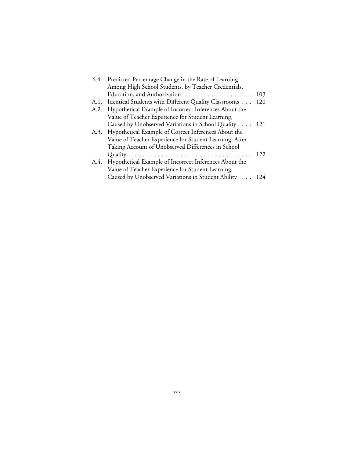|      | 6.4. Predicted Percentage Change in the Rate of Learning  |     |
|------|-----------------------------------------------------------|-----|
|      | Among High School Students, by Teacher Credentials,       |     |
|      | Education, and Authorization                              | 103 |
|      | A.1. Identical Students with Different Quality Classrooms | 120 |
| A.2. | Hypothetical Example of Incorrect Inferences About the    |     |
|      | Value of Teacher Experience for Student Learning,         |     |
|      | Caused by Unobserved Variations in School Quality 121     |     |
|      | A.3. Hypothetical Example of Correct Inferences About the |     |
|      | Value of Teacher Experience for Student Learning, After   |     |
|      | Taking Account of Unobserved Differences in School        |     |
|      |                                                           | 122 |
| A.4. | Hypothetical Example of Incorrect Inferences About the    |     |
|      | Value of Teacher Experience for Student Learning,         |     |
|      | Caused by Unobserved Variations in Student Ability 124    |     |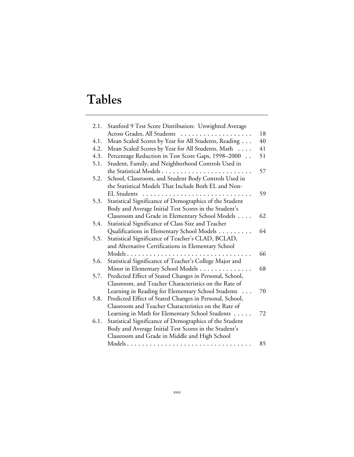# **Tables**

| 2.1. | Stanford 9 Test Score Distribution: Unwighted Average   |    |
|------|---------------------------------------------------------|----|
|      | Across Grades, All Students                             | 18 |
| 4.1. | Mean Scaled Scores by Year for All Students, Reading    | 40 |
| 4.2. | Mean Scaled Scores by Year for All Students, Math       | 41 |
| 4.3. | Percentage Reduction in Test Score Gaps, 1998-2000      | 51 |
| 5.1. | Student, Family, and Neighborhood Controls Used in      |    |
|      |                                                         | 57 |
| 5.2. | School, Classroom, and Student Body Controls Used in    |    |
|      | the Statistical Models That Include Both EL and Non-    |    |
|      |                                                         | 59 |
| 5.3. | Statistical Significance of Demographics of the Student |    |
|      | Body and Average Initial Test Scores in the Student's   |    |
|      | Classroom and Grade in Elementary School Models         | 62 |
| 5.4. | Statistical Significance of Class Size and Teacher      |    |
|      | Qualifications in Elementary School Models              | 64 |
| 5.5. | Statistical Significance of Teacher's CLAD, BCLAD,      |    |
|      | and Alternative Certifications in Elementary School     |    |
|      |                                                         | 66 |
| 5.6. | Statistical Significance of Teacher's College Major and |    |
|      | Minor in Elementary School Models                       | 68 |
| 5.7. | Predicted Effect of Stated Changes in Personal, School, |    |
|      | Classroom, and Teacher Characteristics on the Rate of   |    |
|      | Learning in Reading for Elementary School Students      | 70 |
| 5.8. | Predicted Effect of Stated Changes in Personal, School, |    |
|      | Classroom and Teacher Characteristics on the Rate of    |    |
|      | Learning in Math for Elementary School Students         | 72 |
| 6.1. | Statistical Significance of Demographics of the Student |    |
|      | Body and Average Initial Test Scores in the Student's   |    |
|      | Classroom and Grade in Middle and High School           |    |
|      | Models                                                  | 85 |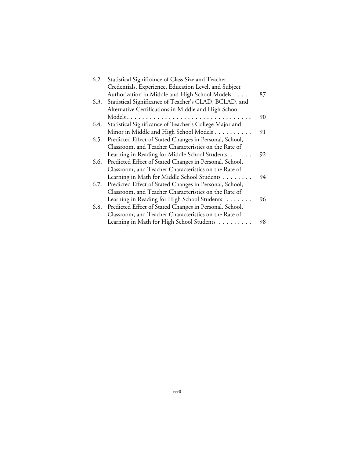| 6.2. | Statistical Significance of Class Size and Teacher      |    |
|------|---------------------------------------------------------|----|
|      | Credentials, Experience, Education Level, and Subject   |    |
|      | Authorization in Middle and High School Models          | 87 |
| 6.3. | Statistical Significance of Teacher's CLAD, BCLAD, and  |    |
|      | Alternative Certifications in Middle and High School    |    |
|      |                                                         | 90 |
| 6.4. | Statistical Significance of Teacher's College Major and |    |
|      | Minor in Middle and High School Models                  | 91 |
| 6.5. | Predicted Effect of Stated Changes in Personal, School, |    |
|      | Classroom, and Teacher Characteristics on the Rate of   |    |
|      | Learning in Reading for Middle School Students          | 92 |
| 6.6. | Predicted Effect of Stated Changes in Personal, School, |    |
|      | Classroom, and Teacher Characteristics on the Rate of   |    |
|      | Learning in Math for Middle School Students             | 94 |
| 6.7. | Predicted Effect of Stated Changes in Personal, School, |    |
|      | Classroom, and Teacher Characteristics on the Rate of   |    |
|      | Learning in Reading for High School Students            | 96 |
| 6.8. | Predicted Effect of Stated Changes in Personal, School, |    |
|      | Classroom, and Teacher Characteristics on the Rate of   |    |
|      | Learning in Math for High School Students               | 98 |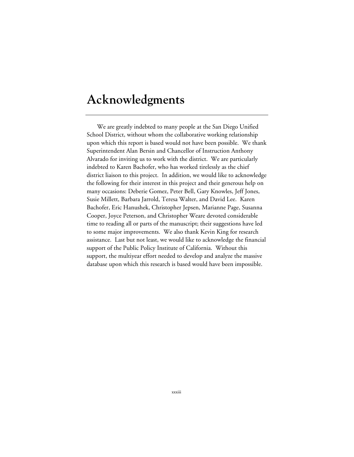### **Acknowledgments**

We are greatly indebted to many people at the San Diego Unified School District, without whom the collaborative working relationship upon which this report is based would not have been possible. We thank Superintendent Alan Bersin and Chancellor of Instruction Anthony Alvarado for inviting us to work with the district. We are particularly indebted to Karen Bachofer, who has worked tirelessly as the chief district liaison to this project. In addition, we would like to acknowledge the following for their interest in this project and their generous help on many occasions: Deberie Gomez, Peter Bell, Gary Knowles, Jeff Jones, Susie Millett, Barbara Jarrold, Teresa Walter, and David Lee. Karen Bachofer, Eric Hanushek, Christopher Jepsen, Marianne Page, Susanna Cooper, Joyce Peterson, and Christopher Weare devoted considerable time to reading all or parts of the manuscript; their suggestions have led to some major improvements. We also thank Kevin King for research assistance. Last but not least, we would like to acknowledge the financial support of the Public Policy Institute of California. Without this support, the multiyear effort needed to develop and analyze the massive database upon which this research is based would have been impossible.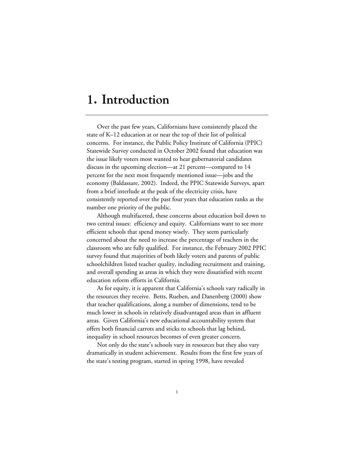### **1. Introduction**

Over the past few years, Californians have consistently placed the state of K–12 education at or near the top of their list of political concerns. For instance, the Public Policy Institute of California (PPIC) Statewide Survey conducted in October 2002 found that education was the issue likely voters most wanted to hear gubernatorial candidates discuss in the upcoming election—at 21 percent—compared to 14 percent for the next most frequently mentioned issue—jobs and the economy (Baldassare, 2002). Indeed, the PPIC Statewide Surveys, apart from a brief interlude at the peak of the electricity crisis, have consistently reported over the past four years that education ranks as the number one priority of the public.

Although multifaceted, these concerns about education boil down to two central issues: efficiency and equity. Californians want to see more efficient schools that spend money wisely. They seem particularly concerned about the need to increase the percentage of teachers in the classroom who are fully qualified. For instance, the February 2002 PPIC survey found that majorities of both likely voters and parents of public schoolchildren listed teacher quality, including recruitment and training, and overall spending as areas in which they were dissatisfied with recent education reform efforts in California.

As for equity, it is apparent that California's schools vary radically in the resources they receive. Betts, Rueben, and Danenberg (2000) show that teacher qualifications, along a number of dimensions, tend to be much lower in schools in relatively disadvantaged areas than in affluent areas. Given California's new educational accountability system that offers both financial carrots and sticks to schools that lag behind, inequality in school resources becomes of even greater concern.

Not only do the state's schools vary in resources but they also vary dramatically in student achievement. Results from the first few years of the state's testing program, started in spring 1998, have revealed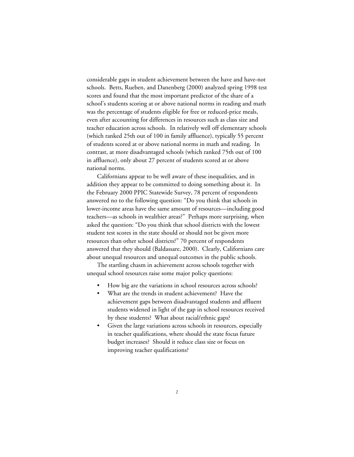considerable gaps in student achievement between the have and have-not schools. Betts, Rueben, and Danenberg (2000) analyzed spring 1998 test scores and found that the most important predictor of the share of a school's students scoring at or above national norms in reading and math was the percentage of students eligible for free or reduced-price meals, even after accounting for differences in resources such as class size and teacher education across schools. In relatively well off elementary schools (which ranked 25th out of 100 in family affluence), typically 55 percent of students scored at or above national norms in math and reading. In contrast, at more disadvantaged schools (which ranked 75th out of 100 in affluence), only about 27 percent of students scored at or above national norms.

Californians appear to be well aware of these inequalities, and in addition they appear to be committed to doing something about it. In the February 2000 PPIC Statewide Survey, 78 percent of respondents answered no to the following question: "Do you think that schools in lower-income areas have the same amount of resources—including good teachers—as schools in wealthier areas?" Perhaps more surprising, when asked the question: "Do you think that school districts with the lowest student test scores in the state should or should not be given more resources than other school districts?" 70 percent of respondents answered that they should (Baldassare, 2000). Clearly, Californians care about unequal resources and unequal outcomes in the public schools.

The startling chasm in achievement across schools together with unequal school resources raise some major policy questions:

- How big are the variations in school resources across schools?
- What are the trends in student achievement? Have the achievement gaps between disadvantaged students and affluent students widened in light of the gap in school resources received by these students? What about racial/ethnic gaps?
- Given the large variations across schools in resources, especially in teacher qualifications, where should the state focus future budget increases? Should it reduce class size or focus on improving teacher qualifications?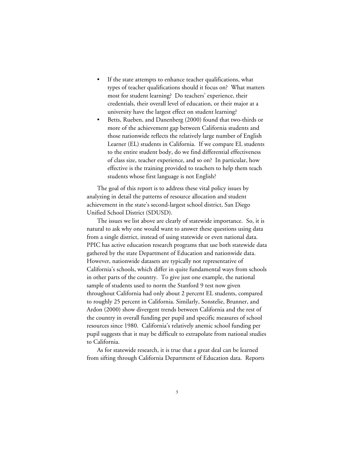- If the state attempts to enhance teacher qualifications, what types of teacher qualifications should it focus on? What matters most for student learning? Do teachers' experience, their credentials, their overall level of education, or their major at a university have the largest effect on student learning?
- Betts, Rueben, and Danenberg (2000) found that two-thirds or more of the achievement gap between California students and those nationwide reflects the relatively large number of English Learner (EL) students in California. If we compare EL students to the entire student body, do we find differential effectiveness of class size, teacher experience, and so on? In particular, how effective is the training provided to teachers to help them teach students whose first language is not English?

The goal of this report is to address these vital policy issues by analyzing in detail the patterns of resource allocation and student achievement in the state's second-largest school district, San Diego Unified School District (SDUSD).

The issues we list above are clearly of statewide importance. So, it is natural to ask why one would want to answer these questions using data from a single district, instead of using statewide or even national data. PPIC has active education research programs that use both statewide data gathered by the state Department of Education and nationwide data. However, nationwide datasets are typically not representative of California's schools, which differ in quite fundamental ways from schools in other parts of the country. To give just one example, the national sample of students used to norm the Stanford 9 test now given throughout California had only about 2 percent EL students, compared to roughly 25 percent in California. Similarly, Sonstelie, Brunner, and Ardon (2000) show divergent trends between California and the rest of the country in overall funding per pupil and specific measures of school resources since 1980. California's relatively anemic school funding per pupil suggests that it may be difficult to extrapolate from national studies to California.

As for statewide research, it is true that a great deal can be learned from sifting through California Department of Education data. Reports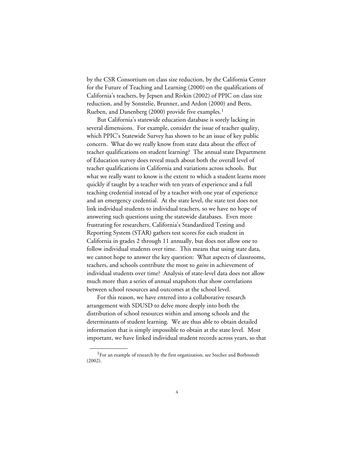by the CSR Consortium on class size reduction, by the California Center for the Future of Teaching and Learning (2000) on the qualifications of California's teachers, by Jepsen and Rivkin (2002) of PPIC on class size reduction, and by Sonstelie, Brunner, and Ardon (2000) and Betts, Rueben, and Danenberg (2000) provide five examples.<sup>1</sup>

But California's statewide education database is sorely lacking in several dimensions. For example, consider the issue of teacher quality, which PPIC's Statewide Survey has shown to be an issue of key public concern. What do we really know from state data about the effect of teacher qualifications on student learning? The annual state Department of Education survey does reveal much about both the overall level of teacher qualifications in California and variations across schools. But what we really want to know is the extent to which a student learns more quickly if taught by a teacher with ten years of experience and a full teaching credential instead of by a teacher with one year of experience and an emergency credential. At the state level, the state test does not link individual students to individual teachers, so we have no hope of answering such questions using the statewide databases. Even more frustrating for researchers, California's Standardized Testing and Reporting System (STAR) gathers test scores for each student in California in grades 2 through 11 annually, but does not allow one to follow individual students over time. This means that using state data, we cannot hope to answer the key question: What aspects of classrooms, teachers, and schools contribute the most to *gains* in achievement of individual students over time? Analysis of state-level data does not allow much more than a series of annual snapshots that show correlations between school resources and outcomes at the school level.

For this reason, we have entered into a collaborative research arrangement with SDUSD to delve more deeply into both the distribution of school resources within and among schools and the determinants of student learning. We are thus able to obtain detailed information that is simply impossible to obtain at the state level. Most important, we have linked individual student records across years, so that

<sup>&</sup>lt;sup>1</sup>For an example of research by the first organization, see Stecher and Borhnstedt (2002).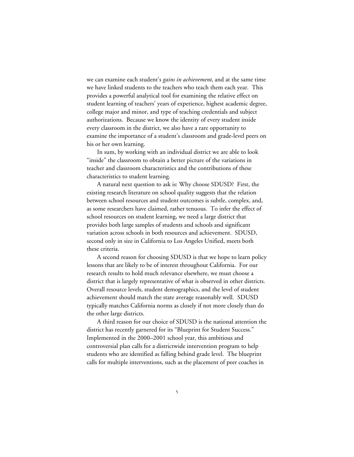we can examine each student's *gains in achievement*, and at the same time we have linked students to the teachers who teach them each year. This provides a powerful analytical tool for examining the relative effect on student learning of teachers' years of experience, highest academic degree, college major and minor, and type of teaching credentials and subject authorizations. Because we know the identity of every student inside every classroom in the district, we also have a rare opportunity to examine the importance of a student's classroom and grade-level peers on his or her own learning.

In sum, by working with an individual district we are able to look "inside" the classroom to obtain a better picture of the variations in teacher and classroom characteristics and the contributions of these characteristics to student learning.

A natural next question to ask is: Why choose SDUSD? First, the existing research literature on school quality suggests that the relation between school resources and student outcomes is subtle, complex, and, as some researchers have claimed, rather tenuous. To infer the effect of school resources on student learning, we need a large district that provides both large samples of students and schools and significant variation across schools in both resources and achievement. SDUSD, second only in size in California to Los Angeles Unified, meets both these criteria.

A second reason for choosing SDUSD is that we hope to learn policy lessons that are likely to be of interest throughout California. For our research results to hold much relevance elsewhere, we must choose a district that is largely representative of what is observed in other districts. Overall resource levels, student demographics, and the level of student achievement should match the state average reasonably well. SDUSD typically matches California norms as closely if not more closely than do the other large districts.

A third reason for our choice of SDUSD is the national attention the district has recently garnered for its "Blueprint for Student Success." Implemented in the 2000–2001 school year, this ambitious and controversial plan calls for a districtwide intervention program to help students who are identified as falling behind grade level. The blueprint calls for multiple interventions, such as the placement of peer coaches in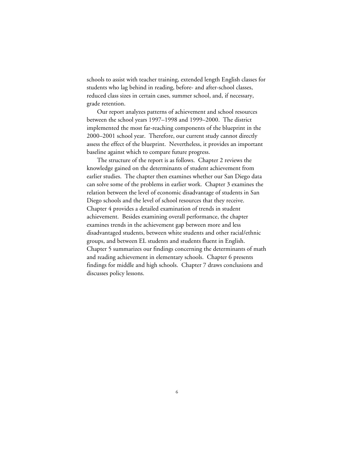schools to assist with teacher training, extended length English classes for students who lag behind in reading, before- and after-school classes, reduced class sizes in certain cases, summer school, and, if necessary, grade retention.

Our report analyzes patterns of achievement and school resources between the school years 1997–1998 and 1999–2000. The district implemented the most far-reaching components of the blueprint in the 2000–2001 school year. Therefore, our current study cannot directly assess the effect of the blueprint. Nevertheless, it provides an important baseline against which to compare future progress.

The structure of the report is as follows. Chapter 2 reviews the knowledge gained on the determinants of student achievement from earlier studies. The chapter then examines whether our San Diego data can solve some of the problems in earlier work. Chapter 3 examines the relation between the level of economic disadvantage of students in San Diego schools and the level of school resources that they receive. Chapter 4 provides a detailed examination of trends in student achievement. Besides examining overall performance, the chapter examines trends in the achievement gap between more and less disadvantaged students, between white students and other racial/ethnic groups, and between EL students and students fluent in English. Chapter 5 summarizes our findings concerning the determinants of math and reading achievement in elementary schools. Chapter 6 presents findings for middle and high schools. Chapter 7 draws conclusions and discusses policy lessons.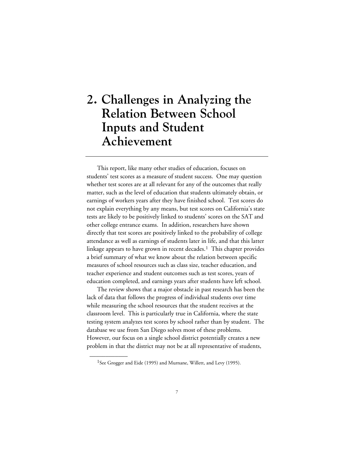# **2. Challenges in Analyzing the Relation Between School Inputs and Student Achievement**

This report, like many other studies of education, focuses on students' test scores as a measure of student success. One may question whether test scores are at all relevant for any of the outcomes that really matter, such as the level of education that students ultimately obtain, or earnings of workers years after they have finished school. Test scores do not explain everything by any means, but test scores on California's state tests are likely to be positively linked to students' scores on the SAT and other college entrance exams. In addition, researchers have shown directly that test scores are positively linked to the probability of college attendance as well as earnings of students later in life, and that this latter linkage appears to have grown in recent decades.<sup>1</sup> This chapter provides a brief summary of what we know about the relation between specific measures of school resources such as class size, teacher education, and teacher experience and student outcomes such as test scores, years of education completed, and earnings years after students have left school.

The review shows that a major obstacle in past research has been the lack of data that follows the progress of individual students over time while measuring the school resources that the student receives at the classroom level. This is particularly true in California, where the state testing system analyzes test scores by school rather than by student. The database we use from San Diego solves most of these problems. However, our focus on a single school district potentially creates a new problem in that the district may not be at all representative of students,

<sup>&</sup>lt;sup>1</sup>See Grogger and Eide (1995) and Murnane, Willett, and Levy (1995).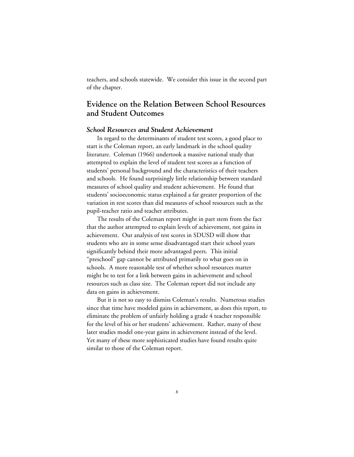teachers, and schools statewide. We consider this issue in the second part of the chapter.

# **Evidence on the Relation Between School Resources and Student Outcomes**

#### *School Resources and Student Achievement*

In regard to the determinants of student test scores, a good place to start is the Coleman report, an early landmark in the school quality literature. Coleman (1966) undertook a massive national study that attempted to explain the level of student test scores as a function of students' personal background and the characteristics of their teachers and schools. He found surprisingly little relationship between standard measures of school quality and student achievement. He found that students' socioeconomic status explained a far greater proportion of the variation in test scores than did measures of school resources such as the pupil-teacher ratio and teacher attributes.

The results of the Coleman report might in part stem from the fact that the author attempted to explain levels of achievement, not gains in achievement. Our analysis of test scores in SDUSD will show that students who are in some sense disadvantaged start their school years significantly behind their more advantaged peers. This initial "preschool" gap cannot be attributed primarily to what goes on in schools. A more reasonable test of whether school resources matter might be to test for a link between gains in achievement and school resources such as class size. The Coleman report did not include any data on gains in achievement.

But it is not so easy to dismiss Coleman's results. Numerous studies since that time have modeled gains in achievement, as does this report, to eliminate the problem of unfairly holding a grade 4 teacher responsible for the level of his or her students' achievement. Rather, many of these later studies model one-year gains in achievement instead of the level. Yet many of these more sophisticated studies have found results quite similar to those of the Coleman report.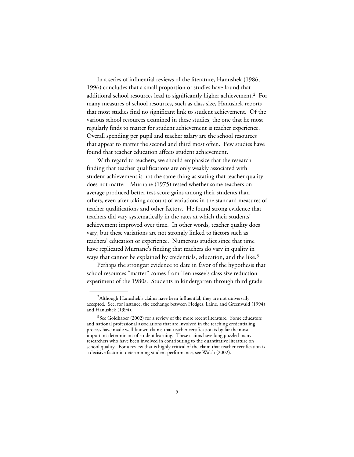In a series of influential reviews of the literature, Hanushek (1986, 1996) concludes that a small proportion of studies have found that additional school resources lead to significantly higher achievement.2 For many measures of school resources, such as class size, Hanushek reports that most studies find no significant link to student achievement. Of the various school resources examined in these studies, the one that he most regularly finds to matter for student achievement is teacher experience. Overall spending per pupil and teacher salary are the school resources that appear to matter the second and third most often. Few studies have found that teacher education affects student achievement.

With regard to teachers, we should emphasize that the research finding that teacher qualifications are only weakly associated with student achievement is not the same thing as stating that teacher quality does not matter. Murnane (1975) tested whether some teachers on average produced better test-score gains among their students than others, even after taking account of variations in the standard measures of teacher qualifications and other factors. He found strong evidence that teachers did vary systematically in the rates at which their students' achievement improved over time. In other words, teacher quality does vary, but these variations are not strongly linked to factors such as teachers' education or experience. Numerous studies since that time have replicated Murnane's finding that teachers do vary in quality in ways that cannot be explained by credentials, education, and the like.<sup>3</sup>

Perhaps the strongest evidence to date in favor of the hypothesis that school resources "matter" comes from Tennessee's class size reduction experiment of the 1980s. Students in kindergarten through third grade

 $2$ Although Hanushek's claims have been influential, they are not universally accepted. See, for instance, the exchange between Hedges, Laine, and Greenwald (1994) and Hanushek (1994).

<sup>&</sup>lt;sup>3</sup>See Goldhaber (2002) for a review of the more recent literature. Some educators and national professional associations that are involved in the teaching credentialing process have made well-known claims that teacher certification is by far the most important determinant of student learning. These claims have long puzzled many researchers who have been involved in contributing to the quantitative literature on school quality. For a review that is highly critical of the claim that teacher certification is a decisive factor in determining student performance, see Walsh (2002).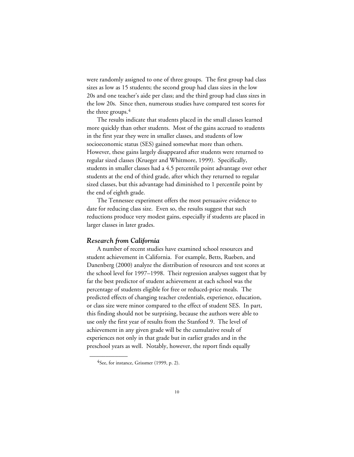were randomly assigned to one of three groups. The first group had class sizes as low as 15 students; the second group had class sizes in the low 20s and one teacher's aide per class; and the third group had class sizes in the low 20s. Since then, numerous studies have compared test scores for the three groups.<sup>4</sup>

The results indicate that students placed in the small classes learned more quickly than other students. Most of the gains accrued to students in the first year they were in smaller classes, and students of low socioeconomic status (SES) gained somewhat more than others. However, these gains largely disappeared after students were returned to regular sized classes (Krueger and Whitmore, 1999). Specifically, students in smaller classes had a 4.5 percentile point advantage over other students at the end of third grade, after which they returned to regular sized classes, but this advantage had diminished to 1 percentile point by the end of eighth grade.

The Tennessee experiment offers the most persuasive evidence to date for reducing class size. Even so, the results suggest that such reductions produce very modest gains, especially if students are placed in larger classes in later grades.

#### *Research from California*

A number of recent studies have examined school resources and student achievement in California. For example, Betts, Rueben, and Danenberg (2000) analyze the distribution of resources and test scores at the school level for 1997–1998. Their regression analyses suggest that by far the best predictor of student achievement at each school was the percentage of students eligible for free or reduced-price meals. The predicted effects of changing teacher credentials, experience, education, or class size were minor compared to the effect of student SES. In part, this finding should not be surprising, because the authors were able to use only the first year of results from the Stanford 9. The level of achievement in any given grade will be the cumulative result of experiences not only in that grade but in earlier grades and in the preschool years as well. Notably, however, the report finds equally

 $4$ See, for instance, Grissmer (1999, p. 2).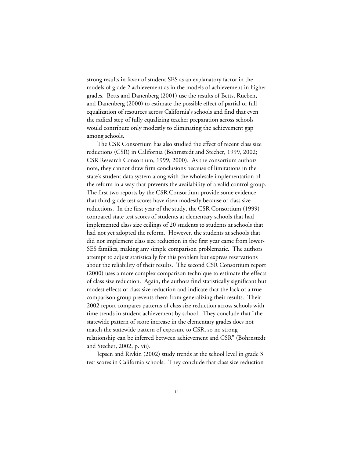strong results in favor of student SES as an explanatory factor in the models of grade 2 achievement as in the models of achievement in higher grades. Betts and Danenberg (2001) use the results of Betts, Rueben, and Danenberg (2000) to estimate the possible effect of partial or full equalization of resources across California's schools and find that even the radical step of fully equalizing teacher preparation across schools would contribute only modestly to eliminating the achievement gap among schools.

The CSR Consortium has also studied the effect of recent class size reductions (CSR) in California (Bohrnstedt and Stecher, 1999, 2002; CSR Research Consortium, 1999, 2000). As the consortium authors note, they cannot draw firm conclusions because of limitations in the state's student data system along with the wholesale implementation of the reform in a way that prevents the availability of a valid control group. The first two reports by the CSR Consortium provide some evidence that third-grade test scores have risen modestly because of class size reductions. In the first year of the study, the CSR Consortium (1999) compared state test scores of students at elementary schools that had implemented class size ceilings of 20 students to students at schools that had not yet adopted the reform. However, the students at schools that did not implement class size reduction in the first year came from lower-SES families, making any simple comparison problematic. The authors attempt to adjust statistically for this problem but express reservations about the reliability of their results. The second CSR Consortium report (2000) uses a more complex comparison technique to estimate the effects of class size reduction. Again, the authors find statistically significant but modest effects of class size reduction and indicate that the lack of a true comparison group prevents them from generalizing their results. Their 2002 report compares patterns of class size reduction across schools with time trends in student achievement by school. They conclude that "the statewide pattern of score increase in the elementary grades does not match the statewide pattern of exposure to CSR, so no strong relationship can be inferred between achievement and CSR" (Bohrnstedt and Stecher, 2002, p. vii).

Jepsen and Rivkin (2002) study trends at the school level in grade 3 test scores in California schools. They conclude that class size reduction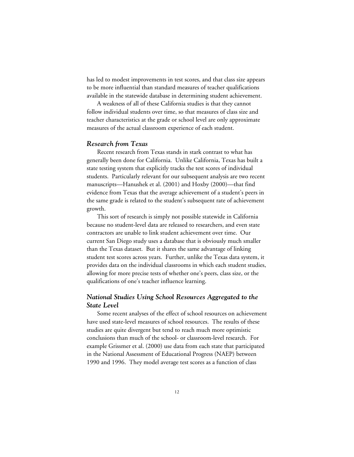has led to modest improvements in test scores, and that class size appears to be more influential than standard measures of teacher qualifications available in the statewide database in determining student achievement.

A weakness of all of these California studies is that they cannot follow individual students over time, so that measures of class size and teacher characteristics at the grade or school level are only approximate measures of the actual classroom experience of each student.

### *Research from Texas*

Recent research from Texas stands in stark contrast to what has generally been done for California. Unlike California, Texas has built a state testing system that explicitly tracks the test scores of individual students. Particularly relevant for our subsequent analysis are two recent manuscripts—Hanushek et al. (2001) and Hoxby (2000)—that find evidence from Texas that the average achievement of a student's peers in the same grade is related to the student's subsequent rate of achievement growth.

This sort of research is simply not possible statewide in California because no student-level data are released to researchers, and even state contractors are unable to link student achievement over time. Our current San Diego study uses a database that is obviously much smaller than the Texas dataset. But it shares the same advantage of linking student test scores across years. Further, unlike the Texas data system, it provides data on the individual classrooms in which each student studies, allowing for more precise tests of whether one's peers, class size, or the qualifications of one's teacher influence learning.

### *National Studies Using School Resources Aggregated to the State Level*

Some recent analyses of the effect of school resources on achievement have used state-level measures of school resources. The results of these studies are quite divergent but tend to reach much more optimistic conclusions than much of the school- or classroom-level research. For example Grissmer et al. (2000) use data from each state that participated in the National Assessment of Educational Progress (NAEP) between 1990 and 1996. They model average test scores as a function of class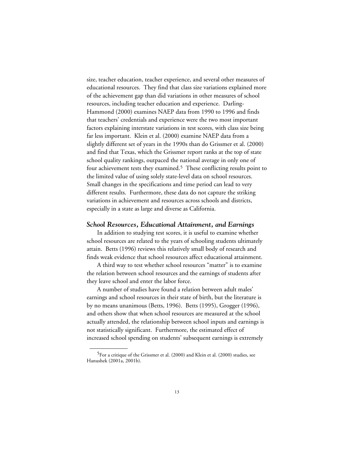size, teacher education, teacher experience, and several other measures of educational resources. They find that class size variations explained more of the achievement gap than did variations in other measures of school resources, including teacher education and experience. Darling-Hammond (2000) examines NAEP data from 1990 to 1996 and finds that teachers' credentials and experience were the two most important factors explaining interstate variations in test scores, with class size being far less important. Klein et al. (2000) examine NAEP data from a slightly different set of years in the 1990s than do Grissmer et al. (2000) and find that Texas, which the Grissmer report ranks at the top of state school quality rankings, outpaced the national average in only one of four achievement tests they examined.5 These conflicting results point to the limited value of using solely state-level data on school resources. Small changes in the specifications and time period can lead to very different results. Furthermore, these data do not capture the striking variations in achievement and resources across schools and districts, especially in a state as large and diverse as California.

#### *School Resources, Educational Attainment, and Earnings*

In addition to studying test scores, it is useful to examine whether school resources are related to the years of schooling students ultimately attain. Betts (1996) reviews this relatively small body of research and finds weak evidence that school resources affect educational attainment.

A third way to test whether school resources "matter" is to examine the relation between school resources and the earnings of students after they leave school and enter the labor force.

A number of studies have found a relation between adult males' earnings and school resources in their state of birth, but the literature is by no means unanimous (Betts, 1996). Betts (1995), Grogger (1996), and others show that when school resources are measured at the school actually attended, the relationship between school inputs and earnings is not statistically significant. Furthermore, the estimated effect of increased school spending on students' subsequent earnings is extremely

<sup>&</sup>lt;sup>5</sup>For a critique of the Grissmer et al. (2000) and Klein et al. (2000) studies, see Hanushek (2001a, 2001b).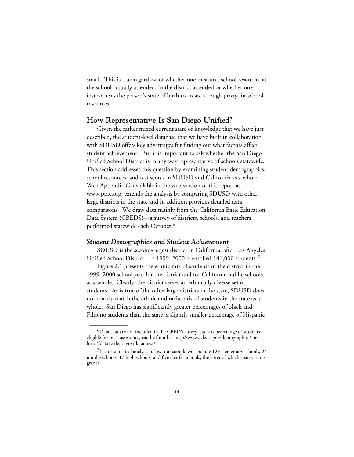small. This is true regardless of whether one measures school resources at the school actually attended, in the district attended or whether one instead uses the person's state of birth to create a rough proxy for school resources.

### **How Representative Is San Diego Unified?**

Given the rather mixed current state of knowledge that we have just described, the student-level database that we have built in collaboration with SDUSD offers key advantages for finding out what factors affect student achievement. But it is important to ask whether the San Diego Unified School District is in any way representative of schools statewide. This section addresses this question by examining student demographics, school resources, and test scores in SDUSD and California as a whole. [Web Appendix C,](web_appendix_C.toc.htm) available in the web version of this report at www.ppic.org, extends the analysis by comparing SDUSD with other large districts in the state and in addition provides detailed data comparisons. We draw data mainly from the California Basic Education Data System (CBEDS)—a survey of districts, schools, and teachers performed statewide each October.6

#### *Student Demographics and Student Achievement*

\_\_\_\_\_\_\_\_\_\_\_\_

SDUSD is the second-largest district in California, after Los Angeles Unified School District. In 1999–2000 it enrolled 141,000 students.7

Figure 2.1 presents the ethnic mix of students in the district in the 1999–2000 school year for the district and for California public schools as a whole. Clearly, the district serves an ethnically diverse set of students. As is true of the other large districts in the state, SDUSD does not exactly match the ethnic and racial mix of students in the state as a whole. San Diego has significantly greater percentages of black and Filipino students than the state, a slightly smaller percentage of Hispanic

<sup>&</sup>lt;sup>6</sup>Data that are not included in the CBEDS survey, such as percentage of students eligible for meal assistance, can be found at http://www.cde.ca.gov/demographics/ or http://data1.cde.ca.gov/dataquest/.

 $7$ In our statistical analysis below, our sample will include 123 elementary schools, 24 middle schools, 17 high schools, and five charter schools, the latter of which span various grades.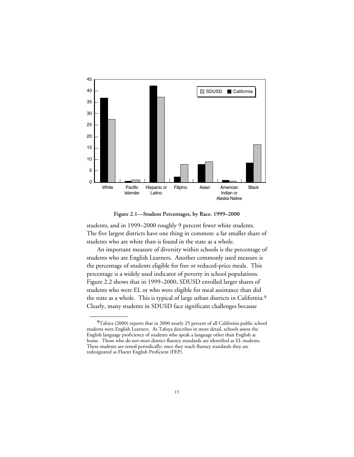

**Figure 2.1—Student Percentages, by Race, 1999–2000**

students, and in 1999–2000 roughly 9 percent fewer white students. The five largest districts have one thing in common: a far smaller share of students who are white than is found in the state as a whole.

An important measure of diversity within schools is the percentage of students who are English Learners. Another commonly used measure is the percentage of students eligible for free or reduced-price meals. This percentage is a widely used indicator of poverty in school populations. Figure 2.2 shows that in 1999–2000, SDUSD enrolled larger shares of students who were EL or who were eligible for meal assistance than did the state as a whole. This is typical of large urban districts in California.<sup>8</sup> Clearly, many students in SDUSD face significant challenges because

<sup>8</sup>Tafoya (2000) reports that in 2000 nearly 25 percent of all California public school students were English Learners. As Tafoya describes in more detail, schools assess the English language proficiency of students who speak a language other than English at home. Those who do not meet district fluency standards are identified as EL students. These students are tested periodically; once they reach fluency standards they are redesignated as Fluent English Proficient (FEP).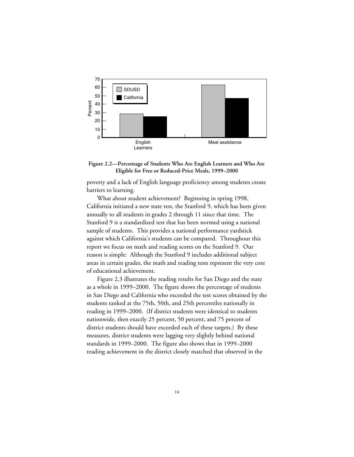

#### **Figure 2.2—Percentage of Students Who Are English Learners and Who Are Eligible for Free or Reduced-Price Meals, 1999–2000**

poverty and a lack of English language proficiency among students create barriers to learning.

What about student achievement? Beginning in spring 1998, California initiated a new state test, the Stanford 9, which has been given annually to all students in grades 2 through 11 since that time. The Stanford 9 is a standardized test that has been normed using a national sample of students. This provides a national performance yardstick against which California's students can be compared. Throughout this report we focus on math and reading scores on the Stanford 9. Our reason is simple: Although the Stanford 9 includes additional subject areas in certain grades, the math and reading tests represent the very core of educational achievement.

Figure 2.3 illustrates the reading results for San Diego and the state as a whole in 1999–2000. The figure shows the percentage of students in San Diego and California who exceeded the test scores obtained by the students ranked at the 75th, 50th, and 25th percentiles nationally in reading in 1999–2000. (If district students were identical to students nationwide, then exactly 25 percent, 50 percent, and 75 percent of district students should have exceeded each of these targets.) By these measures, district students were lagging very slightly behind national standards in 1999–2000. The figure also shows that in 1999–2000 reading achievement in the district closely matched that observed in the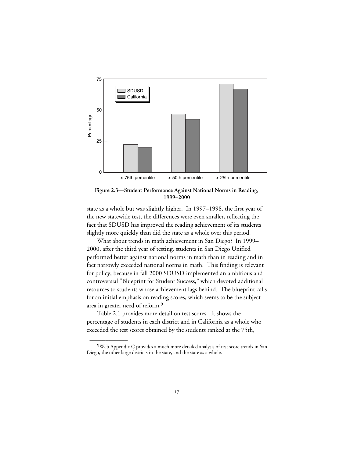

**Figure 2.3—Student Performance Against National Norms in Reading, 1999–2000**

state as a whole but was slightly higher. In 1997–1998, the first year of the new statewide test, the differences were even smaller, reflecting the fact that SDUSD has improved the reading achievement of its students slightly more quickly than did the state as a whole over this period.

What about trends in math achievement in San Diego? In 1999– 2000, after the third year of testing, students in San Diego Unified performed better against national norms in math than in reading and in fact narrowly exceeded national norms in math. This finding is relevant for policy, because in fall 2000 SDUSD implemented an ambitious and controversial "Blueprint for Student Success," which devoted additional resources to students whose achievement lags behind. The blueprint calls for an initial emphasis on reading scores, which seems to be the subject area in greater need of reform.9

Table 2.1 provides more detail on test scores. It shows the percentage of students in each district and in California as a whole who exceeded the test scores obtained by the students ranked at the 75th,

<sup>9</sup>Web Appendix C provides a much more detailed analysis of test score trends in San Diego, the other large districts in the state, and the state as a whole.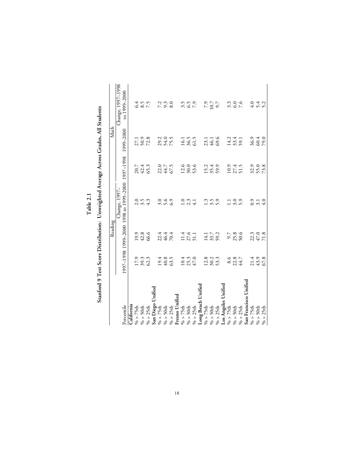| ۲      |
|--------|
| L<br>Ξ |
|        |
|        |
|        |

Stanford 9 Test Score Distribution: Unweighted Average Across Grades, All Students **Stanford 9 Test Score Distribution: Unweighted Average Across Grades, All Students**

|                                                                                                                                                                                                |                            | Reading                    |                                                                            |                            | Math                   |                                   |
|------------------------------------------------------------------------------------------------------------------------------------------------------------------------------------------------|----------------------------|----------------------------|----------------------------------------------------------------------------|----------------------------|------------------------|-----------------------------------|
| Percentile                                                                                                                                                                                     |                            |                            | 0007-0991 1999-2000 1998 to 1990-2000 1997-1998 1999-2000<br>Change, 1997– |                            |                        | Change, 1997-1998<br>to 1999-2000 |
| California                                                                                                                                                                                     |                            |                            |                                                                            |                            |                        |                                   |
| $\% > 75$ th                                                                                                                                                                                   |                            |                            |                                                                            |                            |                        |                                   |
| $\% > 50$ th                                                                                                                                                                                   |                            |                            |                                                                            |                            |                        |                                   |
| $\% > 25th$                                                                                                                                                                                    | $17.9$<br>$30.3$<br>$62.3$ | 19.9<br>42.8               | 0.5<br>0.5<br>4.5                                                          | 20.7<br>42.4<br>65.3       | 27.1<br>50.28          | $6.4$<br>$6.5$<br>$7.5$           |
|                                                                                                                                                                                                |                            |                            |                                                                            |                            |                        |                                   |
| San Diego Unified<br>% > 75th<br>% > 50th                                                                                                                                                      |                            |                            |                                                                            |                            |                        |                                   |
|                                                                                                                                                                                                |                            |                            |                                                                            |                            |                        |                                   |
| $\% > 25th$                                                                                                                                                                                    | 19.4<br>40.8<br>63.5       | 22.4<br>46.4<br>70.4       | 3.99<br>3.99                                                               | 22.7<br>44.7<br>67.5       | 29.2<br>54.0<br>75.5   | $7.\overline{3}.\overline{3}$     |
|                                                                                                                                                                                                |                            |                            |                                                                            |                            |                        |                                   |
| $\begin{array}{l} \mbox{Fresno Unified}\\ \% > 75 \mbox{th}\\ \% > 50 \mbox{th}\\ \% > 25 \mbox{th}\\ \mbox{Long } \mbox{Beach Unified}\\ \% > 75 \mbox{th}\\ \% > 75 \mbox{th}\\ \end{array}$ |                            |                            |                                                                            |                            |                        |                                   |
|                                                                                                                                                                                                | $10.4$<br>$25.3$<br>$47.0$ | $11.4$<br>$27.6$<br>51.1   |                                                                            | $12.6$<br>$30.0$<br>$53.6$ | $16.1$<br>36.5<br>61.5 | 3.5<br>3.5<br>3.7                 |
|                                                                                                                                                                                                |                            |                            |                                                                            |                            |                        |                                   |
|                                                                                                                                                                                                |                            |                            |                                                                            |                            |                        |                                   |
|                                                                                                                                                                                                |                            |                            |                                                                            |                            |                        |                                   |
|                                                                                                                                                                                                |                            |                            |                                                                            |                            |                        |                                   |
| % > 50th<br>% > 25th                                                                                                                                                                           | $12.8$<br>$30.2$<br>$53.3$ | $14.1$<br>33.7<br>59.2     | 1.300                                                                      | 15.4<br>35.4               | $23.1$<br>46.1<br>69.6 | $7.9$<br>10.7<br>9.7              |
|                                                                                                                                                                                                |                            |                            |                                                                            |                            |                        |                                   |
| Los Angeles Unified<br>% > 75th<br>% > 50th<br>% > 25th                                                                                                                                        |                            |                            |                                                                            |                            | 14.2<br>33.4<br>59.1   |                                   |
|                                                                                                                                                                                                |                            |                            |                                                                            |                            |                        |                                   |
|                                                                                                                                                                                                | 8.6<br>22.3<br>44.7        | 9.7<br>25.8<br>50.6        | $\frac{1}{2}$ 3.9                                                          | $10.9$<br>$27.4$<br>51.5   |                        | 3.000                             |
| San Francisco Unified                                                                                                                                                                          |                            |                            |                                                                            |                            |                        |                                   |
|                                                                                                                                                                                                |                            |                            |                                                                            |                            |                        |                                   |
| % > 75th<br>% > 50th<br>% > 25th                                                                                                                                                               | 21.4<br>43.9<br>67.8       | $22.3$<br>$47.0$<br>$71.8$ | $0.76$<br>$-4.0$                                                           | 32.9<br>55.8               | 36.3<br>60.4<br>79.0   | 4<br>4<br>4<br>5<br>4             |
|                                                                                                                                                                                                |                            |                            |                                                                            |                            |                        |                                   |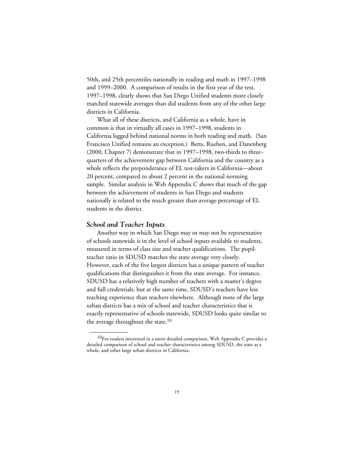50th, and 25th percentiles nationally in reading and math in 1997–1998 and 1999–2000. A comparison of results in the first year of the test, 1997–1998, clearly shows that San Diego Unified students more closely matched statewide averages than did students from any of the other large districts in California.

What all of these districts, and California as a whole, have in common is that in virtually all cases in 1997–1998, students in California lagged behind national norms in both reading and math. (San Francisco Unified remains an exception.) Betts, Rueben, and Danenberg (2000, Chapter 7) demonstrate that in 1997–1998, two-thirds to threequarters of the achievement gap between California and the country as a whole reflects the preponderance of EL test-takers in California—about 20 percent, compared to about 2 percent in the national norming sample. Similar analysis in [Web Appendix C](web_appendix_C.toc.htm) shows that much of the gap between the achievement of students in San Diego and students nationally is related to the much greater than average percentage of EL students in the district.

#### *School and Teacher Inputs*

\_\_\_\_\_\_\_\_\_\_\_\_

Another way in which San Diego may or may not be representative of schools statewide is in the level of school inputs available to students, measured in terms of class size and teacher qualifications. The pupilteacher ratio in SDUSD matches the state average very closely. However, each of the five largest districts has a unique pattern of teacher qualifications that distinguishes it from the state average. For instance, SDUSD has a relatively high number of teachers with a master's degree and full credentials, but at the same time, SDUSD's teachers have less teaching experience than teachers elsewhere. Although none of the large urban districts has a mix of school and teacher characteristics that is exactly representative of schools statewide, SDUSD looks quite similar to the average throughout the state.<sup>10</sup>

 $^{10}$ For readers interested in a more detailed comparison, Web Appendix C provides a detailed comparison of school and teacher characteristics among SDUSD, the state as a whole, and other large urban districts in California.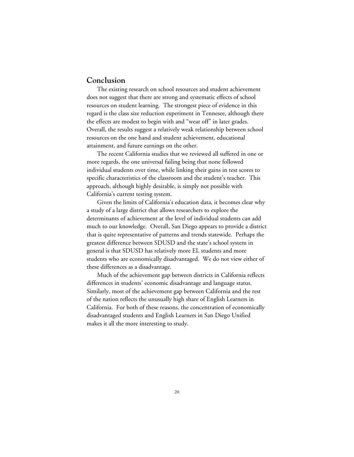## **Conclusion**

The existing research on school resources and student achievement does not suggest that there are strong and systematic effects of school resources on student learning. The strongest piece of evidence in this regard is the class size reduction experiment in Tennesee, although there the effects are modest to begin with and "wear off" in later grades. Overall, the results suggest a relatively weak relationship between school resources on the one hand and student achievement, educational attainment, and future earnings on the other.

The recent California studies that we reviewed all suffered in one or more regards, the one universal failing being that none followed individual students over time, while linking their gains in test scores to specific characteristics of the classroom and the student's teacher. This approach, although highly desirable, is simply not possible with California's current testing system.

Given the limits of California's education data, it becomes clear why a study of a large district that allows researchers to explore the determinants of achievement at the level of individual students can add much to our knowledge. Overall, San Diego appears to provide a district that is quite representative of patterns and trends statewide. Perhaps the greatest difference between SDUSD and the state's school system in general is that SDUSD has relatively more EL students and more students who are economically disadvantaged. We do not view either of these differences as a disadvantage.

Much of the achievement gap between districts in California reflects differences in students' economic disadvantage and language status. Similarly, most of the achievement gap between California and the rest of the nation reflects the unusually high share of English Learners in California. For both of these reasons, the concentration of economically disadvantaged students and English Learners in San Diego Unified makes it all the more interesting to study.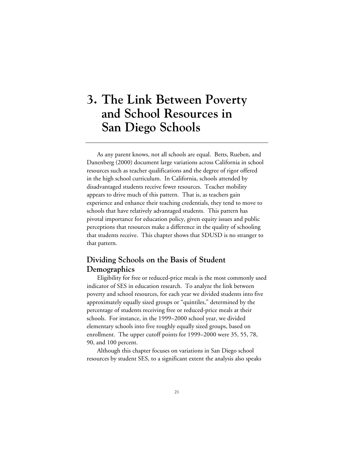# **3. The Link Between Poverty and School Resources in San Diego Schools**

As any parent knows, not all schools are equal. Betts, Rueben, and Danenberg (2000) document large variations across California in school resources such as teacher qualifications and the degree of rigor offered in the high school curriculum. In California, schools attended by disadvantaged students receive fewer resources. Teacher mobility appears to drive much of this pattern. That is, as teachers gain experience and enhance their teaching credentials, they tend to move to schools that have relatively advantaged students. This pattern has pivotal importance for education policy, given equity issues and public perceptions that resources make a difference in the quality of schooling that students receive. This chapter shows that SDUSD is no stranger to that pattern.

# **Dividing Schools on the Basis of Student Demographics**

Eligibility for free or reduced-price meals is the most commonly used indicator of SES in education research. To analyze the link between poverty and school resources, for each year we divided students into five approximately equally sized groups or "quintiles," determined by the percentage of students receiving free or reduced-price meals at their schools. For instance, in the 1999–2000 school year, we divided elementary schools into five roughly equally sized groups, based on enrollment. The upper cutoff points for 1999–2000 were 35, 55, 78, 90, and 100 percent.

Although this chapter focuses on variations in San Diego school resources by student SES, to a significant extent the analysis also speaks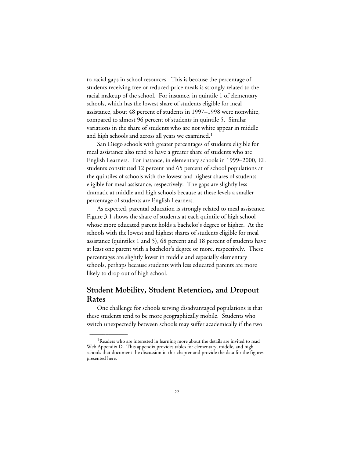to racial gaps in school resources. This is because the percentage of students receiving free or reduced-price meals is strongly related to the racial makeup of the school. For instance, in quintile 1 of elementary schools, which has the lowest share of students eligible for meal assistance, about 48 percent of students in 1997–1998 were nonwhite, compared to almost 96 percent of students in quintile 5. Similar variations in the share of students who are not white appear in middle and high schools and across all years we examined.<sup>1</sup>

San Diego schools with greater percentages of students eligible for meal assistance also tend to have a greater share of students who are English Learners. For instance, in elementary schools in 1999–2000, EL students constituted 12 percent and 65 percent of school populations at the quintiles of schools with the lowest and highest shares of students eligible for meal assistance, respectively. The gaps are slightly less dramatic at middle and high schools because at these levels a smaller percentage of students are English Learners.

As expected, parental education is strongly related to meal assistance. Figure 3.1 shows the share of students at each quintile of high school whose more educated parent holds a bachelor's degree or higher. At the schools with the lowest and highest shares of students eligible for meal assistance (quintiles 1 and 5), 68 percent and 18 percent of students have at least one parent with a bachelor's degree or more, respectively. These percentages are slightly lower in middle and especially elementary schools, perhaps because students with less educated parents are more likely to drop out of high school.

# **Student Mobility, Student Retention, and Dropout Rates**

One challenge for schools serving disadvantaged populations is that these students tend to be more geographically mobile. Students who switch unexpectedly between schools may suffer academically if the two

<sup>&</sup>lt;sup>1</sup>Readers who are interested in learning more about the details are invited to read Web Appendix D. This appendix provides tables for elementary, middle, and high schools that document the discussion in this chapter and provide the data for the figures presented here.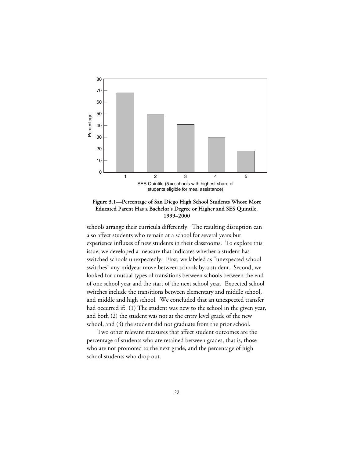



schools arrange their curricula differently. The resulting disruption can also affect students who remain at a school for several years but experience influxes of new students in their classrooms. To explore this issue, we developed a measure that indicates whether a student has switched schools unexpectedly. First, we labeled as "unexpected school switches" any midyear move between schools by a student. Second, we looked for unusual types of transitions between schools between the end of one school year and the start of the next school year. Expected school switches include the transitions between elementary and middle school, and middle and high school. We concluded that an unexpected transfer had occurred if: (1) The student was new to the school in the given year, and both (2) the student was not at the entry level grade of the new school, and (3) the student did not graduate from the prior school.

Two other relevant measures that affect student outcomes are the percentage of students who are retained between grades, that is, those who are not promoted to the next grade, and the percentage of high school students who drop out.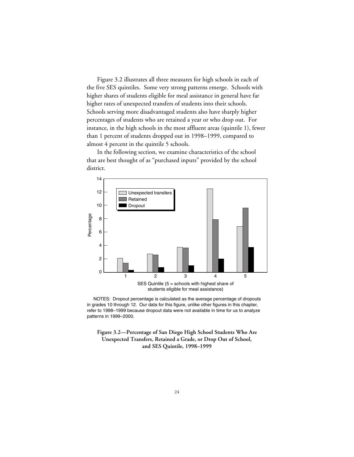Figure 3.2 illustrates all three measures for high schools in each of the five SES quintiles. Some very strong patterns emerge. Schools with higher shares of students eligible for meal assistance in general have far higher rates of unexpected transfers of students into their schools. Schools serving more disadvantaged students also have sharply higher percentages of students who are retained a year or who drop out. For instance, in the high schools in the most affluent areas (quintile 1), fewer than 1 percent of students dropped out in 1998–1999, compared to almost 4 percent in the quintile 5 schools.

In the following section, we examine characteristics of the school that are best thought of as "purchased inputs" provided by the school district.



 NOTES: Dropout percentage is calculated as the average percentage of dropouts in grades 10 through 12. Our data for this figure, unlike other figures in this chapter, refer to 1998–1999 because dropout data were not available in time for us to analyze patterns in 1999–2000.

**Figure 3.2—Percentage of San Diego High School Students Who Are Unexpected Transfers, Retained a Grade, or Drop Out of School, and SES Quintile, 1998–1999**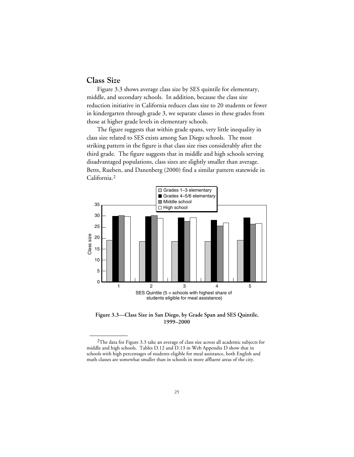## **Class Size**

\_\_\_\_\_\_\_\_\_\_\_\_

Figure 3.3 shows average class size by SES quintile for elementary, middle, and secondary schools. In addition, because the class size reduction initiative in California reduces class size to 20 students or fewer in kindergarten through grade 3, we separate classes in these grades from those at higher grade levels in elementary schools.

The figure suggests that within grade spans, very little inequality in class size related to SES exists among San Diego schools. The most striking pattern in the figure is that class size rises considerably after the third grade. The figure suggests that in middle and high schools serving disadvantaged populations, class sizes are slightly smaller than average. Betts, Rueben, and Danenberg (2000) find a similar pattern statewide in California.2



**Figure 3.3—Class Size in San Diego, by Grade Span and SES Quintile, 1999–2000**

<sup>2</sup>The data for Figure 3.3 take an average of class size across all academic subjects for middle and high schools. Tables D.12 and D.13 in Web Appendix D show that in schools with high percentages of students eligible for meal assistance, both English and math classes are somewhat smaller than in schools in more affluent areas of the city.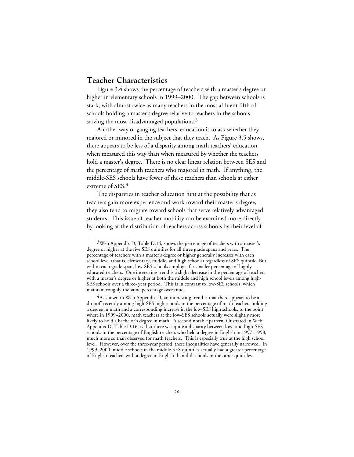# **Teacher Characteristics**

\_\_\_\_\_\_\_\_\_\_\_\_

Figure 3.4 shows the percentage of teachers with a master's degree or higher in elementary schools in 1999–2000. The gap between schools is stark, with almost twice as many teachers in the most affluent fifth of schools holding a master's degree relative to teachers in the schools serving the most disadvantaged populations.<sup>3</sup>

Another way of gauging teachers' education is to ask whether they majored or minored in the subject that they teach. As Figure 3.5 shows, there appears to be less of a disparity among math teachers' education when measured this way than when measured by whether the teachers hold a master's degree. There is no clear linear relation between SES and the percentage of math teachers who majored in math. If anything, the middle-SES schools have fewer of these teachers than schools at either extreme of SES.4

The disparities in teacher education hint at the possibility that as teachers gain more experience and work toward their master's degree, they also tend to migrate toward schools that serve relatively advantaged students. This issue of teacher mobility can be examined more directly by looking at the distribution of teachers across schools by their level of

 $3$ Web Appendix D, Table D.14, shows the percentage of teachers with a master's degree or higher at the five SES quintiles for all three grade spans and years. The percentage of teachers with a master's degree or higher generally increases with each school level (that is, elementary, middle, and high schools) regardless of SES quintile. But within each grade span, low-SES schools employ a far smaller percentage of highly educated teachers. One interesting trend is a slight decrease in the percentage of teachers with a master's degree or higher at both the middle and high school levels among high-SES schools over a three- year period. This is in contrast to low-SES schools, which maintain roughly the same percentage over time.

 $4$ As shown in Web Appendix D, an interesting trend is that there appears to be a dropoff recently among high-SES high schools in the percentage of math teachers holding a degree in math and a corresponding increase in the low-SES high schools, to the point where in 1999–2000, math teachers at the low-SES schools actually were slightly more likely to hold a bachelor's degree in math. A second notable pattern, illustrated in Web Appendix D, Table D.16, is that there was quite a disparity between low- and high-SES schools in the percentage of English teachers who held a degree in English in 1997–1998, much more so than observed for math teachers. This is especially true at the high school level. However, over the three-year period, these inequalities have generally narrowed. In 1999–2000, middle schools in the middle-SES quintiles actually had a greater percentage of English teachers with a degree in English than did schools in the other quintiles.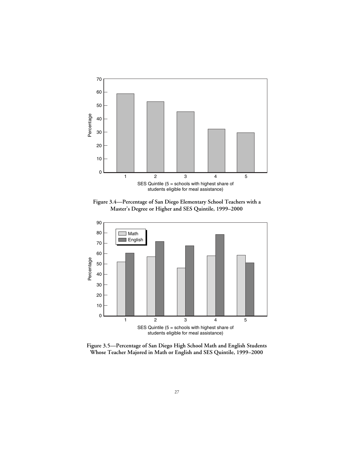

**Figure 3.4—Percentage of San Diego Elementary School Teachers with a Master's Degree or Higher and SES Quintile, 1999–2000**



**Figure 3.5—Percentage of San Diego High School Math and English Students Whose Teacher Majored in Math or English and SES Quintile, 1999–2000**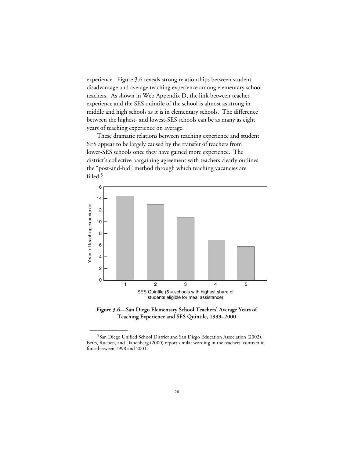experience. Figure 3.6 reveals strong relationships between student disadvantage and average teaching experience among elementary school teachers. As shown in [Web Appendix D,](web_appendix_D.toc.htm) the link between teacher experience and the SES quintile of the school is almost as strong in middle and high schools as it is in elementary schools. The difference between the highest- and lowest-SES schools can be as many as eight years of teaching experience on average.

These dramatic relations between teaching experience and student SES appear to be largely caused by the transfer of teachers from lower-SES schools once they have gained more experience. The district's collective bargaining agreement with teachers clearly outlines the "post-and-bid" method through which teaching vacancies are filled:<sup>5</sup>





<sup>&</sup>lt;sup>5</sup>San Diego Unified School District and San Diego Education Association (2002). Betts, Rueben, and Danenberg (2000) report similar wording in the teachers' contract in force between 1998 and 2001.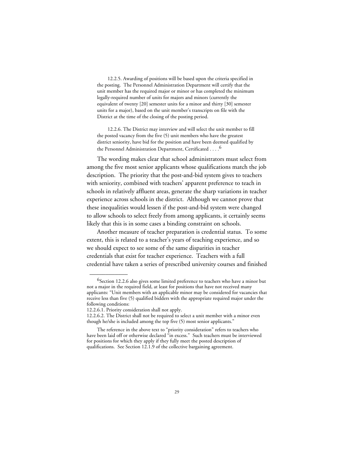12.2.5. Awarding of positions will be based upon the criteria specified in the posting. The Personnel Administration Department will certify that the unit member has the required major or minor or has completed the minimum legally-required number of units for majors and minors (currently the equivalent of twenty [20] semester units for a minor and thirty [30] semester units for a major), based on the unit member's transcripts on file with the District at the time of the closing of the posting period.

12.2.6. The District may interview and will select the unit member to fill the posted vacancy from the five (5) unit members who have the greatest district seniority, have bid for the position and have been deemed qualified by the Personnel Administration Department, Certificated . . . .6

The wording makes clear that school administrators must select from among the five most senior applicants whose qualifications match the job description. The priority that the post-and-bid system gives to teachers with seniority, combined with teachers' apparent preference to teach in schools in relatively affluent areas, generate the sharp variations in teacher experience across schools in the district. Although we cannot prove that these inequalities would lessen if the post-and-bid system were changed to allow schools to select freely from among applicants, it certainly seems likely that this is in some cases a binding constraint on schools.

Another measure of teacher preparation is credential status. To some extent, this is related to a teacher's years of teaching experience, and so we should expect to see some of the same disparities in teacher credentials that exist for teacher experience. Teachers with a full credential have taken a series of prescribed university courses and finished

<sup>&</sup>lt;sup>6</sup>Section 12.2.6 also gives some limited preference to teachers who have a minor but not a major in the required field, at least for positions that have not received many applicants: "Unit members with an applicable minor may be considered for vacancies that receive less than five (5) qualified bidders with the appropriate required major under the following conditions:

<sup>12.2.6.1.</sup> Priority consideration shall not apply.

<sup>12.2.6.2.</sup> The District shall not be required to select a unit member with a minor even though he/she is included among the top five (5) most senior applicants."

The reference in the above text to "priority consideration" refers to teachers who have been laid off or otherwise declared "in excess." Such teachers must be interviewed for positions for which they apply if they fully meet the posted description of qualifications. See Section 12.1.9 of the collective bargaining agreement.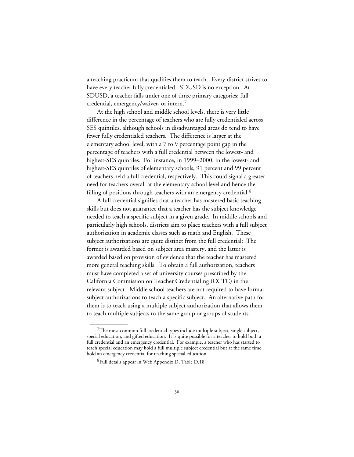a teaching practicum that qualifies them to teach. Every district strives to have every teacher fully credentialed. SDUSD is no exception. At SDUSD, a teacher falls under one of three primary categories: full credential, emergency/waiver, or intern.7

At the high school and middle school levels, there is very little difference in the percentage of teachers who are fully credentialed across SES quintiles, although schools in disadvantaged areas do tend to have fewer fully credentialed teachers. The difference is larger at the elementary school level, with a 7 to 9 percentage point gap in the percentage of teachers with a full credential between the lowest- and highest-SES quintiles. For instance, in 1999–2000, in the lowest- and highest-SES quintiles of elementary schools, 91 percent and 99 percent of teachers held a full credential, respectively. This could signal a greater need for teachers overall at the elementary school level and hence the filling of positions through teachers with an emergency credential.<sup>8</sup>

A full credential signifies that a teacher has mastered basic teaching skills but does not guarantee that a teacher has the subject knowledge needed to teach a specific subject in a given grade. In middle schools and particularly high schools, districts aim to place teachers with a full subject authorization in academic classes such as math and English. These subject authorizations are quite distinct from the full credential: The former is awarded based on subject area mastery, and the latter is awarded based on provision of evidence that the teacher has mastered more general teaching skills. To obtain a full authorization, teachers must have completed a set of university courses prescribed by the California Commission on Teacher Credentialing (CCTC) in the relevant subject. Middle school teachers are not required to have formal subject authorizations to teach a specific subject. An alternative path for them is to teach using a multiple subject authorization that allows them to teach multiple subjects to the same group or groups of students.

 $7$ The most common full credential types include multiple subject, single subject, special education, and gifted education. It is quite possible for a teacher to hold both a full credential and an emergency credential. For example, a teacher who has started to teach special education may hold a full multiple subject credential but at the same time hold an emergency credential for teaching special education.

<sup>8</sup>Full details appear in Web Appendix D, Table D.18.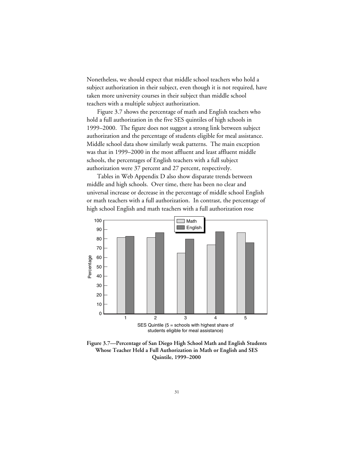Nonetheless, we should expect that middle school teachers who hold a subject authorization in their subject, even though it is not required, have taken more university courses in their subject than middle school teachers with a multiple subject authorization.

Figure 3.7 shows the percentage of math and English teachers who hold a full authorization in the five SES quintiles of high schools in 1999–2000. The figure does not suggest a strong link between subject authorization and the percentage of students eligible for meal assistance. Middle school data show similarly weak patterns. The main exception was that in 1999–2000 in the most affluent and least affluent middle schools, the percentages of English teachers with a full subject authorization were 37 percent and 27 percent, respectively.

Tables in [Web Appendix D](web_appendix_D.toc.htm) also show disparate trends between middle and high schools. Over time, there has been no clear and universal increase or decrease in the percentage of middle school English or math teachers with a full authorization. In contrast, the percentage of high school English and math teachers with a full authorization rose



**Figure 3.7—Percentage of San Diego High School Math and English Students Whose Teacher Held a Full Authorization in Math or English and SES Quintile, 1999–2000**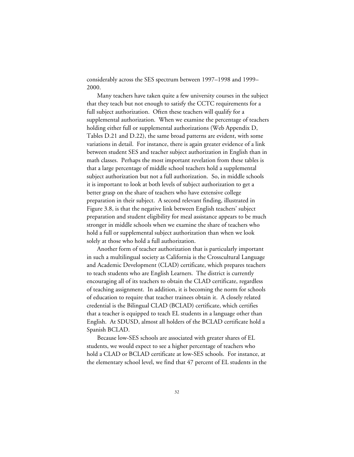considerably across the SES spectrum between 1997–1998 and 1999– 2000.

Many teachers have taken quite a few university courses in the subject that they teach but not enough to satisfy the CCTC requirements for a full subject authorization. Often these teachers will qualify for a supplemental authorization. When we examine the percentage of teachers holding either full or supplemental authorizations ([Web Appendix D](web_appendix_D.toc.htm), Tables D.21 and D.22), the same broad patterns are evident, with some variations in detail. For instance, there is again greater evidence of a link between student SES and teacher subject authorization in English than in math classes. Perhaps the most important revelation from these tables is that a large percentage of middle school teachers hold a supplemental subject authorization but not a full authorization. So, in middle schools it is important to look at both levels of subject authorization to get a better grasp on the share of teachers who have extensive college preparation in their subject. A second relevant finding, illustrated in Figure 3.8, is that the negative link between English teachers' subject preparation and student eligibility for meal assistance appears to be much stronger in middle schools when we examine the share of teachers who hold a full or supplemental subject authorization than when we look solely at those who hold a full authorization.

Another form of teacher authorization that is particularly important in such a multilingual society as California is the Crosscultural Language and Academic Development (CLAD) certificate, which prepares teachers to teach students who are English Learners. The district is currently encouraging all of its teachers to obtain the CLAD certificate, regardless of teaching assignment. In addition, it is becoming the norm for schools of education to require that teacher trainees obtain it. A closely related credential is the Bilingual CLAD (BCLAD) certificate, which certifies that a teacher is equipped to teach EL students in a language other than English. At SDUSD, almost all holders of the BCLAD certificate hold a Spanish BCLAD.

Because low-SES schools are associated with greater shares of EL students, we would expect to see a higher percentage of teachers who hold a CLAD or BCLAD certificate at low-SES schools. For instance, at the elementary school level, we find that 47 percent of EL students in the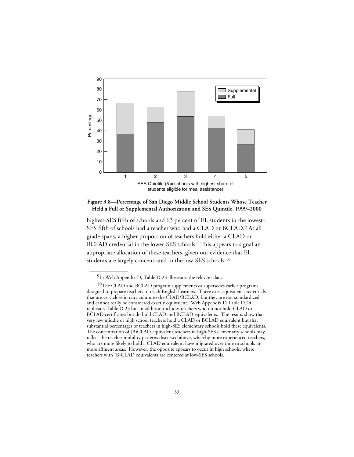

**Figure 3.8—Percentage of San Diego Middle School Students Whose Teacher Held a Full or Supplemental Authorization and SES Quintile, 1999–2000**

highest-SES fifth of schools and 63 percent of EL students in the lowest-SES fifth of schools had a teacher who had a CLAD or BCLAD.9 At all grade spans, a higher proportion of teachers hold either a CLAD or BCLAD credential in the lower-SES schools. This appears to signal an appropriate allocation of these teachers, given our evidence that EL students are largely concentrated in the low-SES schools.10

<sup>9</sup>In Web Appendix D, Table D.23 illustrates the relevant data.

 $^{10}\mathrm{The~CLAD}$  and BCLAD program supplements or supersedes earlier programs designed to prepare teachers to teach English Learners. There exist equivalent credentials that are very close in curriculum to the CLAD/BCLAD, but they are not standardized and cannot really be considered exactly equivalent. Web Appendix D Table D.24 replicates Table D.23 but in addition includes teachers who do not hold CLAD or BCLAD certificates but do hold CLAD and BCLAD equivalents. The results show that very few middle or high school teachers hold a CLAD or BCLAD equivalent but that substantial percentages of teachers in high-SES elementary schools hold these equivalents. The concentration of (B)CLAD-equivalent teachers in high-SES elementary schools may reflect the teacher mobility patterns discussed above, whereby more experienced teachers, who are more likely to hold a CLAD equivalent, have migrated over time to schools in more affluent areas. However, the opposite appears to occur in high schools, where teachers with (B)CLAD equivalents are centered at low-SES schools.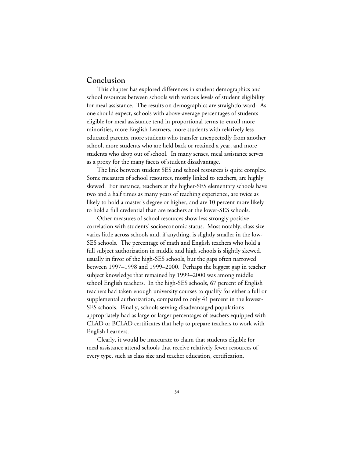## **Conclusion**

This chapter has explored differences in student demographics and school resources between schools with various levels of student eligibility for meal assistance. The results on demographics are straightforward: As one should expect, schools with above-average percentages of students eligible for meal assistance tend in proportional terms to enroll more minorities, more English Learners, more students with relatively less educated parents, more students who transfer unexpectedly from another school, more students who are held back or retained a year, and more students who drop out of school. In many senses, meal assistance serves as a proxy for the many facets of student disadvantage.

The link between student SES and school resources is quite complex. Some measures of school resources, mostly linked to teachers, are highly skewed. For instance, teachers at the higher-SES elementary schools have two and a half times as many years of teaching experience, are twice as likely to hold a master's degree or higher, and are 10 percent more likely to hold a full credential than are teachers at the lower-SES schools.

Other measures of school resources show less strongly positive correlation with students' socioeconomic status. Most notably, class size varies little across schools and, if anything, is slightly smaller in the low-SES schools. The percentage of math and English teachers who hold a full subject authorization in middle and high schools is slightly skewed, usually in favor of the high-SES schools, but the gaps often narrowed between 1997–1998 and 1999–2000. Perhaps the biggest gap in teacher subject knowledge that remained by 1999–2000 was among middle school English teachers. In the high-SES schools, 67 percent of English teachers had taken enough university courses to qualify for either a full or supplemental authorization, compared to only 41 percent in the lowest-SES schools. Finally, schools serving disadvantaged populations appropriately had as large or larger percentages of teachers equipped with CLAD or BCLAD certificates that help to prepare teachers to work with English Learners.

Clearly, it would be inaccurate to claim that students eligible for meal assistance attend schools that receive relatively fewer resources of every type, such as class size and teacher education, certification,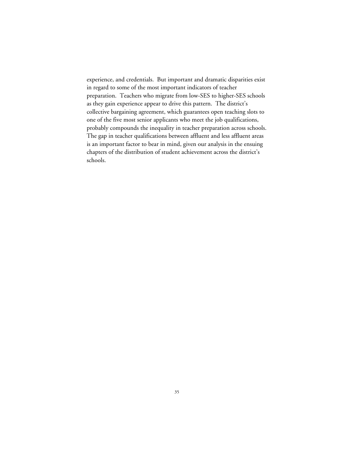experience, and credentials. But important and dramatic disparities exist in regard to some of the most important indicators of teacher preparation. Teachers who migrate from low-SES to higher-SES schools as they gain experience appear to drive this pattern. The district's collective bargaining agreement, which guarantees open teaching slots to one of the five most senior applicants who meet the job qualifications, probably compounds the inequality in teacher preparation across schools. The gap in teacher qualifications between affluent and less affluent areas is an important factor to bear in mind, given our analysis in the ensuing chapters of the distribution of student achievement across the district's schools.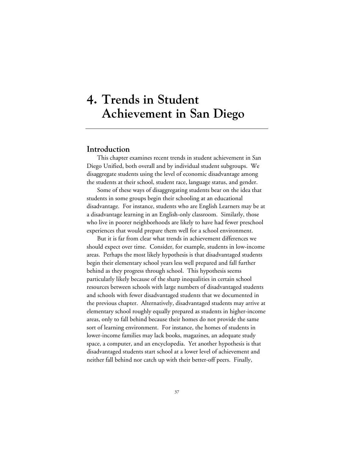# **4. Trends in Student Achievement in San Diego**

## **Introduction**

This chapter examines recent trends in student achievement in San Diego Unified, both overall and by individual student subgroups. We disaggregate students using the level of economic disadvantage among the students at their school, student race, language status, and gender.

Some of these ways of disaggregating students bear on the idea that students in some groups begin their schooling at an educational disadvantage. For instance, students who are English Learners may be at a disadvantage learning in an English-only classroom. Similarly, those who live in poorer neighborhoods are likely to have had fewer preschool experiences that would prepare them well for a school environment.

But it is far from clear what trends in achievement differences we should expect over time. Consider, for example, students in low-income areas. Perhaps the most likely hypothesis is that disadvantaged students begin their elementary school years less well prepared and fall further behind as they progress through school. This hypothesis seems particularly likely because of the sharp inequalities in certain school resources between schools with large numbers of disadvantaged students and schools with fewer disadvantaged students that we documented in the previous chapter. Alternatively, disadvantaged students may arrive at elementary school roughly equally prepared as students in higher-income areas, only to fall behind because their homes do not provide the same sort of learning environment. For instance, the homes of students in lower-income families may lack books, magazines, an adequate study space, a computer, and an encyclopedia. Yet another hypothesis is that disadvantaged students start school at a lower level of achievement and neither fall behind nor catch up with their better-off peers. Finally,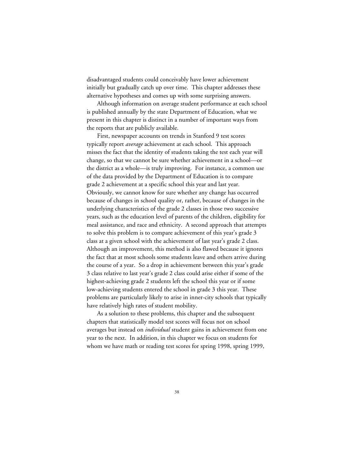disadvantaged students could conceivably have lower achievement initially but gradually catch up over time. This chapter addresses these alternative hypotheses and comes up with some surprising answers.

Although information on average student performance at each school is published annually by the state Department of Education, what we present in this chapter is distinct in a number of important ways from the reports that are publicly available.

First, newspaper accounts on trends in Stanford 9 test scores typically report *average* achievement at each school. This approach misses the fact that the identity of students taking the test each year will change, so that we cannot be sure whether achievement in a school—or the district as a whole—is truly improving. For instance, a common use of the data provided by the Department of Education is to compare grade 2 achievement at a specific school this year and last year. Obviously, we cannot know for sure whether any change has occurred because of changes in school quality or, rather, because of changes in the underlying characteristics of the grade 2 classes in those two successive years, such as the education level of parents of the children, eligibility for meal assistance, and race and ethnicity. A second approach that attempts to solve this problem is to compare achievement of this year's grade 3 class at a given school with the achievement of last year's grade 2 class. Although an improvement, this method is also flawed because it ignores the fact that at most schools some students leave and others arrive during the course of a year. So a drop in achievement between this year's grade 3 class relative to last year's grade 2 class could arise either if some of the highest-achieving grade 2 students left the school this year or if some low-achieving students entered the school in grade 3 this year. These problems are particularly likely to arise in inner-city schools that typically have relatively high rates of student mobility.

As a solution to these problems, this chapter and the subsequent chapters that statistically model test scores will focus not on school averages but instead on *individual* student gains in achievement from one year to the next. In addition, in this chapter we focus on students for whom we have math or reading test scores for spring 1998, spring 1999,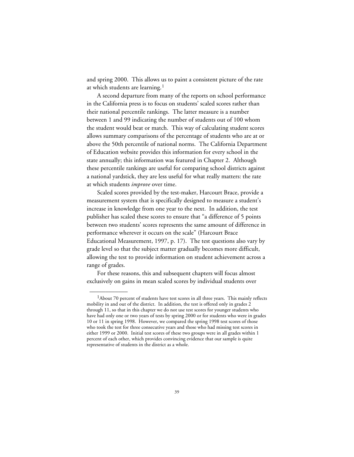and spring 2000. This allows us to paint a consistent picture of the rate at which students are learning.<sup>1</sup>

A second departure from many of the reports on school performance in the California press is to focus on students' scaled scores rather than their national percentile rankings. The latter measure is a number between 1 and 99 indicating the number of students out of 100 whom the student would beat or match. This way of calculating student scores allows summary comparisons of the percentage of students who are at or above the 50th percentile of national norms. The California Department of Education website provides this information for every school in the state annually; this information was featured in Chapter 2. Although these percentile rankings are useful for comparing school districts against a national yardstick, they are less useful for what really matters: the rate at which students *improve* over time.

Scaled scores provided by the test-maker, Harcourt Brace, provide a measurement system that is specifically designed to measure a student's increase in knowledge from one year to the next. In addition, the test publisher has scaled these scores to ensure that "a difference of 5 points between two students' scores represents the same amount of difference in performance wherever it occurs on the scale" (Harcourt Brace Educational Measurement, 1997, p. 17). The test questions also vary by grade level so that the subject matter gradually becomes more difficult, allowing the test to provide information on student achievement across a range of grades.

For these reasons, this and subsequent chapters will focus almost exclusively on gains in mean scaled scores by individual students over

<sup>&</sup>lt;sup>1</sup>About 70 percent of students have test scores in all three years. This mainly reflects mobility in and out of the district. In addition, the test is offered only in grades 2 through 11, so that in this chapter we do not use test scores for younger students who have had only one or two years of tests by spring 2000 or for students who were in grades 10 or 11 in spring 1998. However, we compared the spring 1998 test scores of those who took the test for three consecutive years and those who had missing test scores in either 1999 or 2000. Initial test scores of these two groups were in all grades within 1 percent of each other, which provides convincing evidence that our sample is quite representative of students in the district as a whole.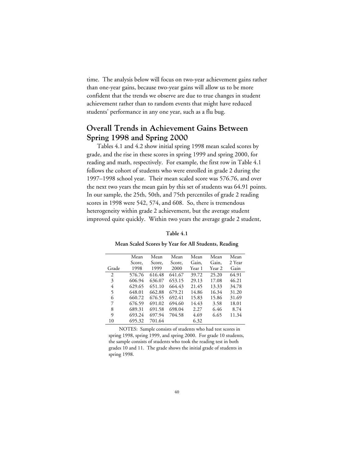time. The analysis below will focus on two-year achievement gains rather than one-year gains, because two-year gains will allow us to be more confident that the trends we observe are due to true changes in student achievement rather than to random events that might have reduced students' performance in any one year, such as a flu bug.

# **Overall Trends in Achievement Gains Between Spring 1998 and Spring 2000**

Tables 4.1 and 4.2 show initial spring 1998 mean scaled scores by grade, and the rise in these scores in spring 1999 and spring 2000, for reading and math, respectively. For example, the first row in Table 4.1 follows the cohort of students who were enrolled in grade 2 during the 1997–1998 school year. Their mean scaled score was 576.76, and over the next two years the mean gain by this set of students was 64.91 points. In our sample, the 25th, 50th, and 75th percentiles of grade 2 reading scores in 1998 were 542, 574, and 608. So, there is tremendous heterogeneity within grade 2 achievement, but the average student improved quite quickly. Within two years the average grade 2 student,

| Mean   | Mean   | Mean   | Mean   | Mean   | Mean   |
|--------|--------|--------|--------|--------|--------|
| Score. | Score. | Score. | Gain,  | Gain,  | 2 Year |
| 1998   | 1999   | 2000   | Year 1 | Year 2 | Gain   |
| 576.76 | 616.48 | 641.67 | 39.72  | 25.20  | 64.91  |
| 606.94 | 636.07 | 653.15 | 29.13  | 17.08  | 46.21  |
| 629.65 | 651.10 | 664.43 | 21.45  | 13.33  | 34.78  |
| 648.01 | 662.88 | 679.21 | 14.86  | 16.34  | 31.20  |
| 660.72 | 676.55 | 692.41 | 15.83  | 15.86  | 31.69  |
| 676.59 | 691.02 | 694.60 | 14.43  | 3.58   | 18.01  |
| 689.31 | 691.58 | 698.04 | 2.27   | 6.46   | 8.74   |
| 693.24 | 697.94 | 704.58 | 4.69   | 6.65   | 11.34  |
| 695.32 | 701.64 |        | 6.32   |        |        |
|        |        |        |        |        |        |

**Table 4.1**

#### **Mean Scaled Scores by Year for All Students, Reading**

NOTES: Sample consists of students who had test scores in spring 1998, spring 1999, and spring 2000. For grade 10 students, the sample consists of students who took the reading test in both grades 10 and 11. The grade shows the initial grade of students in spring 1998.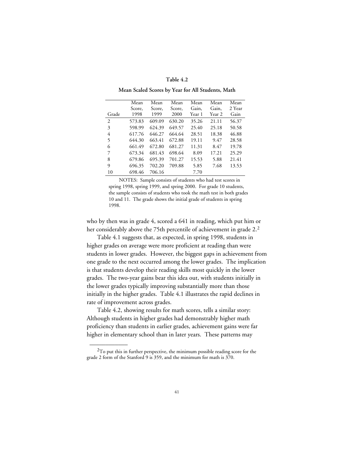#### **Table 4.2**

#### **Mean Scaled Scores by Year for All Students, Math**

|       | Mean   | Mean   | Mean   | Mean   | Mean   | Mean   |
|-------|--------|--------|--------|--------|--------|--------|
|       | Score. | Score, | Score, | Gain,  | Gain,  | 2 Year |
| Grade | 1998   | 1999   | 2000   | Year 1 | Year 2 | Gain   |
| 2     | 573.83 | 609.09 | 630.20 | 35.26  | 21.11  | 56.37  |
| 3     | 598.99 | 624.39 | 649.57 | 25.40  | 25.18  | 50.58  |
| 4     | 617.76 | 646.27 | 664.64 | 28.51  | 18.38  | 46.88  |
| 5     | 644.30 | 663.41 | 672.88 | 19.11  | 9.47   | 28.58  |
| 6     | 661.49 | 672.80 | 681.27 | 11.31  | 8.47   | 19.78  |
| 7     | 673.34 | 681.43 | 698.64 | 8.09   | 17.21  | 25.29  |
| 8     | 679.86 | 695.39 | 701.27 | 15.53  | 5.88   | 21.41  |
| 9     | 696.35 | 702.20 | 709.88 | 5.85   | 7.68   | 13.53  |
| 10    | 698.46 | 706.16 |        | 7.70   |        |        |

NOTES: Sample consists of students who had test scores in spring 1998, spring 1999, and spring 2000. For grade 10 students, the sample consists of students who took the math test in both grades 10 and 11. The grade shows the initial grade of students in spring 1998.

who by then was in grade 4, scored a 641 in reading, which put him or her considerably above the 75th percentile of achievement in grade 2.<sup>2</sup>

Table 4.1 suggests that, as expected, in spring 1998, students in higher grades on average were more proficient at reading than were students in lower grades. However, the biggest gaps in achievement from one grade to the next occurred among the lower grades. The implication is that students develop their reading skills most quickly in the lower grades. The two-year gains bear this idea out, with students initially in the lower grades typically improving substantially more than those initially in the higher grades. Table 4.1 illustrates the rapid declines in rate of improvement across grades.

Table 4.2, showing results for math scores, tells a similar story: Although students in higher grades had demonstrably higher math proficiency than students in earlier grades, achievement gains were far higher in elementary school than in later years. These patterns may

<sup>&</sup>lt;sup>2</sup>To put this in further perspective, the minimum possible reading score for the grade 2 form of the Stanford 9 is 359, and the minimum for math is 370.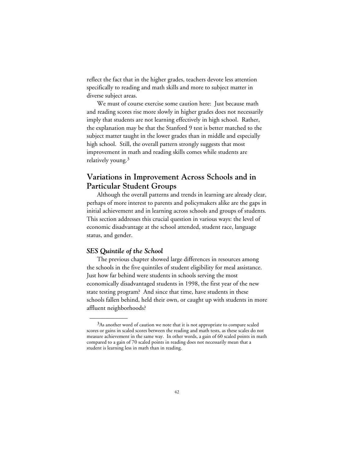reflect the fact that in the higher grades, teachers devote less attention specifically to reading and math skills and more to subject matter in diverse subject areas.

We must of course exercise some caution here: Just because math and reading scores rise more slowly in higher grades does not necessarily imply that students are not learning effectively in high school. Rather, the explanation may be that the Stanford 9 test is better matched to the subject matter taught in the lower grades than in middle and especially high school. Still, the overall pattern strongly suggests that most improvement in math and reading skills comes while students are relatively young.3

# **Variations in Improvement Across Schools and in Particular Student Groups**

Although the overall patterns and trends in learning are already clear, perhaps of more interest to parents and policymakers alike are the gaps in initial achievement and in learning across schools and groups of students. This section addresses this crucial question in various ways: the level of economic disadvantage at the school attended, student race, language status, and gender.

#### *SES Quintile of the School*

\_\_\_\_\_\_\_\_\_\_\_\_

The previous chapter showed large differences in resources among the schools in the five quintiles of student eligibility for meal assistance. Just how far behind were students in schools serving the most economically disadvantaged students in 1998, the first year of the new state testing program? And since that time, have students in these schools fallen behind, held their own, or caught up with students in more affluent neighborhoods?

 $3As$  another word of caution we note that it is not appropriate to compare scaled scores or gains in scaled scores between the reading and math tests, as these scales do not measure achievement in the same way. In other words, a gain of 60 scaled points in math compared to a gain of 70 scaled points in reading does not necessarily mean that a student is learning less in math than in reading.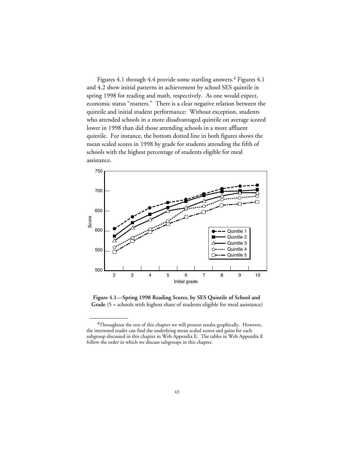Figures 4.1 through 4.4 provide some startling answers.<sup>4</sup> Figures 4.1 and 4.2 show initial patterns in achievement by school SES quintile in spring 1998 for reading and math, respectively. As one would expect, economic status "matters." There is a clear negative relation between the quintile and initial student performance: Without exception, students who attended schools in a more disadvantaged quintile on average scored lower in 1998 than did those attending schools in a more affluent quintile. For instance, the bottom dotted line in both figures shows the mean scaled scores in 1998 by grade for students attending the fifth of schools with the highest percentage of students eligible for meal assistance.



**Figure 4.1—Spring 1998 Reading Scores, by SES Quintile of School and Grade** (5 = schools with highest share of students eligible for meal assistance)

 ${}^{4}$ Throughout the rest of this chapter we will present results graphically. However, the interested reader can find the underlying mean scaled scores and gains for each subgroup discussed in this chapter in Web Appendix E. The tables in Web Appendix E follow the order in which we discuss subgroups in this chapter.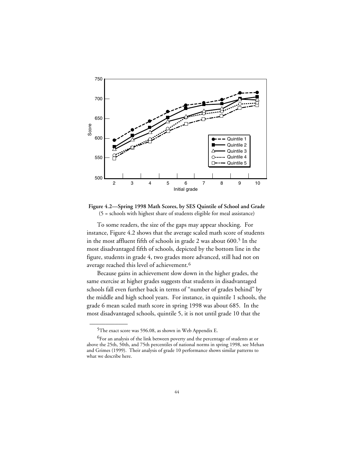

**Figure 4.2—Spring 1998 Math Scores, by SES Quintile of School and Grade** (5 = schools with highest share of students eligible for meal assistance)

To some readers, the size of the gaps may appear shocking. For instance, Figure 4.2 shows that the average scaled math score of students in the most affluent fifth of schools in grade 2 was about 600.<sup>5</sup> In the most disadvantaged fifth of schools, depicted by the bottom line in the figure, students in grade 4, two grades more advanced, still had not on average reached this level of achievement.<sup>6</sup>

Because gains in achievement slow down in the higher grades, the same exercise at higher grades suggests that students in disadvantaged schools fall even further back in terms of "number of grades behind" by the middle and high school years. For instance, in quintile 1 schools, the grade 6 mean scaled math score in spring 1998 was about 685. In the most disadvantaged schools, quintile 5, it is not until grade 10 that the

<sup>5</sup>The exact score was 596.08, as shown in Web Appendix E.

<sup>6</sup>For an analysis of the link between poverty and the percentage of students at or above the 25th, 50th, and 75th percentiles of national norms in spring 1998, see Mehan and Grimes (1999). Their analysis of grade 10 performance shows similar patterns to what we describe here.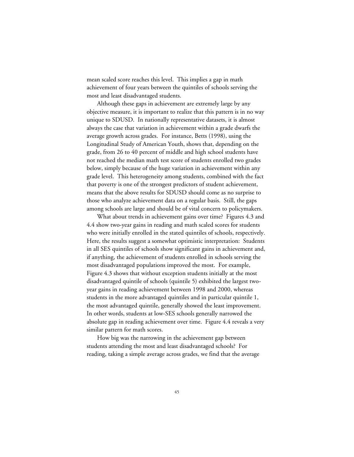mean scaled score reaches this level. This implies a gap in math achievement of four years between the quintiles of schools serving the most and least disadvantaged students.

Although these gaps in achievement are extremely large by any objective measure, it is important to realize that this pattern is in no way unique to SDUSD. In nationally representative datasets, it is almost always the case that variation in achievement within a grade dwarfs the average growth across grades. For instance, Betts (1998), using the Longitudinal Study of American Youth, shows that, depending on the grade, from 26 to 40 percent of middle and high school students have not reached the median math test score of students enrolled two grades below, simply because of the huge variation in achievement within any grade level. This heterogeneity among students, combined with the fact that poverty is one of the strongest predictors of student achievement, means that the above results for SDUSD should come as no surprise to those who analyze achievement data on a regular basis. Still, the gaps among schools are large and should be of vital concern to policymakers.

What about trends in achievement gains over time? Figures 4.3 and 4.4 show two-year gains in reading and math scaled scores for students who were initially enrolled in the stated quintiles of schools, respectively. Here, the results suggest a somewhat optimistic interpretation: Students in all SES quintiles of schools show significant gains in achievement and, if anything, the achievement of students enrolled in schools serving the most disadvantaged populations improved the most. For example, Figure 4.3 shows that without exception students initially at the most disadvantaged quintile of schools (quintile 5) exhibited the largest twoyear gains in reading achievement between 1998 and 2000, whereas students in the more advantaged quintiles and in particular quintile 1, the most advantaged quintile, generally showed the least improvement. In other words, students at low-SES schools generally narrowed the absolute gap in reading achievement over time. Figure 4.4 reveals a very similar pattern for math scores.

How big was the narrowing in the achievement gap between students attending the most and least disadvantaged schools? For reading, taking a simple average across grades, we find that the average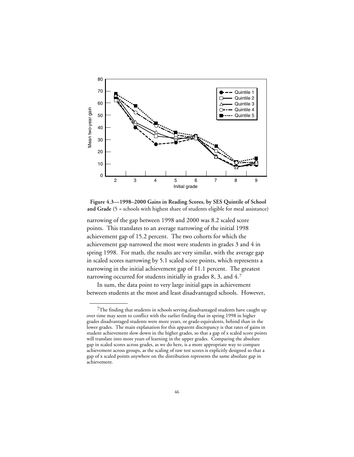

**Figure 4.3—1998–2000 Gains in Reading Scores, by SES Quintile of School and Grade (**5 = schools with highest share of students eligible for meal assistance)

narrowing of the gap between 1998 and 2000 was 8.2 scaled score points. This translates to an average narrowing of the initial 1998 achievement gap of 15.2 percent. The two cohorts for which the achievement gap narrowed the most were students in grades 3 and 4 in spring 1998. For math, the results are very similar, with the average gap in scaled scores narrowing by 5.1 scaled score points, which represents a narrowing in the initial achievement gap of 11.1 percent. The greatest narrowing occurred for students initially in grades 8, 3, and 4.7

In sum, the data point to very large initial gaps in achievement between students at the most and least disadvantaged schools. However,

 $7$ The finding that students in schools serving disadvantaged students have caught up over time may seem to conflict with the earlier finding that in spring 1998 in higher grades disadvantaged students were more years, or grade-equivalents, behind than in the lower grades. The main explanation for this apparent discrepancy is that rates of gains in student achievement slow down in the higher grades, so that a gap of x scaled score points will translate into more years of learning in the upper grades. Comparing the absolute gap in scaled scores across grades, as we do here, is a more appropriate way to compare achievement across groups, as the scaling of raw test scores is explicitly designed so that a gap of x scaled points anywhere on the distribution represents the same absolute gap in achievement.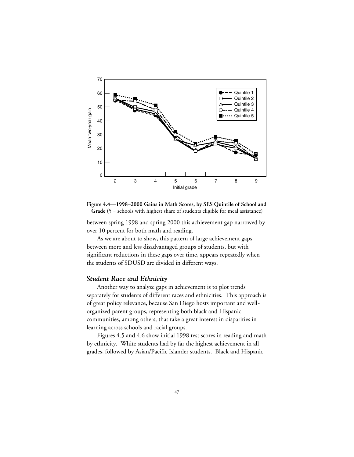

**Figure 4.4—1998–2000 Gains in Math Scores, by SES Quintile of School and Grade (**5 = schools with highest share of students eligible for meal assistance)

between spring 1998 and spring 2000 this achievement gap narrowed by over 10 percent for both math and reading.

As we are about to show, this pattern of large achievement gaps between more and less disadvantaged groups of students, but with significant reductions in these gaps over time, appears repeatedly when the students of SDUSD are divided in different ways.

#### *Student Race and Ethnicity*

Another way to analyze gaps in achievement is to plot trends separately for students of different races and ethnicities. This approach is of great policy relevance, because San Diego hosts important and wellorganized parent groups, representing both black and Hispanic communities, among others, that take a great interest in disparities in learning across schools and racial groups.

Figures 4.5 and 4.6 show initial 1998 test scores in reading and math by ethnicity. White students had by far the highest achievement in all grades, followed by Asian/Pacific Islander students. Black and Hispanic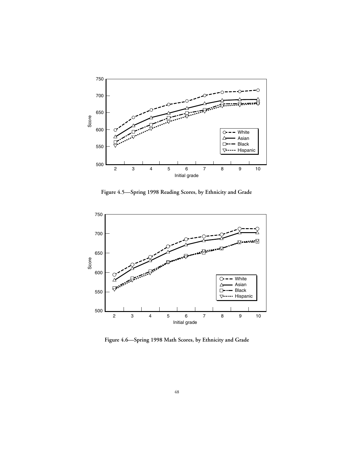

**Figure 4.5—Spring 1998 Reading Scores, by Ethnicity and Grade**



**Figure 4.6—Spring 1998 Math Scores, by Ethnicity and Grade**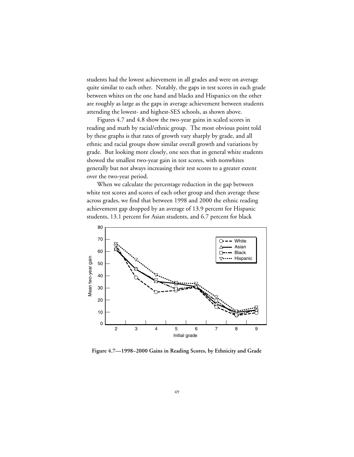students had the lowest achievement in all grades and were on average quite similar to each other. Notably, the gaps in test scores in each grade between whites on the one hand and blacks and Hispanics on the other are roughly as large as the gaps in average achievement between students attending the lowest- and highest-SES schools, as shown above.

Figures 4.7 and 4.8 show the two-year gains in scaled scores in reading and math by racial/ethnic group. The most obvious point told by these graphs is that rates of growth vary sharply by grade, and all ethnic and racial groups show similar overall growth and variations by grade. But looking more closely, one sees that in general white students showed the smallest two-year gain in test scores, with nonwhites generally but not always increasing their test scores to a greater extent over the two-year period.

When we calculate the percentage reduction in the gap between white test scores and scores of each other group and then average these across grades, we find that between 1998 and 2000 the ethnic reading achievement gap dropped by an average of 13.9 percent for Hispanic students, 13.1 percent for Asian students, and 6.7 percent for black



**Figure 4.7—1998–2000 Gains in Reading Scores, by Ethnicity and Grade**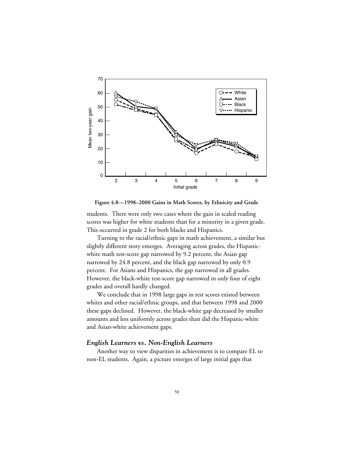

**Figure 4.8—1998–2000 Gains in Math Scores, by Ethnicity and Grade**

students. There were only two cases where the gain in scaled reading scores was higher for white students than for a minority in a given grade. This occurred in grade 2 for both blacks and Hispanics.

Turning to the racial/ethnic gaps in math achievement, a similar but slightly different story emerges. Averaging across grades, the Hispanicwhite math test-score gap narrowed by 9.2 percent, the Asian gap narrowed by 24.8 percent, and the black gap narrowed by only 0.9 percent. For Asians and Hispanics, the gap narrowed in all grades. However, the black-white test-score gap narrowed in only four of eight grades and overall hardly changed.

We conclude that in 1998 large gaps in test scores existed between whites and other racial/ethnic groups, and that between 1998 and 2000 these gaps declined. However, the black-white gap decreased by smaller amounts and less uniformly across grades than did the Hispanic-white and Asian-white achievement gaps.

## *English Learners vs. Non-English Learners*

Another way to view disparities in achievement is to compare EL to non-EL students. Again, a picture emerges of large initial gaps that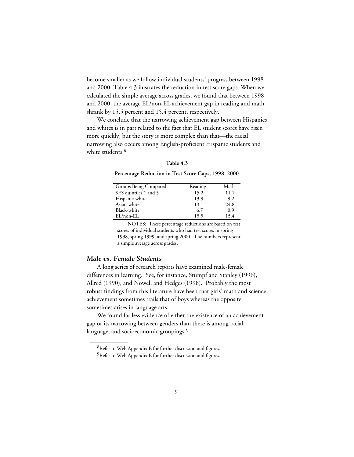become smaller as we follow individual students' progress between 1998 and 2000. Table 4.3 ilustrates the reduction in test score gaps. When we calculated the simple average across grades, we found that between 1998 and 2000, the average EL/non-EL achievement gap in reading and math shrank by 15.5 percent and 15.4 percent, respectively.

We conclude that the narrowing achievement gap between Hispanics and whites is in part related to the fact that EL student scores have risen more quickly, but the story is more complex than that—the racial narrowing also occurs among English-proficient Hispanic students and white students.<sup>8</sup>

#### **Table 4.3**

#### **Percentage Reduction in Test Score Gaps, 1998–2000**

| Groups Being Compared | Reading | Math |
|-----------------------|---------|------|
| SES quintiles 1 and 5 | 15.2    | 11.1 |
| Hispanic-white        | 13.9    | 9.2  |
| Asian-white           | 13.1    | 24.8 |
| Black-white           | 6.7     | 0.9  |
| $EL/non-EL$           | 15.5    | 15.4 |

NOTES: These percentage reductions are based on test scores of individual students who had test scores in spring 1998, spring 1999, and spring 2000. The numbers represent a simple average across grades.

#### *Male vs. Female Students*

\_\_\_\_\_\_\_\_\_\_\_\_

A long series of research reports have examined male-female differences in learning. See, for instance, Stumpf and Stanley (1996), Allred (1990), and Nowell and Hedges (1998). Probably the most robust findings from this literature have been that girls' math and science achievement sometimes trails that of boys whereas the opposite sometimes arises in language arts.

We found far less evidence of either the existence of an achievement gap or its narrowing between genders than there is among racial, language, and socioeconomic groupings.<sup>9</sup>

<sup>8</sup>Refer to Web Appendix E for further discussion and figures.

<sup>&</sup>lt;sup>9</sup>Refer to Web Appendix E for further discussion and figures.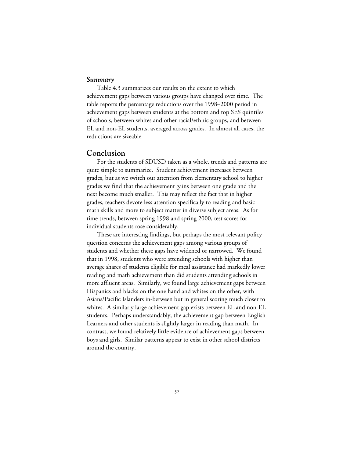#### *Summary*

Table 4.3 summarizes our results on the extent to which achievement gaps between various groups have changed over time. The table reports the percentage reductions over the 1998–2000 period in achievement gaps between students at the bottom and top SES quintiles of schools, between whites and other racial/ethnic groups, and between EL and non-EL students, averaged across grades. In almost all cases, the reductions are sizeable.

## **Conclusion**

For the students of SDUSD taken as a whole, trends and patterns are quite simple to summarize. Student achievement increases between grades, but as we switch our attention from elementary school to higher grades we find that the achievement gains between one grade and the next become much smaller. This may reflect the fact that in higher grades, teachers devote less attention specifically to reading and basic math skills and more to subject matter in diverse subject areas. As for time trends, between spring 1998 and spring 2000, test scores for individual students rose considerably.

These are interesting findings, but perhaps the most relevant policy question concerns the achievement gaps among various groups of students and whether these gaps have widened or narrowed. We found that in 1998, students who were attending schools with higher than average shares of students eligible for meal assistance had markedly lower reading and math achievement than did students attending schools in more affluent areas. Similarly, we found large achievement gaps between Hispanics and blacks on the one hand and whites on the other, with Asians/Pacific Islanders in-between but in general scoring much closer to whites. A similarly large achievement gap exists between EL and non-EL students. Perhaps understandably, the achievement gap between English Learners and other students is slightly larger in reading than math. In contrast, we found relatively little evidence of achievement gaps between boys and girls. Similar patterns appear to exist in other school districts around the country.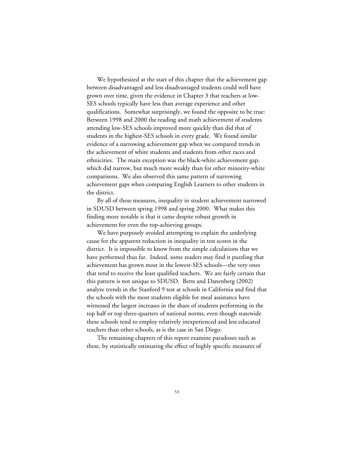We hypothesized at the start of this chapter that the achievement gap between disadvantaged and less disadvantaged students could well have grown over time, given the evidence in Chapter 3 that teachers at low-SES schools typically have less than average experience and other qualifications. Somewhat surprisingly, we found the opposite to be true: Between 1998 and 2000 the reading and math achievement of students attending low-SES schools improved more quickly than did that of students in the highest-SES schools in every grade. We found similar evidence of a narrowing achievement gap when we compared trends in the achievement of white students and students from other races and ethnicities. The main exception was the black-white achievement gap, which did narrow, but much more weakly than for other minority-white comparisons. We also observed this same pattern of narrowing achievement gaps when comparing English Learners to other students in the district.

By all of these measures, inequality in student achievement narrowed in SDUSD between spring 1998 and spring 2000. What makes this finding more notable is that it came despite robust growth in achievement for even the top-achieving groups.

We have purposely avoided attempting to explain the underlying cause for the apparent reduction in inequality in test scores in the district. It is impossible to know from the simple calculations that we have performed thus far. Indeed, some readers may find it puzzling that achievement has grown most in the lowest-SES schools—the very ones that tend to receive the least qualified teachers. We are fairly certain that this pattern is not unique to SDUSD. Betts and Danenberg (2002) analyze trends in the Stanford 9 test at schools in California and find that the schools with the most students eligible for meal assistance have witnessed the largest increases in the share of students performing in the top half or top three-quarters of national norms, even though statewide these schools tend to employ relatively inexperienced and less educated teachers than other schools, as is the case in San Diego.

The remaining chapters of this report examine paradoxes such as these, by statistically estimating the effect of highly specific measures of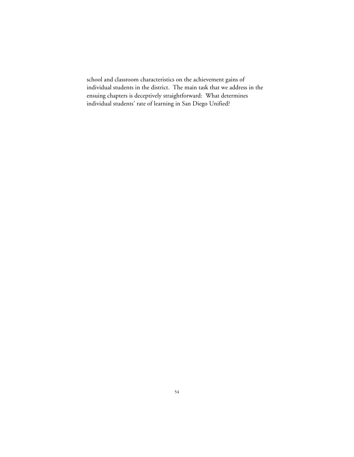school and classroom characteristics on the achievement gains of individual students in the district. The main task that we address in the ensuing chapters is deceptively straightforward: What determines individual students' rate of learning in San Diego Unified?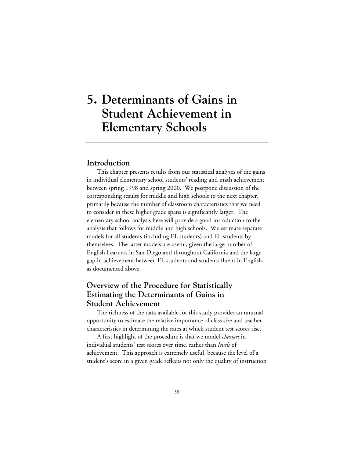# **5. Determinants of Gains in Student Achievement in Elementary Schools**

## **Introduction**

This chapter presents results from our statistical analyses of the gains in individual elementary school students' reading and math achievement between spring 1998 and spring 2000. We postpone discussion of the corresponding results for middle and high schools to the next chapter, primarily because the number of classroom characteristics that we need to consider in these higher grade spans is significantly larger. The elementary school analysis here will provide a good introduction to the analysis that follows for middle and high schools. We estimate separate models for all students (including EL students) and EL students by themselves. The latter models are useful, given the large number of English Learners in San Diego and throughout California and the large gap in achievement between EL students and students fluent in English, as documented above.

# **Overview of the Procedure for Statistically Estimating the Determinants of Gains in Student Achievement**

The richness of the data available for this study provides an unusual opportunity to estimate the relative importance of class size and teacher characteristics in determining the rates at which student test scores rise.

A first highlight of the procedure is that we model *changes* in individual students' test scores over time, rather than *levels* of achievement. This approach is extremely useful, because the level of a student's score in a given grade reflects not only the quality of instruction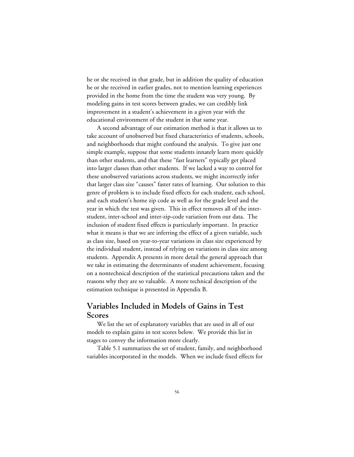he or she received in that grade, but in addition the quality of education he or she received in earlier grades, not to mention learning experiences provided in the home from the time the student was very young. By modeling gains in test scores between grades, we can credibly link improvement in a student's achievement in a given year with the educational environment of the student in that same year.

A second advantage of our estimation method is that it allows us to take account of unobserved but fixed characteristics of students, schools, and neighborhoods that might confound the analysis. To give just one simple example, suppose that some students innately learn more quickly than other students, and that these "fast learners" typically get placed into larger classes than other students. If we lacked a way to control for these unobserved variations across students, we might incorrectly infer that larger class size "causes" faster rates of learning. Our solution to this genre of problem is to include fixed effects for each student, each school, and each student's home zip code as well as for the grade level and the year in which the test was given. This in effect removes all of the interstudent, inter-school and inter-zip-code variation from our data. The inclusion of student fixed effects is particularly important. In practice what it means is that we are inferring the effect of a given variable, such as class size, based on year-to-year variations in class size experienced by the individual student, instead of relying on variations in class size among students. Appendix A presents in more detail the general approach that we take in estimating the determinants of student achievement, focusing on a nontechnical description of the statistical precautions taken and the reasons why they are so valuable. A more technical description of the estimation technique is presented in Appendix B.

# **Variables Included in Models of Gains in Test Scores**

We list the set of explanatory variables that are used in all of our models to explain gains in test scores below. We provide this list in stages to convey the information more clearly.

Table 5.1 summarizes the set of student, family, and neighborhood variables incorporated in the models. When we include fixed effects for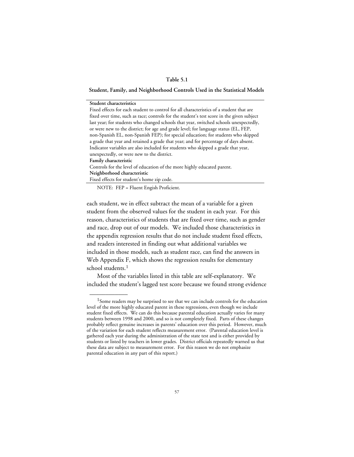### **Table 5.1**

#### **Student, Family, and Neighborhood Controls Used in the Statistical Models**

each student, we in effect subtract the mean of a variable for a given student from the observed values for the student in each year. For this reason, characteristics of students that are fixed over time, such as gender and race, drop out of our models. We included those characteristics in the appendix regression results that do not include student fixed effects, and readers interested in finding out what additional variables we included in those models, such as student race, can find the answers in [Web Appendix F](web_appendix_E.toc.htm), which shows the regression results for elementary school students.<sup>1</sup>

Most of the variables listed in this table are self-explanatory. We included the student's lagged test score because we found strong evidence

<sup>&</sup>lt;sup>1</sup>Some readers may be surprised to see that we can include controls for the education level of the more highly educated parent in these regressions, even though we include student fixed effects. We can do this because parental education actually varies for many students between 1998 and 2000, and so is not completely fixed. Parts of these changes probably reflect genuine increases in parents' education over this period. However, much of the variation for each student reflects measurement error. (Parental education level is gathered each year during the administration of the state test and is either provided by students or listed by teachers in lower grades. District officials repeatedly warned us that these data are subject to measurement error. For this reason we do not emphasize parental education in any part of this report.)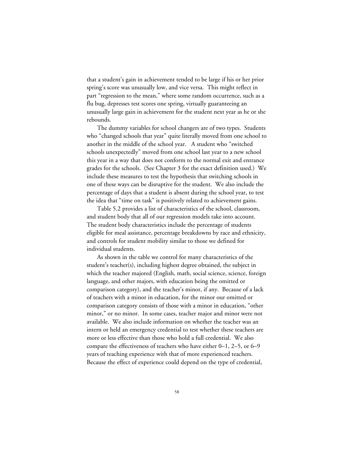that a student's gain in achievement tended to be large if his or her prior spring's score was unusually low, and vice versa. This might reflect in part "regression to the mean," where some random occurrence, such as a flu bug, depresses test scores one spring, virtually guaranteeing an unusually large gain in achievement for the student next year as he or she rebounds.

The dummy variables for school changers are of two types. Students who "changed schools that year" quite literally moved from one school to another in the middle of the school year. A student who "switched schools unexpectedly" moved from one school last year to a new school this year in a way that does not conform to the normal exit and entrance grades for the schools. (See Chapter 3 for the exact definition used.) We include these measures to test the hypothesis that switching schools in one of these ways can be disruptive for the student. We also include the percentage of days that a student is absent during the school year, to test the idea that "time on task" is positively related to achievement gains.

Table 5.2 provides a list of characteristics of the school, classroom, and student body that all of our regression models take into account. The student body characteristics include the percentage of students eligible for meal assistance, percentage breakdowns by race and ethnicity, and controls for student mobility similar to those we defined for individual students.

As shown in the table we control for many characteristics of the student's teacher(s), including highest degree obtained, the subject in which the teacher majored (English, math, social science, science, foreign language, and other majors, with education being the omitted or comparison category), and the teacher's minor, if any. Because of a lack of teachers with a minor in education, for the minor our omitted or comparison category consists of those with a minor in education, "other minor," or no minor. In some cases, teacher major and minor were not available. We also include information on whether the teacher was an intern or held an emergency credential to test whether these teachers are more or less effective than those who hold a full credential. We also compare the effectiveness of teachers who have either 0–1, 2–5, or 6–9 years of teaching experience with that of more experienced teachers. Because the effect of experience could depend on the type of credential,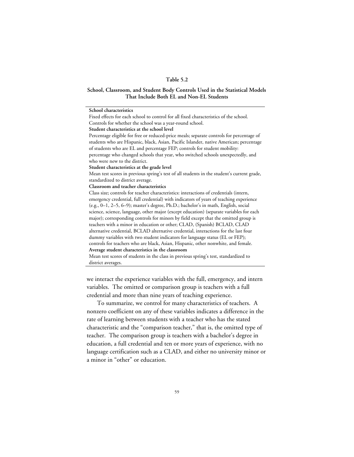#### **Table 5.2**

#### **School, Classroom, and Student Body Controls Used in the Statistical Models That Include Both EL and Non-EL Students**

**School characteristics**

Fixed effects for each school to control for all fixed characteristics of the school. Controls for whether the school was a year-round school.

**Student characteristics at the school level**

Percentage eligible for free or reduced-price meals; separate controls for percentage of students who are Hispanic, black, Asian, Pacific Islander, native American; percentage of students who are EL and percentage FEP; controls for student mobility: percentage who changed schools that year, who switched schools unexpectedly, and who were new to the district.

**Student characteristics at the grade level**

Mean test scores in previous spring's test of all students in the student's current grade, standardized to district average.

**Classroom and teacher characteristics**

Class size; controls for teacher characteristics: interactions of credentials (intern, emergency credential, full credential) with indicators of years of teaching experience (e.g., 0–1, 2–5, 6–9); master's degree, Ph.D.; bachelor's in math, English, social science, science, language, other major (except education) (separate variables for each major); corresponding controls for minors by field except that the omitted group is teachers with a minor in education or other; CLAD, (Spanish) BCLAD, CLAD alternative credential, BCLAD alternative credential, interactions for the last four dummy variables with two student indicators for language status (EL or FEP); controls for teachers who are black, Asian, Hispanic, other nonwhite, and female. **Average student characteristics in the classroom**

Mean test scores of students in the class in previous spring's test, standardized to district averages.

we interact the experience variables with the full, emergency, and intern variables. The omitted or comparison group is teachers with a full credential and more than nine years of teaching experience.

To summarize, we control for many characteristics of teachers. A nonzero coefficient on any of these variables indicates a difference in the rate of learning between students with a teacher who has the stated characteristic and the "comparison teacher," that is, the omitted type of teacher. The comparison group is teachers with a bachelor's degree in education, a full credential and ten or more years of experience, with no language certification such as a CLAD, and either no university minor or a minor in "other" or education.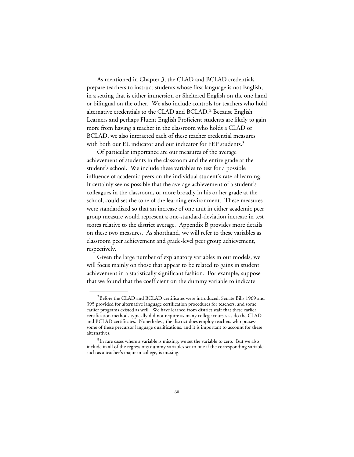As mentioned in Chapter 3, the CLAD and BCLAD credentials prepare teachers to instruct students whose first language is not English, in a setting that is either immersion or Sheltered English on the one hand or bilingual on the other. We also include controls for teachers who hold alternative credentials to the CLAD and BCLAD.2 Because English Learners and perhaps Fluent English Proficient students are likely to gain more from having a teacher in the classroom who holds a CLAD or BCLAD, we also interacted each of these teacher credential measures with both our EL indicator and our indicator for FEP students.<sup>3</sup>

Of particular importance are our measures of the average achievement of students in the classroom and the entire grade at the student's school. We include these variables to test for a possible influence of academic peers on the individual student's rate of learning. It certainly seems possible that the average achievement of a student's colleagues in the classroom, or more broadly in his or her grade at the school, could set the tone of the learning environment. These measures were standardized so that an increase of one unit in either academic peer group measure would represent a one-standard-deviation increase in test scores relative to the district average. Appendix B provides more details on these two measures. As shorthand, we will refer to these variables as classroom peer achievement and grade-level peer group achievement, respectively.

Given the large number of explanatory variables in our models, we will focus mainly on those that appear to be related to gains in student achievement in a statistically significant fashion. For example, suppose that we found that the coefficient on the dummy variable to indicate

<sup>&</sup>lt;sup>2</sup>Before the CLAD and BCLAD certificates were introduced, Senate Bills 1969 and 395 provided for alternative language certification procedures for teachers, and some earlier programs existed as well. We have learned from district staff that these earlier certification methods typically did not require as many college courses as do the CLAD and BCLAD certificates. Nonetheless, the district does employ teachers who possess some of these precursor language qualifications, and it is important to account for these alternatives.

<sup>&</sup>lt;sup>3</sup>In rare cases where a variable is missing, we set the variable to zero. But we also include in all of the regressions dummy variables set to one if the corresponding variable, such as a teacher's major in college, is missing.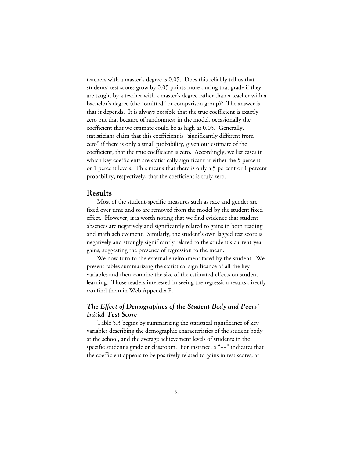teachers with a master's degree is 0.05. Does this reliably tell us that students' test scores grow by 0.05 points more during that grade if they are taught by a teacher with a master's degree rather than a teacher with a bachelor's degree (the "omitted" or comparison group)? The answer is that it depends. It is always possible that the true coefficient is exactly zero but that because of randomness in the model, occasionally the coefficient that we estimate could be as high as 0.05. Generally, statisticians claim that this coefficient is "significantly different from zero" if there is only a small probability, given our estimate of the coefficient, that the true coefficient is zero. Accordingly, we list cases in which key coefficients are statistically significant at either the 5 percent or 1 percent levels. This means that there is only a 5 percent or 1 percent probability, respectively, that the coefficient is truly zero.

## **Results**

Most of the student-specific measures such as race and gender are fixed over time and so are removed from the model by the student fixed effect. However, it is worth noting that we find evidence that student absences are negatively and significantly related to gains in both reading and math achievement. Similarly, the student's own lagged test score is negatively and strongly significantly related to the student's current-year gains, suggesting the presence of regression to the mean.

We now turn to the external environment faced by the student. We present tables summarizing the statistical significance of all the key variables and then examine the size of the estimated effects on student learning. Those readers interested in seeing the regression results directly can find them in [Web Appendix F](web_appendix_F.toc.htm).

## *The Effect of Demographics of the Student Body and Peers' Initial Test Score*

Table 5.3 begins by summarizing the statistical significance of key variables describing the demographic characteristics of the student body at the school, and the average achievement levels of students in the specific student's grade or classroom. For instance, a "++" indicates that the coefficient appears to be positively related to gains in test scores, at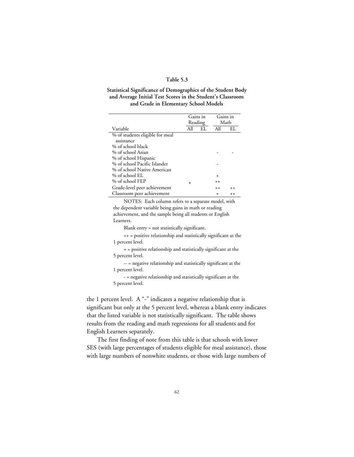#### **Table 5.3**

### **Statistical Significance of Demographics of the Student Body and Average Initial Test Scores in the Student's Classroom and Grade in Elementary School Models**

|                                 |           | Gains in<br>Reading | Gains in  | Math    |
|---------------------------------|-----------|---------------------|-----------|---------|
| Variable                        | All       | EI.                 | All       | EL.     |
| % of students eligible for meal |           |                     |           |         |
| assistance                      |           |                     |           |         |
| % of school black               |           |                     |           |         |
| % of school Asian               |           |                     |           |         |
| % of school Hispanic            |           |                     |           |         |
| % of school Pacific Islander    |           |                     |           |         |
| % of school Native American     |           |                     |           |         |
| $%$ of school EL                |           |                     | $\ddot{}$ |         |
| % of school FEP                 | $\ddot{}$ |                     | $^{++}$   |         |
| Grade-level peer achievement    |           |                     | $^{++}$   | $++$    |
| Classroom peer achievement      |           |                     | $\div$    | $^{++}$ |

NOTES: Each column refers to a separate model, with the dependent variable being gains in math or reading achievement, and the sample being all students or English Learners.

Blank entry = not statistically significant.

++ = positive relationship and statistically significant at the 1 percent level.

+ = positive relationship and statistically significant at the 5 percent level.

-- = negative relationship and statistically significant at the 1 percent level.

- = negative relationship and statistically significant at the 5 percent level.

the 1 percent level. A "-" indicates a negative relationship that is significant but only at the 5 percent level, whereas a blank entry indicates that the listed variable is not statistically significant. The table shows results from the reading and math regressions for all students and for English Learners separately.

The first finding of note from this table is that schools with lower SES (with large percentages of students eligible for meal assistance), those with large numbers of nonwhite students, or those with large numbers of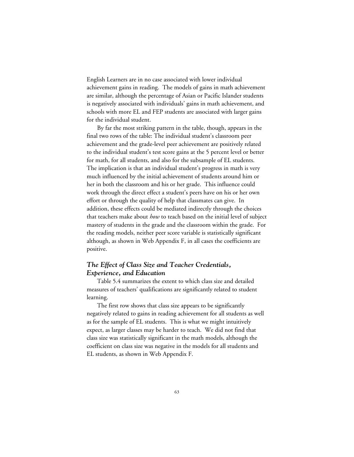English Learners are in no case associated with lower individual achievement gains in reading. The models of gains in math achievement are similar, although the percentage of Asian or Pacific Islander students is negatively associated with individuals' gains in math achievement, and schools with more EL and FEP students are associated with larger gains for the individual student.

By far the most striking pattern in the table, though, appears in the final two rows of the table: The individual student's classroom peer achievement and the grade-level peer achievement are positively related to the individual student's test score gains at the 5 percent level or better for math, for all students, and also for the subsample of EL students. The implication is that an individual student's progress in math is very much influenced by the initial achievement of students around him or her in both the classroom and his or her grade. This influence could work through the direct effect a student's peers have on his or her own effort or through the quality of help that classmates can give. In addition, these effects could be mediated indirectly through the choices that teachers make about *how* to teach based on the initial level of subject mastery of students in the grade and the classroom within the grade. For the reading models, neither peer score variable is statistically significant although, as shown in [Web Appendix F](web_appendix_F.toc.htm), in all cases the coefficients are positive.

## *The Effect of Class Size and Teacher Credentials, Experience, and Education*

Table 5.4 summarizes the extent to which class size and detailed measures of teachers' qualifications are significantly related to student learning.

The first row shows that class size appears to be significantly negatively related to gains in reading achievement for all students as well as for the sample of EL students. This is what we might intuitively expect, as larger classes may be harder to teach. We did not find that class size was statistically significant in the math models, although the coefficient on class size was negative in the models for all students and EL students, as shown in [Web Appendix F.](web_appendix_F.toc.htm)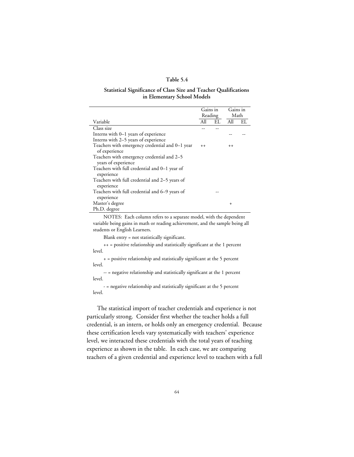#### **Table 5.4**

#### **Statistical Significance of Class Size and Teacher Qualifications in Elementary School Models**

|                                                                   | Gains in | Reading | Gains in<br>Math |    |
|-------------------------------------------------------------------|----------|---------|------------------|----|
| Variable                                                          | All      | EL      | All              | EL |
| Class size                                                        |          |         |                  |    |
| Interns with 0–1 years of experience                              |          |         |                  |    |
| Interns with 2-5 years of experience                              |          |         |                  |    |
| Teachers with emergency credential and 0–1 year<br>of experience  | $++$     |         | $++$             |    |
| Teachers with emergency credential and 2–5<br>years of experience |          |         |                  |    |
| Teachers with full credential and 0–1 year of<br>experience       |          |         |                  |    |
| Teachers with full credential and 2–5 years of<br>experience      |          |         |                  |    |
| Teachers with full credential and 6-9 years of<br>experience      |          |         |                  |    |
| Master's degree                                                   |          |         | $\ddot{}$        |    |
| Ph.D. degree                                                      |          |         |                  |    |

NOTES: Each column refers to a separate model, with the dependent variable being gains in math or reading achievement, and the sample being all students or English Learners.

Blank entry = not statistically significant.

++ = positive relationship and statistically significant at the 1 percent level.

+ = positive relationship and statistically significant at the 5 percent level.

-- = negative relationship and statistically significant at the 1 percent level.

- = negative relationship and statistically significant at the 5 percent level.

The statistical import of teacher credentials and experience is not particularly strong. Consider first whether the teacher holds a full credential, is an intern, or holds only an emergency credential. Because these certification levels vary systematically with teachers' experience level, we interacted these credentials with the total years of teaching experience as shown in the table. In each case, we are comparing teachers of a given credential and experience level to teachers with a full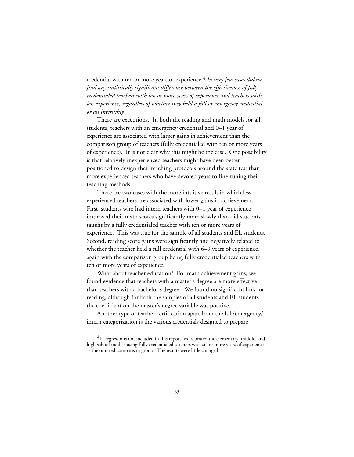credential with ten or more years of experience.4 *In very few cases did we find any statistically significant difference between the effectiveness of fully credentialed teachers with ten or more years of experience and teachers with less experience, regardless of whether they held a full or emergency credential or an internship.*

There are exceptions. In both the reading and math models for all students, teachers with an emergency credential and 0–1 year of experience are associated with larger gains in achievement than the comparison group of teachers (fully credentialed with ten or more years of experience). It is not clear why this might be the case. One possibility is that relatively inexperienced teachers might have been better positioned to design their teaching protocols around the state test than more experienced teachers who have devoted years to fine-tuning their teaching methods.

There are two cases with the more intuitive result in which less experienced teachers are associated with lower gains in achievement. First, students who had intern teachers with 0–1 year of experience improved their math scores significantly more slowly than did students taught by a fully credentialed teacher with ten or more years of experience. This was true for the sample of all students and EL students. Second, reading score gains were significantly and negatively related to whether the teacher held a full credential with 6–9 years of experience, again with the comparison group being fully credentialed teachers with ten or more years of experience.

What about teacher education? For math achievement gains, we found evidence that teachers with a master's degree are more effective than teachers with a bachelor's degree. We found no significant link for reading, although for both the samples of all students and EL students the coefficient on the master's degree variable was positive.

Another type of teacher certification apart from the full/emergency/ intern categorization is the various credentials designed to prepare

 ${\rm ^4In}$  regressions not included in this report, we repeated the elementary, middle, and high school models using fully credentialed teachers with six or more years of experience as the omitted comparison group. The results were little changed.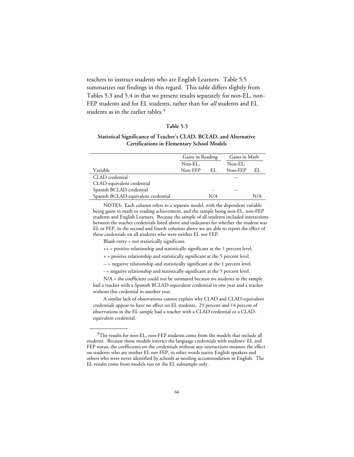teachers to instruct students who are English Learners. Table 5.5 summarizes our findings in this regard. This table differs slightly from Tables 5.3 and 5.4 in that we present results separately for non-EL, non-FEP students and for EL students, rather than for *all* students and EL students as in the earlier tables.<sup>5</sup>

#### **Table 5.5**

#### **Statistical Significance of Teacher's CLAD, BCLAD, and Alternative Certifications in Elementary School Models**

|                                     | Gains in Reading |     | Gains in Math |     |
|-------------------------------------|------------------|-----|---------------|-----|
|                                     | Non-EL,          |     | Non-EL.       |     |
| Variable                            | Non-FEP          | -EL | Non-FEP       | EL. |
| CLAD credential                     |                  |     |               |     |
| CLAD-equivalent credential          |                  |     |               |     |
| Spanish BCLAD credential            |                  |     | --            |     |
| Spanish BCLAD-equivalent credential |                  | N/A |               | N/A |

NOTES: Each column refers to a separate model, with the dependent variable being gains in math or reading achievement, and the sample being non-EL, non-FEP students and English Learners. Because the sample of all students included interactions between the teacher credentials listed above and indicators for whether the student was EL or FEP, in the second and fourth columns above we are able to report the effect of these credentials on all students who were neither EL nor FEP.

Blank entry = not statistically significant.

\_\_\_\_\_\_\_\_\_\_\_\_

++ = positive relationship and statistically significant at the 1 percent level.

+ = positive relationship and statistically significant at the 5 percent level.

- -- = negative relationship and statistically significant at the 1 percent level.
- = negative relationship and statistically significant at the 5 percent level.

N/A = the coefficient could not be estimated because no students in the sample had a teacher with a Spanish BCLAD-equivalent credential in one year and a teacher without this credential in another year.

A similar lack of observations cannot explain why CLAD and CLAD-equivalent credentials appear to have no effect on EL students. 29 percent and 14 percent of observations in the EL sample had a teacher with a CLAD credential or a CLADequivalent credential.

<sup>5</sup>The results for non-EL, non-FEP students come from the models that include all students. Because those models interact the language credentials with students' EL and FEP status, the coefficients on the credentials without any interactions measure the effect on students who are neither EL nor FEP, in other words native English speakers and others who were never identified by schools as needing accommodation in English. The EL results come from models run on the EL subsample only.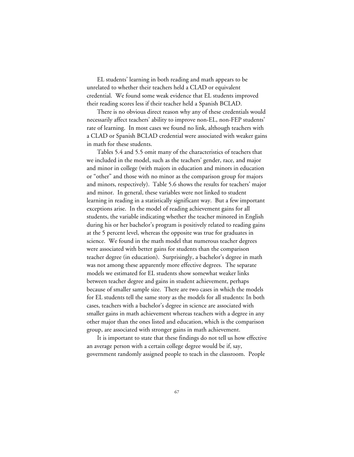EL students' learning in both reading and math appears to be unrelated to whether their teachers held a CLAD or equivalent credential. We found some weak evidence that EL students improved their reading scores less if their teacher held a Spanish BCLAD.

There is no obvious direct reason why any of these credentials would necessarily affect teachers' ability to improve non-EL, non-FEP students' rate of learning. In most cases we found no link, although teachers with a CLAD or Spanish BCLAD credential were associated with weaker gains in math for these students.

Tables 5.4 and 5.5 omit many of the characteristics of teachers that we included in the model, such as the teachers' gender, race, and major and minor in college (with majors in education and minors in education or "other" and those with no minor as the comparison group for majors and minors, respectively). Table 5.6 shows the results for teachers' major and minor. In general, these variables were not linked to student learning in reading in a statistically significant way. But a few important exceptions arise. In the model of reading achievement gains for all students, the variable indicating whether the teacher minored in English during his or her bachelor's program is positively related to reading gains at the 5 percent level, whereas the opposite was true for graduates in science. We found in the math model that numerous teacher degrees were associated with better gains for students than the comparison teacher degree (in education). Surprisingly, a bachelor's degree in math was not among these apparently more effective degrees. The separate models we estimated for EL students show somewhat weaker links between teacher degree and gains in student achievement, perhaps because of smaller sample size. There are two cases in which the models for EL students tell the same story as the models for all students: In both cases, teachers with a bachelor's degree in science are associated with smaller gains in math achievement whereas teachers with a degree in any other major than the ones listed and education, which is the comparison group, are associated with stronger gains in math achievement.

It is important to state that these findings do not tell us how effective an average person with a certain college degree would be if, say, government randomly assigned people to teach in the classroom. People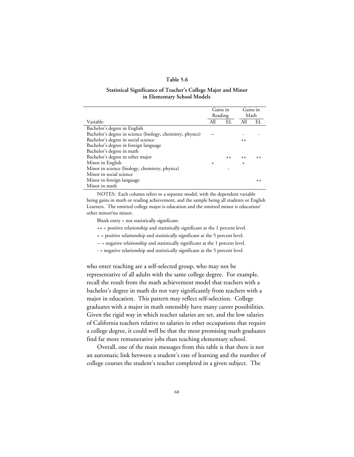#### **Table 5.6**

#### **Statistical Significance of Teacher's College Major and Minor in Elementary School Models**

|                                                            | Reading   | Gains in | Math      | Gains in |
|------------------------------------------------------------|-----------|----------|-----------|----------|
| Variable                                                   | All       | EL       | All       | EL       |
| Bachelor's degree in English                               |           |          |           |          |
| Bachelor's degree in science (biology, chemistry, physics) |           |          |           |          |
| Bachelor's degree in social science                        |           |          | $++$      |          |
| Bachelor's degree in foreign language                      |           |          |           |          |
| Bachelor's degree in math                                  |           |          |           |          |
| Bachelor's degree in other major                           |           | $++$     | $++$      | $++$     |
| Minor in English                                           | $\ddot{}$ |          | $\ddot{}$ |          |
| Minor in science (biology, chemistry, physics)             |           |          |           |          |
| Minor in social science                                    |           |          |           |          |
| Minor in foreign language                                  |           |          |           | $^{++}$  |
| Minor in math                                              |           |          |           |          |

NOTES: Each column refers to a separate model, with the dependent variable being gains in math or reading achievement, and the sample being all students or English Learners. The omitted college major is education and the omitted minor is education/ other minor/no minor.

Blank entry = not statistically significant.

++ = positive relationship and statistically significant at the 1 percent level.

- + = positive relationship and statistically significant at the 5 percent level.
- -- = negative relationship and statistically significant at the 1 percent level.
- = negative relationship and statistically significant at the 5 percent level.

who enter teaching are a self-selected group, who may not be representative of all adults with the same college degree. For example, recall the result from the math achievement model that teachers with a bachelor's degree in math do not vary significantly from teachers with a major in education. This pattern may reflect self-selection. College graduates with a major in math ostensibly have many career possibilities. Given the rigid way in which teacher salaries are set, and the low salaries of California teachers relative to salaries in other occupations that require a college degree, it could well be that the most promising math graduates find far more remunerative jobs than teaching elementary school.

Overall, one of the main messages from this table is that there is not an automatic link between a student's rate of learning and the number of college courses the student's teacher completed in a given subject. The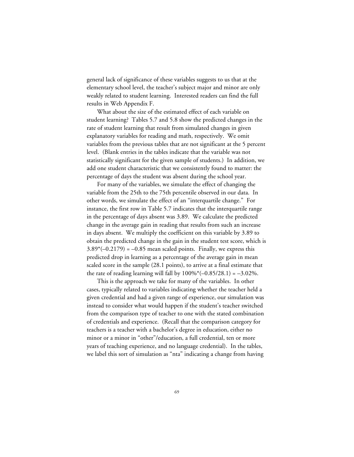general lack of significance of these variables suggests to us that at the elementary school level, the teacher's subject major and minor are only weakly related to student learning. Interested readers can find the full results in [Web Appendix F](web_appendix_F.toc.htm).

What about the size of the estimated effect of each variable on student learning? Tables 5.7 and 5.8 show the predicted changes in the rate of student learning that result from simulated changes in given explanatory variables for reading and math, respectively. We omit variables from the previous tables that are not significant at the 5 percent level. (Blank entries in the tables indicate that the variable was not statistically significant for the given sample of students.) In addition, we add one student characteristic that we consistently found to matter: the percentage of days the student was absent during the school year.

For many of the variables, we simulate the effect of changing the variable from the 25th to the 75th percentile observed in our data. In other words, we simulate the effect of an "interquartile change." For instance, the first row in Table 5.7 indicates that the interquartile range in the percentage of days absent was 3.89. We calculate the predicted change in the average gain in reading that results from such an increase in days absent. We multiply the coefficient on this variable by 3.89 to obtain the predicted change in the gain in the student test score, which is  $3.89*(-0.2179) = -0.85$  mean scaled points. Finally, we express this predicted drop in learning as a percentage of the average gain in mean scaled score in the sample (28.1 points), to arrive at a final estimate that the rate of reading learning will fall by  $100\%$ <sup>\*</sup>( $-0.85/28.1$ ) =  $-3.02\%$ .

This is the approach we take for many of the variables. In other cases, typically related to variables indicating whether the teacher held a given credential and had a given range of experience, our simulation was instead to consider what would happen if the student's teacher switched from the comparison type of teacher to one with the stated combination of credentials and experience. (Recall that the comparison category for teachers is a teacher with a bachelor's degree in education, either no minor or a minor in "other"/education, a full credential, ten or more years of teaching experience, and no language credential). In the tables, we label this sort of simulation as "nta" indicating a change from having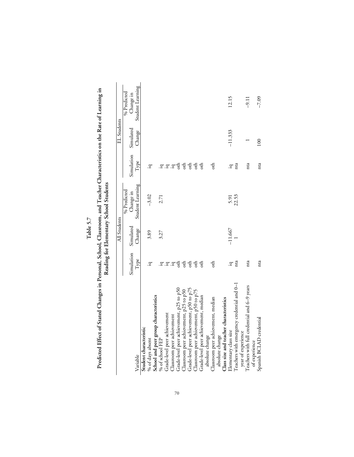| l<br>г |
|--------|
| υ      |
| ŗ      |
|        |
|        |

Predicted Effect of Stated Changes in Personal, School, Classroom, and Teacher Characteristics on the Rate of Learning in<br>Reading for Elementary School Students **Predicted Effect of Stated Changes in Personal, School, Classroom, and Teacher Characteristics on the Rate of Learning in Reading for Elementary School Students**

|                                             |                      | All Students |                  |                      | EL Students |                  |
|---------------------------------------------|----------------------|--------------|------------------|----------------------|-------------|------------------|
|                                             |                      |              | % Predicted      |                      |             | % Predicted      |
|                                             | Simulation Simulated |              | Change in        | Simulation Simulated |             | Change in        |
| Variable                                    | Type                 | Change       | Student Learning | Type                 | Change      | Student Learning |
| Student characteristic                      |                      |              |                  |                      |             |                  |
| % of days absent                            | <u>្</u> អ           | 3.89         | $-3.02$          | Ξ.                   |             |                  |
| School and peer group characteristics       |                      |              |                  |                      |             |                  |
| % of school FEP                             |                      | 3.27         | 2.71             |                      |             |                  |
| Grade-level peer achievement                | .፰.፰.፰               |              |                  | 5.5.5                |             |                  |
| Classroom peer achievement                  |                      |              |                  |                      |             |                  |
| Grade-level peer achievement, p25 to p50    | $\sin$               |              |                  | $\sin$               |             |                  |
| Classroom peer achievement, p25 to p50      | $\frac{1}{6}$        |              |                  | $_{\rm oth}$         |             |                  |
| Grade-level peer achievement, p50 to p75    |                      |              |                  | $\frac{1}{2}$        |             |                  |
| Classroom peer achievement, p50 to p75      | ct                   |              |                  | $\frac{1}{2}$        |             |                  |
| Grade-level peer achievement, median        | $\frac{1}{\alpha}$   |              |                  | o <sup>th</sup>      |             |                  |
| absolute change                             |                      |              |                  |                      |             |                  |
| Classroom peer achievement, median          | oth                  |              |                  | o <sub>th</sub>      |             |                  |
| absolute change                             |                      |              |                  |                      |             |                  |
| Class size and teacher characteristics      |                      |              |                  |                      |             |                  |
| Elementary class size                       | <u>្</u> អ           | $-11.667$    | 5.91<br>22.53    | ۱à.                  | $-11.333$   | 12.15            |
| Teachers with emergency credential and 0-1  | nta                  |              |                  | nta                  |             |                  |
| year of experience                          |                      |              |                  |                      |             |                  |
| Teachers with full credential and 6-9 years | nta                  |              |                  | nta                  |             | $-9.11$          |
| of experience                               |                      |              |                  |                      |             |                  |
| Spanish BCLAD credential                    | nta                  |              |                  | nta                  | 100         | $-7.09$          |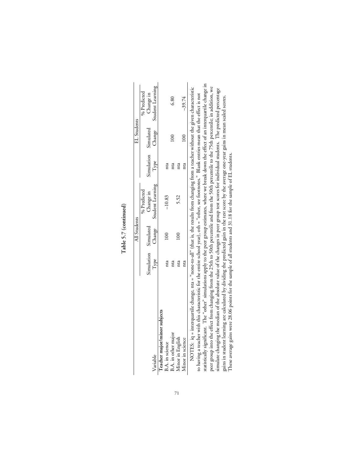|                                 |           | All Students |                                                           |            | EL Students |                  |
|---------------------------------|-----------|--------------|-----------------------------------------------------------|------------|-------------|------------------|
|                                 |           |              | % Predicted                                               |            |             | % Predicted      |
|                                 | imulation |              |                                                           | Simulation | Simulated   | Change in        |
| Variable                        | Type      |              | Simulated Change in<br><sup>Change</sup> Student Learning | Type       | Change      | Student Learning |
| eacher major/minor subjects     |           |              |                                                           |            |             |                  |
| B.A. in science                 | nta       | 100          | $-10.83$                                                  | nta        |             |                  |
| B.A. in other majo <sup>*</sup> |           |              |                                                           | nta        |             |                  |
| <i><b>Iinor</b></i> in English  |           |              | 5.52                                                      | nta        |             |                  |
| Ainor in science                | nta       |              |                                                           | nta        | $\epsilon$  | $-39.74$         |

Table 5.7 (continued) **Table 5.7 (continued)**

statistically significant. The "other" simulations apply to the peer group estimates, where we break down the effect of an interquartile change in statistically significant. The "other" simulations apply to the peer group estimates, where we break down the effect of an interquartile change in peer group into the effect from changing from the 25th to 50th percentile and from the 50th percentile to the 75th percentile; in addition, we simulate changing the median of the absolute value of the changes in peer group NOTES: iq = interquartile change, nta = "none-to-all" (that is, the results from changing from a teacher without the given characteristic<br>to having a teacher with this characteristic for the entire school year), oth = "oth NOTES: iq = interquartile change, nta = "none-to-all" (that is, the results from changing from a teacher without the given characteristic peer group into the effect from changing from the 25th to 50th percentile and from the 50th percentile to the 75th percentile; in addition, we simulate changing the median of the absolute value of the changes in peer group test scores for individual students. The predicted percentage to having a teacher with this characteristic for the entire school year), oth = "other, see footnotes." Blank entries mean that the effect is not gains in student learning are calculated by dividing the predicted gain in the test score by the average one-year gains in mean scaled scores. gains in student learning are calculated by dividing the predicted gain in the test score by the average one-year gains in mean scaled scores. These average gains were 28.06 points for the sample of all students and 31.18 for the sample of EL students. These average gains were 28.06 points for the sample of all students and 31.18 for the sample of EL students.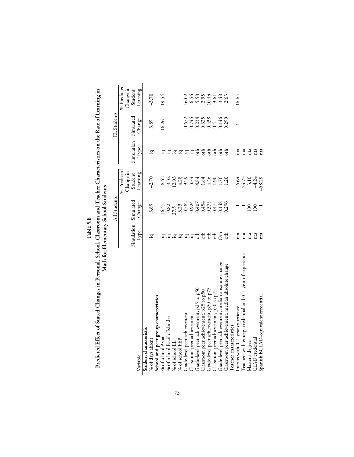| ∝  |
|----|
|    |
| ¢, |
| Ξ  |
|    |

Predicted Effect of Stated Changes in Personal, School, Classroom and Teacher Characteristics on the Rate of Learning in<br>Math for Elementary School Students **Predicted Effect of Stated Changes in Personal, School, Classroom and Teacher Characteristics on the Rate of Learning in Math for Elementary School Students**

|                                                            |                      | All Students                                                          |                                            |              | EL Students                                         |                               |
|------------------------------------------------------------|----------------------|-----------------------------------------------------------------------|--------------------------------------------|--------------|-----------------------------------------------------|-------------------------------|
|                                                            |                      |                                                                       | % Predicted                                |              |                                                     | % Predicted                   |
|                                                            |                      |                                                                       | Change in                                  |              |                                                     |                               |
|                                                            | Simulation Simulated |                                                                       | Student                                    | Simulation   | Simulated                                           | Change in<br>Student          |
| Variable                                                   | Type                 | Change                                                                | Learning                                   | Type         | Change                                              | Learning                      |
| Student characteristic                                     |                      |                                                                       |                                            |              |                                                     |                               |
| % of days absent                                           | .ਧ                   | 3.89                                                                  | $-2.70$                                    | .ਧ           | 3.89                                                | $-3.70$                       |
| School and peer group characteristics                      |                      |                                                                       |                                            |              |                                                     |                               |
| % of school Asian                                          |                      |                                                                       | $-8.62$                                    |              | 16.26                                               | $-19.54$                      |
| % of school Pacific Islander                               |                      |                                                                       |                                            |              |                                                     |                               |
| % of school EL                                             | .g.g.g.g.g.g         |                                                                       |                                            | .፰.፰.፰.፰.፰.፰ |                                                     |                               |
| % of school FEP                                            |                      |                                                                       |                                            |              |                                                     |                               |
| Grade-level peer achievement                               |                      |                                                                       |                                            |              |                                                     |                               |
| Classroom peer achievement                                 |                      |                                                                       |                                            |              |                                                     |                               |
| Grade-level peer achievement, p25 to p50                   |                      | $16.45\n0.82\n0.7,3\n0.782\n0.782\n0.744\n0.747\n0.747\n0.148\n0.148$ |                                            |              | 0.672<br>0.745<br>0.2358<br>0.441<br>0.299<br>0.299 | $6.588545886$<br>$6.58545886$ |
| Classroom peer achievement, p25 to p50                     |                      |                                                                       |                                            |              |                                                     |                               |
| Grade-level peer achievement, p50 to p75                   | ई ई ई ई              |                                                                       | 4.46                                       | 동 동 동 동 동    |                                                     |                               |
| Classroom peer achievement, p50 to p75                     |                      |                                                                       | 1.90                                       |              |                                                     |                               |
| Grade-level peer achievement, median absolute change       |                      |                                                                       | 1.76                                       |              |                                                     |                               |
| Classroom peer achievement, median absolute change         |                      | 0.296                                                                 | 1.20                                       |              |                                                     |                               |
| Teacher characteristics                                    |                      |                                                                       |                                            |              |                                                     |                               |
| Interns with 0-1 year experience                           | nta                  |                                                                       |                                            | nta          |                                                     | $-16.64$                      |
| Teachers with emerg. credential and 0-1 year of experience | nta                  |                                                                       |                                            | nta          |                                                     |                               |
| Master's degree                                            | nta                  | $\frac{8}{100}$                                                       |                                            | nta          |                                                     |                               |
| $\rm TAD$ credential                                       | nta                  | $\overline{0}$                                                        | $-16.64$<br>$24.73$<br>$-3.10$<br>$-58.29$ | nta          |                                                     |                               |
| Spanish BCLAD-equivalent credential                        | nta                  |                                                                       |                                            | nta          |                                                     |                               |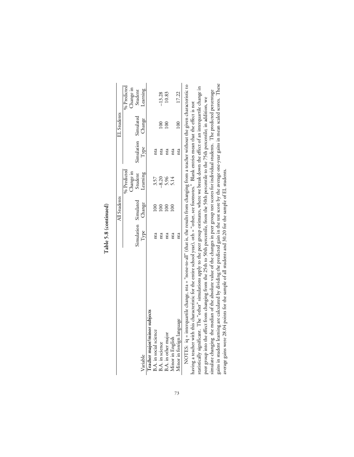|                              |                                     | All Students |                                  |                                     | EL Students |                                                 |
|------------------------------|-------------------------------------|--------------|----------------------------------|-------------------------------------|-------------|-------------------------------------------------|
|                              |                                     |              | % Predicted                      |                                     |             |                                                 |
|                              |                                     |              |                                  |                                     |             |                                                 |
|                              |                                     |              |                                  |                                     |             |                                                 |
| Variable                     | Simulation Simulated<br>Type Change |              | Change in<br>Student<br>Learning | Simulation Simulated<br>Type Change |             | % Predicted<br>Change in<br>Student<br>Learning |
| Teacher major/minor subjects |                                     |              |                                  |                                     |             |                                                 |
| B.A. in social science       | nta                                 |              |                                  | nta                                 |             |                                                 |
| B.A. in science              | nta                                 |              |                                  |                                     |             |                                                 |
| B.A. in other major          |                                     | $\infty$     | $3.57$<br>$-8.20$<br>$5.14$      | nta                                 |             | $-13.28$<br>10.83                               |
| Minor in English             | nta                                 |              |                                  | nta                                 |             |                                                 |
| Minor in foreign language    | nta                                 |              |                                  | E                                   | 100         | 17.22                                           |
|                              |                                     |              |                                  |                                     |             |                                                 |

Table 5.8 (continued) **Table 5.8 (continued)**

F~~ 5~-F m. with the median of the absolute value of the changes in peer group test scores for individual students. The predicted percentage aim in student learning are calculated by dividing the predicted gain in the test gains in student learning are calculated by dividing the predicted gain in the test score by the average one-year gains in mean scaled scores. These NOTES: iq = interquartile change, nta = "none-to-all" (that is, the results from changing from a teacher without the given characteristic to statistically significant. The "other" simulations apply to the peer group estimates, where we break down the effect of an interquartile change in statistically significant. The "other" simulations apply to the peer group estimates, where we break down the effect of an interquartile change in simulate changing the median of the absolute value of the changes in peer group test scores for individual students. The predicted percentage peer group into the effect from changing from the 25th to 50th percentile, from the 50th percentile to the 75th percentile; in addition, we peer group into the effect from changing from the 25th to 50th percentile, from the 50th percentile to the 75th percentile; in addition, we having a teacher with this characteristic for the entire school year), oth = "other, see footnotes." Blank entries mean that the effect is not average gains were 28.04 points for the sample of all students and 30.20 for the sample of EL students.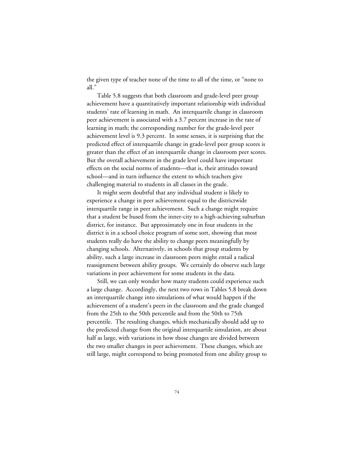the given type of teacher none of the time to all of the time, or "none to all."

Table 5.8 suggests that both classroom and grade-level peer group achievement have a quantitatively important relationship with individual students' rate of learning in math. An interquartile change in classroom peer achievement is associated with a 3.7 percent increase in the rate of learning in math; the corresponding number for the grade-level peer achievement level is 9.3 percent. In some senses, it is surprising that the predicted effect of interquartile change in grade-level peer group scores is greater than the effect of an interquartile change in classroom peer scores. But the overall achievement in the grade level could have important effects on the social norms of students—that is, their attitudes toward school—and in turn influence the extent to which teachers give challenging material to students in all classes in the grade.

It might seem doubtful that any individual student is likely to experience a change in peer achievement equal to the districtwide interquartile range in peer achievement. Such a change might require that a student be bused from the inner-city to a high-achieving suburban district, for instance. But approximately one in four students in the district is in a school choice program of some sort, showing that most students really do have the ability to change peers meaningfully by changing schools. Alternatively, in schools that group students by ability, such a large increase in classroom peers might entail a radical reassignment between ability groups. We certainly do observe such large variations in peer achievement for some students in the data.

Still, we can only wonder how many students could experience such a large change. Accordingly, the next two rows in Tables 5.8 break down an interquartile change into simulations of what would happen if the achievement of a student's peers in the classroom and the grade changed from the 25th to the 50th percentile and from the 50th to 75th percentile. The resulting changes, which mechanically should add up to the predicted change from the original interquartile simulation, are about half as large, with variations in how those changes are divided between the two smaller changes in peer achievement. These changes, which are still large, might correspond to being promoted from one ability group to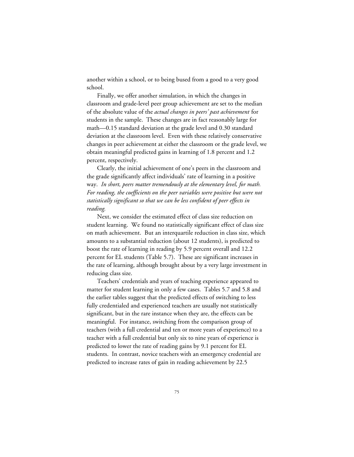another within a school, or to being bused from a good to a very good school.

Finally, we offer another simulation, in which the changes in classroom and grade-level peer group achievement are set to the median of the absolute value of the *actual changes in peers' past achievement* for students in the sample. These changes are in fact reasonably large for math—0.15 standard deviation at the grade level and 0.30 standard deviation at the classroom level. Even with these relatively conservative changes in peer achievement at either the classroom or the grade level, we obtain meaningful predicted gains in learning of 1.8 percent and 1.2 percent, respectively.

Clearly, the initial achievement of one's peers in the classroom and the grade significantly affect individuals' rate of learning in a positive way. *In short, peers matter tremendously at the elementary level, for math. For reading, the coefficients on the peer variables were positive but were not statistically significant so that we can be less confident of peer effects in reading.*

Next, we consider the estimated effect of class size reduction on student learning. We found no statistically significant effect of class size on math achievement. But an interquartile reduction in class size, which amounts to a substantial reduction (about 12 students), is predicted to boost the rate of learning in reading by 5.9 percent overall and 12.2 percent for EL students (Table 5.7). These are significant increases in the rate of learning, although brought about by a very large investment in reducing class size.

Teachers' credentials and years of teaching experience appeared to matter for student learning in only a few cases. Tables 5.7 and 5.8 and the earlier tables suggest that the predicted effects of switching to less fully credentialed and experienced teachers are usually not statistically significant, but in the rare instance when they are, the effects can be meaningful. For instance, switching from the comparison group of teachers (with a full credential and ten or more years of experience) to a teacher with a full credential but only six to nine years of experience is predicted to lower the rate of reading gains by 9.1 percent for EL students. In contrast, novice teachers with an emergency credential are predicted to increase rates of gain in reading achievement by 22.5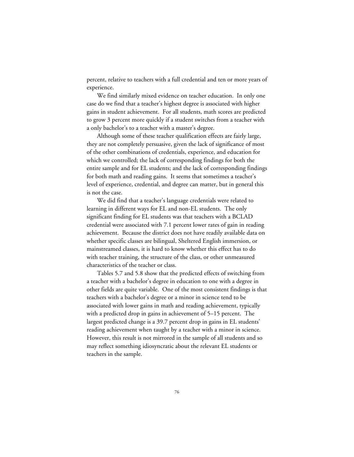percent, relative to teachers with a full credential and ten or more years of experience.

We find similarly mixed evidence on teacher education. In only one case do we find that a teacher's highest degree is associated with higher gains in student achievement. For all students, math scores are predicted to grow 3 percent more quickly if a student switches from a teacher with a only bachelor's to a teacher with a master's degree.

Although some of these teacher qualification effects are fairly large, they are not completely persuasive, given the lack of significance of most of the other combinations of credentials, experience, and education for which we controlled; the lack of corresponding findings for both the entire sample and for EL students; and the lack of corresponding findings for both math and reading gains. It seems that sometimes a teacher's level of experience, credential, and degree can matter, but in general this is not the case.

We did find that a teacher's language credentials were related to learning in different ways for EL and non-EL students. The only significant finding for EL students was that teachers with a BCLAD credential were associated with 7.1 percent lower rates of gain in reading achievement. Because the district does not have readily available data on whether specific classes are bilingual, Sheltered English immersion, or mainstreamed classes, it is hard to know whether this effect has to do with teacher training, the structure of the class, or other unmeasured characteristics of the teacher or class.

Tables 5.7 and 5.8 show that the predicted effects of switching from a teacher with a bachelor's degree in education to one with a degree in other fields are quite variable. One of the most consistent findings is that teachers with a bachelor's degree or a minor in science tend to be associated with lower gains in math and reading achievement, typically with a predicted drop in gains in achievement of 5–15 percent. The largest predicted change is a 39.7 percent drop in gains in EL students' reading achievement when taught by a teacher with a minor in science. However, this result is not mirrored in the sample of all students and so may reflect something idiosyncratic about the relevant EL students or teachers in the sample.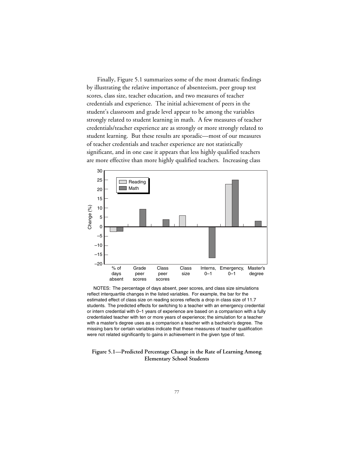Finally, Figure 5.1 summarizes some of the most dramatic findings by illustrating the relative importance of absenteeism, peer group test scores, class size, teacher education, and two measures of teacher credentials and experience. The initial achievement of peers in the student's classroom and grade level appear to be among the variables strongly related to student learning in math. A few measures of teacher credentials/teacher experience are as strongly or more strongly related to student learning. But these results are sporadic—most of our measures of teacher credentials and teacher experience are not statistically significant, and in one case it appears that less highly qualified teachers are more effective than more highly qualified teachers. Increasing class



 NOTES: The percentage of days absent, peer scores, and class size simulations reflect interquartile changes in the listed variables. For example, the bar for the estimated effect of class size on reading scores reflects a drop in class size of 11.7 students. The predicted effects for switching to a teacher with an emergency credential or intern credential with 0–1 years of experience are based on a comparison with a fully credentialed teacher with ten or more years of experience; the simulation for a teacher with a master's degree uses as a comparison a teacher with a bachelor's degree. The missing bars for certain variables indicate that these measures of teacher qualification were not related significantly to gains in achievement in the given type of test.

#### **Figure 5.1—Predicted Percentage Change in the Rate of Learning Among Elementary School Students**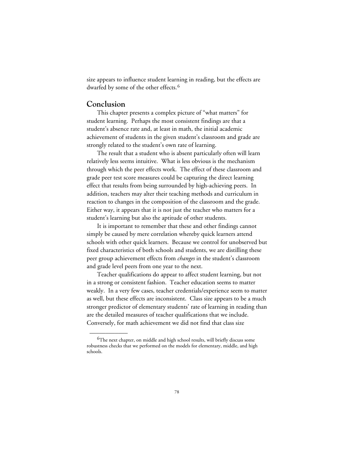size appears to influence student learning in reading, but the effects are dwarfed by some of the other effects.<sup>6</sup>

# **Conclusion**

\_\_\_\_\_\_\_\_\_\_\_\_

This chapter presents a complex picture of "what matters" for student learning. Perhaps the most consistent findings are that a student's absence rate and, at least in math, the initial academic achievement of students in the given student's classroom and grade are strongly related to the student's own rate of learning.

The result that a student who is absent particularly often will learn relatively less seems intuitive. What is less obvious is the mechanism through which the peer effects work. The effect of these classroom and grade peer test score measures could be capturing the direct learning effect that results from being surrounded by high-achieving peers. In addition, teachers may alter their teaching methods and curriculum in reaction to changes in the composition of the classroom and the grade. Either way, it appears that it is not just the teacher who matters for a student's learning but also the aptitude of other students.

It is important to remember that these and other findings cannot simply be caused by mere correlation whereby quick learners attend schools with other quick learners. Because we control for unobserved but fixed characteristics of both schools and students, we are distilling these peer group achievement effects from *changes* in the student's classroom and grade level peers from one year to the next.

Teacher qualifications do appear to affect student learning, but not in a strong or consistent fashion. Teacher education seems to matter weakly. In a very few cases, teacher credentials/experience seem to matter as well, but these effects are inconsistent. Class size appears to be a much stronger predictor of elementary students' rate of learning in reading than are the detailed measures of teacher qualifications that we include. Conversely, for math achievement we did not find that class size

<sup>&</sup>lt;sup>6</sup>The next chapter, on middle and high school results, will briefly discuss some robustness checks that we performed on the models for elementary, middle, and high schools.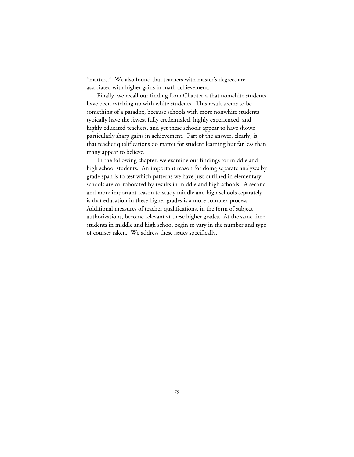"matters." We also found that teachers with master's degrees are associated with higher gains in math achievement.

Finally, we recall our finding from Chapter 4 that nonwhite students have been catching up with white students. This result seems to be something of a paradox, because schools with more nonwhite students typically have the fewest fully credentialed, highly experienced, and highly educated teachers, and yet these schools appear to have shown particularly sharp gains in achievement. Part of the answer, clearly, is that teacher qualifications do matter for student learning but far less than many appear to believe.

In the following chapter, we examine our findings for middle and high school students. An important reason for doing separate analyses by grade span is to test which patterns we have just outlined in elementary schools are corroborated by results in middle and high schools. A second and more important reason to study middle and high schools separately is that education in these higher grades is a more complex process. Additional measures of teacher qualifications, in the form of subject authorizations, become relevant at these higher grades. At the same time, students in middle and high school begin to vary in the number and type of courses taken. We address these issues specifically.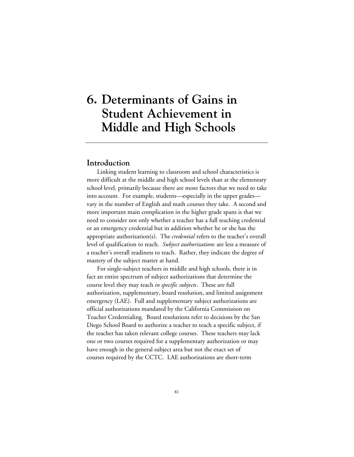# **6. Determinants of Gains in Student Achievement in Middle and High Schools**

### **Introduction**

Linking student learning to classroom and school characteristics is more difficult at the middle and high school levels than at the elementary school level, primarily because there are more factors that we need to take into account. For example, students—especially in the upper grades vary in the number of English and math courses they take. A second and more important main complication in the higher grade spans is that we need to consider not only whether a teacher has a full teaching credential or an emergency credential but in addition whether he or she has the appropriate authorization(s). The *credential* refers to the teacher's overall level of qualification to teach. *Subject authorizations* are less a measure of a teacher's overall readiness to teach. Rather, they indicate the degree of mastery of the subject matter at hand.

For single-subject teachers in middle and high schools, there is in fact an entire spectrum of subject authorizations that determine the course level they may teach *in specific subjects*. These are full authorization, supplementary, board resolution, and limited assignment emergency (LAE). Full and supplementary subject authorizations are official authorizations mandated by the California Commission on Teacher Credentialing. Board resolutions refer to decisions by the San Diego School Board to authorize a teacher to teach a specific subject, if the teacher has taken relevant college courses. These teachers may lack one or two courses required for a supplementary authorization or may have enough in the general subject area but not the exact set of courses required by the CCTC. LAE authorizations are short-term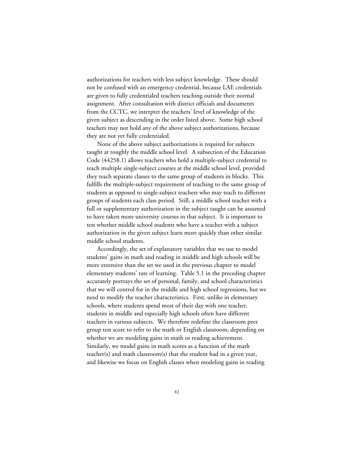authorizations for teachers with less subject knowledge. These should not be confused with an emergency credential, because LAE credentials are given to fully credentialed teachers teaching outside their normal assignment. After consultation with district officials and documents from the CCTC, we interpret the teachers' level of knowledge of the given subject as descending in the order listed above. Some high school teachers may not hold any of the above subject authorizations, because they are not yet fully credentialed.

None of the above subject authorizations is required for subjects taught at roughly the middle school level. A subsection of the Education Code (44258.1) allows teachers who hold a multiple-subject credential to teach multiple single-subject courses at the middle school level, provided they teach separate classes to the same group of students in blocks. This fulfills the multiple-subject requirement of teaching to the same group of students as opposed to single-subject teachers who may teach to different groups of students each class period. Still, a middle school teacher with a full or supplementary authorization in the subject taught can be assumed to have taken more university courses in that subject. It is important to test whether middle school students who have a teacher with a subject authorization in the given subject learn more quickly than other similar middle school students.

Accordingly, the set of explanatory variables that we use to model students' gains in math and reading in middle and high schools will be more extensive than the set we used in the previous chapter to model elementary students' rate of learning. Table 5.1 in the preceding chapter accurately portrays the set of personal, family, and school characteristics that we will control for in the middle and high school regressions, but we need to modify the teacher characteristics. First, unlike in elementary schools, where students spend most of their day with one teacher, students in middle and especially high schools often have different teachers in various subjects. We therefore redefine the classroom peer group test score to refer to the math or English classroom, depending on whether we are modeling gains in math or reading achievement. Similarly, we model gains in math scores as a function of the math teacher(s) and math classroom(s) that the student had in a given year, and likewise we focus on English classes when modeling gains in reading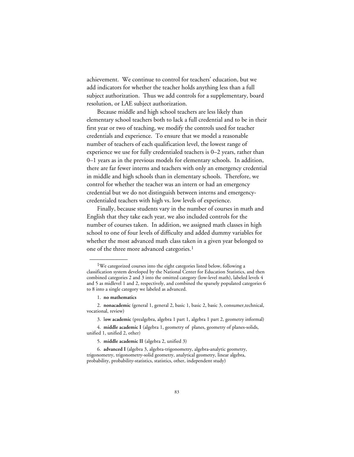achievement. We continue to control for teachers' education, but we add indicators for whether the teacher holds anything less than a full subject authorization. Thus we add controls for a supplementary, board resolution, or LAE subject authorization.

Because middle and high school teachers are less likely than elementary school teachers both to lack a full credential and to be in their first year or two of teaching, we modify the controls used for teacher credentials and experience. To ensure that we model a reasonable number of teachers of each qualification level, the lowest range of experience we use for fully credentialed teachers is 0–2 years, rather than 0–1 years as in the previous models for elementary schools. In addition, there are far fewer interns and teachers with only an emergency credential in middle and high schools than in elementary schools. Therefore, we control for whether the teacher was an intern or had an emergency credential but we do not distinguish between interns and emergencycredentialed teachers with high vs. low levels of experience.

Finally, because students vary in the number of courses in math and English that they take each year, we also included controls for the number of courses taken. In addition, we assigned math classes in high school to one of four levels of difficulty and added dummy variables for whether the most advanced math class taken in a given year belonged to one of the three more advanced categories.<sup>1</sup>

\_\_\_\_\_\_\_\_\_\_\_\_

<sup>&</sup>lt;sup>1</sup>We categorized courses into the eight categories listed below, following a classification system developed by the National Center for Education Statistics, and then combined categories 2 and 3 into the omitted category (low-level math), labeled levels 4 and 5 as midlevel 1 and 2, respectively, and combined the sparsely populated categories 6 to 8 into a single category we labeled as advanced.

<sup>1.</sup> **no mathematics**

<sup>2.</sup> **nonacademic** (general 1, general 2, basic 1, basic 2, basic 3, consumer,technical, vocational, review)

<sup>3.</sup> l**ow academic** (prealgebra, algebra 1 part 1, algebra 1 part 2, geometry informal)

<sup>4.</sup> **middle academic I** (algebra 1, geometry of planes, geometry of planes-solids, unified 1, unified 2, other)

<sup>5.</sup> **middle academic II** (algebra 2, unified 3)

<sup>6.</sup> **advanced I** (algebra 3, algebra-trigonometry, algebra-analytic geometry, trigonometry, trigonometry-solid geometry, analytical geometry, linear algebra, probability, probability-statistics, statistics, other, independent study)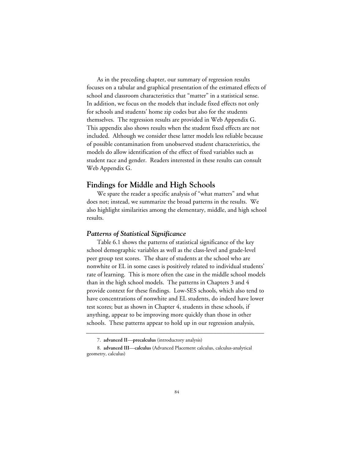As in the preceding chapter, our summary of regression results focuses on a tabular and graphical presentation of the estimated effects of school and classroom characteristics that "matter" in a statistical sense. In addition, we focus on the models that include fixed effects not only for schools and students' home zip codes but also for the students themselves. The regression results are provided in [Web Appendix G.](web_appendix_G.toc.htm) This appendix also shows results when the student fixed effects are not included. Although we consider these latter models less reliable because of possible contamination from unobserved student characteristics, the models do allow identification of the effect of fixed variables such as student race and gender. Readers interested in these results can consult [Web Appendix G.](web_appendix_G.toc.htm)

# **Findings for Middle and High Schools**

We spare the reader a specific analysis of "what matters" and what does not; instead, we summarize the broad patterns in the results. We also highlight similarities among the elementary, middle, and high school results.

#### *Patterns of Statistical Significance*

Table 6.1 shows the patterns of statistical significance of the key school demographic variables as well as the class-level and grade-level peer group test scores. The share of students at the school who are nonwhite or EL in some cases is positively related to individual students' rate of learning. This is more often the case in the middle school models than in the high school models. The patterns in Chapters 3 and 4 provide context for these findings. Low-SES schools, which also tend to have concentrations of nonwhite and EL students, do indeed have lower test scores; but as shown in Chapter 4, students in these schools, if anything, appear to be improving more quickly than those in other schools. These patterns appear to hold up in our regression analysis,

**\_\_\_\_\_\_\_\_\_\_\_\_\_\_\_\_\_\_\_\_\_\_\_\_\_\_\_\_\_\_\_\_\_\_\_\_\_\_\_\_\_\_\_\_\_\_\_\_\_\_\_\_\_\_\_\_**

<sup>7.</sup> **advanced II**—**precalculus** (introductory analysis)

<sup>8.</sup> **advanced III**—**calculus** (Advanced Placement calculus, calculus-analytical geometry, calculus)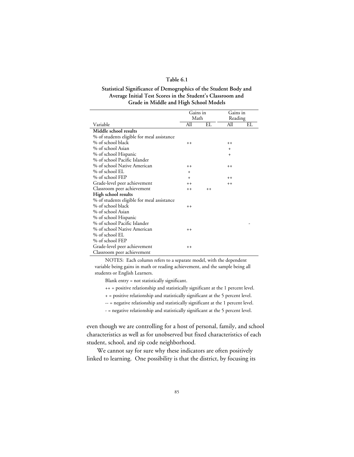#### **Table 6.1**

#### **Statistical Significance of Demographics of the Student Body and Average Initial Test Scores in the Student's Classroom and Grade in Middle and High School Models**

|                                            | Gains in  |      | Gains in  |    |
|--------------------------------------------|-----------|------|-----------|----|
|                                            | Math      |      | Reading   |    |
| Variable                                   | All       | EL   | All       | EL |
| Middle school results                      |           |      |           |    |
| % of students eligible for meal assistance |           |      |           |    |
| % of school black                          | $^{++}$   |      | $++$      |    |
| % of school Asian                          |           |      | $\ddot{}$ |    |
| % of school Hispanic                       |           |      | $\ddot{}$ |    |
| % of school Pacific Islander               |           |      |           |    |
| % of school Native American                | $++$      |      | $++$      |    |
| % of school EL                             | $\ddot{}$ |      |           |    |
| % of school FEP                            | $+$       |      | $++$      |    |
| Grade-level peer achievement               | $++$      |      | $++$      |    |
| Classroom peer achievement                 | $++$      | $++$ |           |    |
| High school results                        |           |      |           |    |
| % of students eligible for meal assistance |           |      |           |    |
| % of school black                          | $++$      |      |           |    |
| % of school Asian                          |           |      |           |    |
| % of school Hispanic                       |           |      |           |    |
| % of school Pacific Islander               |           |      |           |    |
| % of school Native American                | $++$      |      |           |    |
| % of school EL                             |           |      |           |    |
| % of school FEP                            |           |      |           |    |
| Grade-level peer achievement               | $++$      |      |           |    |
| Classroom peer achievement                 |           |      |           |    |

NOTES: Each column refers to a separate model, with the dependent variable being gains in math or reading achievement, and the sample being all students or English Learners.

Blank entry = not statistically significant.

++ = positive relationship and statistically significant at the 1 percent level.

+ = positive relationship and statistically significant at the 5 percent level.

-- = negative relationship and statistically significant at the 1 percent level.

- = negative relationship and statistically significant at the 5 percent level.

even though we are controlling for a host of personal, family, and school characteristics as well as for unobserved but fixed characteristics of each student, school, and zip code neighborhood.

We cannot say for sure why these indicators are often positively linked to learning. One possibility is that the district, by focusing its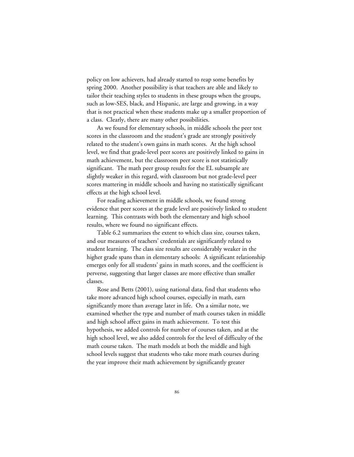policy on low achievers, had already started to reap some benefits by spring 2000. Another possibility is that teachers are able and likely to tailor their teaching styles to students in these groups when the groups, such as low-SES, black, and Hispanic, are large and growing, in a way that is not practical when these students make up a smaller proportion of a class. Clearly, there are many other possibilities.

As we found for elementary schools, in middle schools the peer test scores in the classroom and the student's grade are strongly positively related to the student's own gains in math scores. At the high school level, we find that grade-level peer scores are positively linked to gains in math achievement, but the classroom peer score is not statistically significant. The math peer group results for the EL subsample are slightly weaker in this regard, with classroom but not grade-level peer scores mattering in middle schools and having no statistically significant effects at the high school level.

For reading achievement in middle schools, we found strong evidence that peer scores at the grade level are positively linked to student learning. This contrasts with both the elementary and high school results, where we found no significant effects.

Table 6.2 summarizes the extent to which class size, courses taken, and our measures of teachers' credentials are significantly related to student learning. The class size results are considerably weaker in the higher grade spans than in elementary schools: A significant relationship emerges only for all students' gains in math scores, and the coefficient is perverse, suggesting that larger classes are more effective than smaller classes.

Rose and Betts (2001), using national data, find that students who take more advanced high school courses, especially in math, earn significantly more than average later in life. On a similar note, we examined whether the type and number of math courses taken in middle and high school affect gains in math achievement. To test this hypothesis, we added controls for number of courses taken, and at the high school level, we also added controls for the level of difficulty of the math course taken. The math models at both the middle and high school levels suggest that students who take more math courses during the year improve their math achievement by significantly greater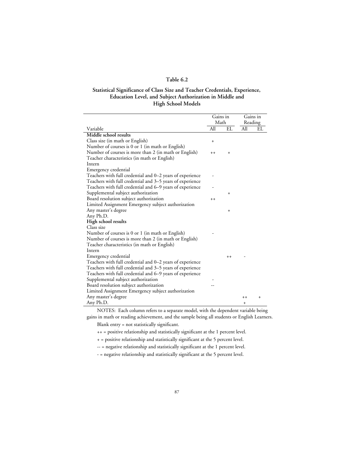#### **Table 6.2**

#### **Statistical Significance of Class Size and Teacher Credentials, Experience, Education Level, and Subject Authorization in Middle and High School Models**

 $\overline{a}$ 

L,

|                                                           | Gains in  |           | Gains in  |           |
|-----------------------------------------------------------|-----------|-----------|-----------|-----------|
|                                                           | Math      |           | Reading   |           |
| Variable                                                  | All       | EL        | All       | EL        |
| Middle school results                                     |           |           |           |           |
| Class size (in math or English)                           | $\ddot{}$ |           |           |           |
| Number of courses is 0 or 1 (in math or English)          |           |           |           |           |
| Number of courses is more than 2 (in math or English)     | $++$      | $\ddot{}$ |           |           |
| Teacher characteristics (in math or English)              |           |           |           |           |
| Intern                                                    |           |           |           |           |
| Emergency credential                                      |           |           |           |           |
| Teachers with full credential and 0–2 years of experience |           |           |           |           |
| Teachers with full credential and 3–5 years of experience |           |           |           |           |
| Teachers with full credential and 6–9 years of experience |           |           |           |           |
| Supplemental subject authorization                        |           | $\ddot{}$ |           |           |
| Board resolution subject authorization                    | $++$      |           |           |           |
| Limited Assignment Emergency subject authorization        |           |           |           |           |
| Any master's degree                                       |           | $\ddot{}$ |           |           |
| Any Ph.D.                                                 |           |           |           |           |
| High school results                                       |           |           |           |           |
| Class size                                                |           |           |           |           |
| Number of courses is 0 or 1 (in math or English)          |           |           |           |           |
| Number of courses is more than 2 (in math or English)     |           |           |           |           |
| Teacher characteristics (in math or English)              |           |           |           |           |
| Intern                                                    |           |           |           |           |
| Emergency credential                                      |           | $++$      |           |           |
| Teachers with full credential and 0–2 years of experience |           |           |           |           |
| Teachers with full credential and 3–5 years of experience |           |           |           |           |
| Teachers with full credential and 6–9 years of experience |           |           |           |           |
| Supplemental subject authorization                        |           |           |           |           |
| Board resolution subject authorization                    |           |           |           |           |
| Limited Assignment Emergency subject authorization        |           |           |           |           |
| Any master's degree                                       |           |           | $^{++}$   | $\ddot{}$ |
| Any Ph.D.                                                 |           |           | $\ddot{}$ |           |

NOTES: Each column refers to a separate model, with the dependent variable being gains in math or reading achievement, and the sample being all students or English Learners.

Blank entry = not statistically significant.

++ = positive relationship and statistically significant at the 1 percent level.

+ = positive relationship and statistically significant at the 5 percent level.

-- = negative relationship and statistically significant at the 1 percent level.

- = negative relationship and statistically significant at the 5 percent level.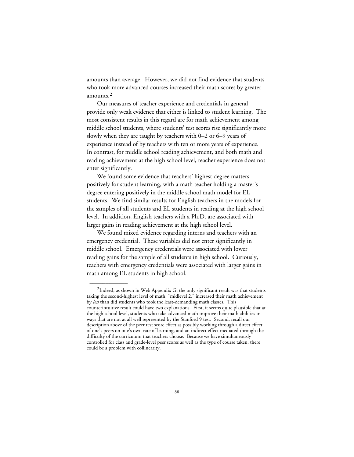amounts than average. However, we did not find evidence that students who took more advanced courses increased their math scores by greater amounts.2

Our measures of teacher experience and credentials in general provide only weak evidence that either is linked to student learning. The most consistent results in this regard are for math achievement among middle school students, where students' test scores rise significantly more slowly when they are taught by teachers with 0–2 or 6–9 years of experience instead of by teachers with ten or more years of experience. In contrast, for middle school reading achievement, and both math and reading achievement at the high school level, teacher experience does not enter significantly.

We found some evidence that teachers' highest degree matters positively for student learning, with a math teacher holding a master's degree entering positively in the middle school math model for EL students. We find similar results for English teachers in the models for the samples of all students and EL students in reading at the high school level. In addition, English teachers with a Ph.D. are associated with larger gains in reading achievement at the high school level.

We found mixed evidence regarding interns and teachers with an emergency credential. These variables did not enter significantly in middle school. Emergency credentials were associated with lower reading gains for the sample of all students in high school. Curiously, teachers with emergency credentials were associated with larger gains in math among EL students in high school.

\_\_\_\_\_\_\_\_\_\_\_\_

 $2$ Indeed, as shown in Web Appendix G, the only significant result was that students taking the second-highest level of math, "midlevel 2," increased their math achievement by *less* than did students who took the least-demanding math classes. This counterintuitive result could have two explanations. First, it seems quite plausible that at the high school level, students who take advanced math improve their math abilities in ways that are not at all well represented by the Stanford 9 test. Second, recall our description above of the peer test score effect as possibly working through a direct effect of one's peers on one's own rate of learning, and an indirect effect mediated through the difficulty of the curriculum that teachers choose. Because we have simultaneously controlled for class and grade-level peer scores as well as the type of course taken, there could be a problem with collinearity.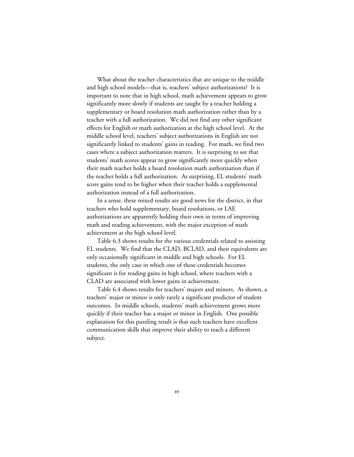What about the teacher characteristics that are unique to the middle and high school models—that is, teachers' subject authorizations? It is important to note that in high school, math achievement appears to grow significantly more slowly if students are taught by a teacher holding a supplementary or board resolution math authorization rather than by a teacher with a full authorization. We did not find any other significant effects for English or math authorization at the high school level. At the middle school level, teachers' subject authorizations in English are not significantly linked to students' gains in reading. For math, we find two cases where a subject authorization matters. It is surprising to see that students' math scores appear to grow significantly more quickly when their math teacher holds a board resolution math authorization than if the teacher holds a full authorization. As surprising, EL students' math score gains tend to be higher when their teacher holds a supplemental authorization instead of a full authorization.

In a sense, these mixed results are good news for the district, in that teachers who hold supplementary, board resolutions, or LAE authorizations are apparently holding their own in terms of improving math and reading achievement, with the major exception of math achievement at the high school level.

Table 6.3 shows results for the various credentials related to assisting EL students. We find that the CLAD, BCLAD, and their equivalents are only occasionally significant in middle and high schools. For EL students, the only case in which one of these credentials becomes significant is for reading gains in high school, where teachers with a CLAD are associated with lower gains in achievement.

Table 6.4 shows results for teachers' majors and minors. As shown, a teachers' major or minor is only rarely a significant predictor of student outcomes. In middle schools, students' math achievement grows more quickly if their teacher has a major or minor in English. One possible explanation for this puzzling result is that such teachers have excellent communication skills that improve their ability to teach a different subject.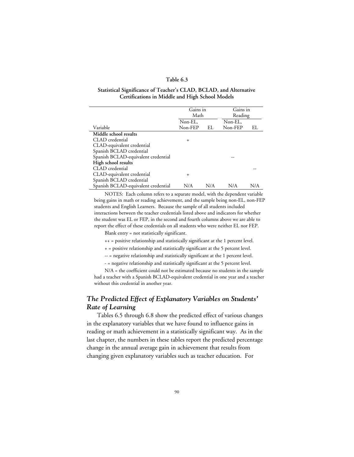#### **Table 6.3**

#### **Statistical Significance of Teacher's CLAD, BCLAD, and Alternative Certifications in Middle and High School Models**

|                                     | Gains in<br>Math |     | Gains in<br>Reading |     |
|-------------------------------------|------------------|-----|---------------------|-----|
|                                     | Non-EL,          |     | Non-EL,             |     |
| Variable                            | Non-FEP          | EL  | Non-FEP             | EL  |
| Middle school results               |                  |     |                     |     |
| CLAD credential                     | $\ddot{}$        |     |                     |     |
| CLAD-equivalent credential          |                  |     |                     |     |
| Spanish BCLAD credential            |                  |     |                     |     |
| Spanish BCLAD-equivalent credential |                  |     |                     |     |
| High school results                 |                  |     |                     |     |
| CLAD credential                     |                  |     |                     |     |
| CLAD-equivalent credential          | $\ddot{}$        |     |                     |     |
| Spanish BCLAD credential            |                  |     |                     |     |
| Spanish BCLAD-equivalent credential | N/A              | N/A | N/A                 | N/A |

NOTES: Each column refers to a separate model, with the dependent variable being gains in math or reading achievement, and the sample being non-EL, non-FEP students and English Learners. Because the sample of all students included interactions between the teacher credentials listed above and indicators for whether the student was EL or FEP, in the second and fourth columns above we are able to report the effect of these credentials on all students who were neither EL nor FEP.

Blank entry = not statistically significant.

++ = positive relationship and statistically significant at the 1 percent level.

+ = positive relationship and statistically significant at the 5 percent level.

-- = negative relationship and statistically significant at the 1 percent level.

- = negative relationship and statistically significant at the 5 percent level.

N/A = the coefficient could not be estimated because no students in the sample had a teacher with a Spanish BCLAD-equivalent credential in one year and a teacher without this credential in another year.

# *The Predicted Effect of Explanatory Variables on Students' Rate of Learning*

Tables 6.5 through 6.8 show the predicted effect of various changes in the explanatory variables that we have found to influence gains in reading or math achievement in a statistically significant way. As in the last chapter, the numbers in these tables report the predicted percentage change in the annual average gain in achievement that results from changing given explanatory variables such as teacher education. For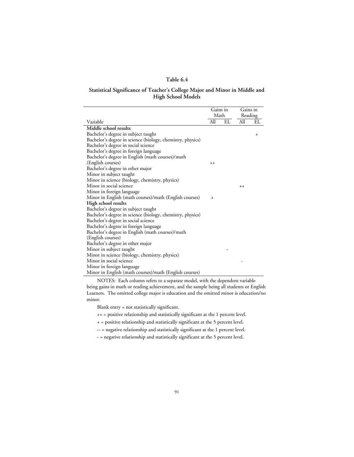#### **Table 6.4**

#### **Statistical Significance of Teacher's College Major and Minor in Middle and High School Models**

|                                                            | Gains in  |    | Gains in |           |
|------------------------------------------------------------|-----------|----|----------|-----------|
|                                                            | Math      |    | Reading  |           |
| Variable                                                   | All       | EL | All      | EL        |
| Middle school results                                      |           |    |          |           |
| Bachelor's degree in subject taught                        |           |    |          | $\ddot{}$ |
| Bachelor's degree in science (biology, chemistry, physics) |           |    |          |           |
| Bachelor's degree in social science                        |           |    |          |           |
| Bachelor's degree in foreign language                      |           |    |          |           |
| Bachelor's degree in English (math courses)/math           |           |    |          |           |
| (English courses)                                          | $++$      |    |          |           |
| Bachelor's degree in other major                           |           |    |          |           |
| Minor in subject taught                                    |           |    |          |           |
| Minor in science (biology, chemistry, physics)             |           |    |          |           |
| Minor in social science                                    |           |    | $++$     |           |
| Minor in foreign language                                  |           |    |          |           |
| Minor in English (math courses)/math (English courses)     | $\ddot{}$ |    |          |           |
| High school results                                        |           |    |          |           |
| Bachelor's degree in subject taught                        |           |    |          |           |
| Bachelor's degree in science (biology, chemistry, physics) |           |    |          |           |
| Bachelor's degree in social science                        |           |    |          |           |
| Bachelor's degree in foreign language                      |           |    |          |           |
| Bachelor's degree in English (math courses)/math           |           |    |          |           |
| (English courses)                                          |           |    |          |           |
| Bachelor's degree in other major                           |           |    |          |           |
| Minor in subject taught                                    |           |    |          |           |
| Minor in science (biology, chemistry, physics)             |           |    |          |           |
| Minor in social science                                    |           |    |          |           |
| Minor in foreign language                                  |           |    |          |           |
| Minor in English (math courses)/math (English courses)     |           |    |          |           |

NOTES: Each column refers to a separate model, with the dependent variable being gains in math or reading achievement, and the sample being all students or English Learners. The omitted college major is education and the omitted minor is education/no minor.

Blank entry = not statistically significant.

++ = positive relationship and statistically significant at the 1 percent level.

+ = positive relationship and statistically significant at the 5 percent level.

-- = negative relationship and statistically significant at the 1 percent level.

- = negative relationship and statistically significant at the 5 percent level.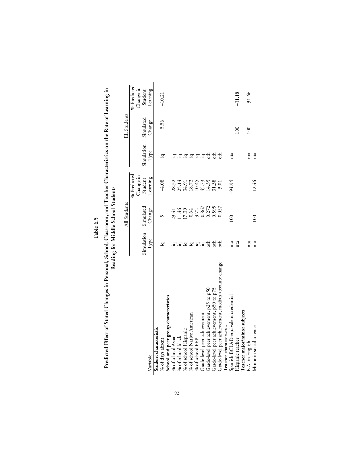|                                                      |                           | All Students                                         |                                           |                       | EL Students |             |
|------------------------------------------------------|---------------------------|------------------------------------------------------|-------------------------------------------|-----------------------|-------------|-------------|
|                                                      |                           |                                                      | % Predicted                               |                       |             | % Predicted |
|                                                      |                           |                                                      | Change in                                 |                       |             | Change in   |
|                                                      | Simulation                | Simulated                                            | Student                                   | Simulation            | Simulated   | Student     |
| Variable                                             | Type                      | Change                                               | Learning                                  | Type                  | Change      | Learning    |
| Student characteristic                               |                           |                                                      |                                           |                       |             |             |
| % of days absent                                     | <u>្</u> រ                |                                                      | $-4.08$                                   | <u>្</u> ក            | 5.56        | $-10.21$    |
| School and peer group characteristics                |                           |                                                      |                                           |                       |             |             |
| % of school Asian                                    |                           |                                                      | 28.32                                     |                       |             |             |
| % of school black                                    |                           |                                                      |                                           |                       |             |             |
| % of school Hispanic                                 |                           |                                                      |                                           |                       |             |             |
| % of school Native American                          |                           |                                                      |                                           |                       |             |             |
| % of school FEP                                      | <u>.</u><br>ਕ.ਕ.ਕ.ਕ.ਕ.ਕ.ਬ | 23.41<br>11.46<br>17.39<br>0.3.72<br>0.3672<br>0.272 | 25.14<br>34.91<br>18.72<br>45.73<br>14.35 | .ਬ.ਬ.ਬ.ਬ              |             |             |
| Grade-level peer achievement                         |                           |                                                      |                                           |                       |             |             |
| Grade-level peer achievement, p25 to p50             |                           |                                                      |                                           | $\circ$ <sup>th</sup> |             |             |
| Grade-level peer achievement, p50 to p75             | $\vec{c}$                 | 0.595                                                | 31.38                                     | $\vec{c}$             |             |             |
| Grade-level peer achievement, median absolute change | $\frac{1}{6}$             | 0.057                                                | 3.01                                      | $\frac{1}{6}$         |             |             |
| Teacher characteristics                              |                           |                                                      |                                           |                       |             |             |
| Spanish BCLAD-equivalent credential                  | nta                       | 100                                                  | $-94.94$                                  | nta                   |             |             |
| Hispanic teacher                                     | nta                       |                                                      |                                           |                       | 100         | $-31.18$    |
| Teacher major/minor subjects                         |                           |                                                      |                                           |                       |             |             |
| B.A. in English                                      | nta                       |                                                      |                                           | nta                   | 100         | 31.66       |
| Minor in social science                              | nta                       | 100                                                  | $-12.46$                                  | nta                   |             |             |
|                                                      |                           |                                                      |                                           |                       |             |             |

Predicted Effect of Stated Changes in Personal, School, Classroom, and Teacher Characteristics on the Rate of Learning in<br>Reading for Middle School Students **Predicted Effect of Stated Changes in Personal, School, Classroom, and Teacher Characteristics on the Rate of Learning in Table 6.5**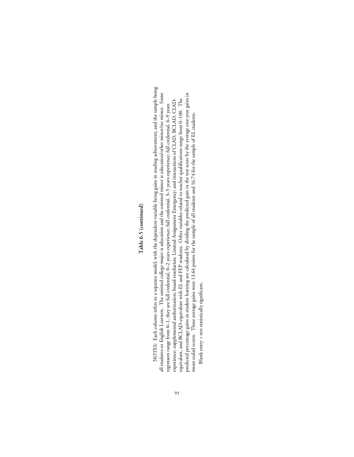# Table 6.5 (continued) **Table 6.5 (continued)**

NOTES: Each column refers to a separate model, with the dependent variable being gains in reading achievement, and the sample being NOTES: Each column refers to a separate model, with the dependent variable being gains in reading achievement, and the sample being all students or English Learners. The omitted college major is education and the omitted minor is education/other minor/no minor. Some predicted percentage gains in student learning are calculated by dividing the predicted gain in the test score by the average one-year gains in all students or English Learners. The omitted college major is education and the omitted minor is education/other minor/no minor. Some predicted percentage gains in student learning are calculated by dividing the predicted gain in the test score by the average one-year gains in equivalent, and BCLAD-equivalent with EL and FEP students. Other variables related to teacher qualifications range from 0-100. The experience; supplemental authorization; board resolution; Limited Assignment Emergency; and interactions of CLAD, BCLAD, CLADexperience; supplemental authorization; board resolution; Limited Assignment Emergency; and interactions of CLAD, BCLAD, CLADequivalent, and BCLAD-equivalent with EL and FEP students. Other variables related to teacher qualifications range from 0–100. The regressors range from 0-1, they are full credential, 0-2 years experience; full credential, 3-5 years experience; full credential, 6-9 years regressors range from 0–1, they are full credential, 0–2 years experience; full credential, 3–5 years experience; full credential, 6–9 years mean scaled scores. These average gains were 13.64 points for the sample of all students and 16.74 for the sample of EL students. mean scaled scores. These average gains were 13.64 points for the sample of all students and 16.74 for the sample of EL students. Blank entry = not statistically significant. Blank entry = not statistically significant.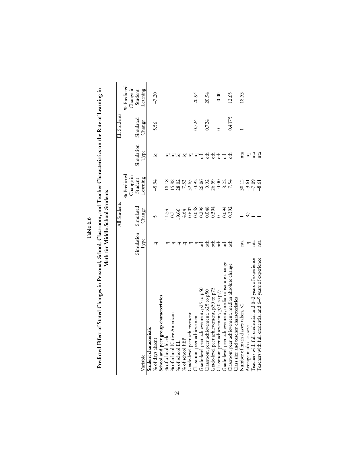| L |
|---|
| ۳ |
|   |
|   |

Predicted Effect of Stated Changes in Personal, School, Classroom, and Teacher Characteristics on the Rate of Learning in<br>Math for Middle School Students **Predicted Effect of Stated Changes in Personal, School, Classroom, and Teacher Characteristics on the Rate of Learning in Math for Middle School Students**

|                                                           |                   | All Students                                                               |                                        |                              | EL Students |             |
|-----------------------------------------------------------|-------------------|----------------------------------------------------------------------------|----------------------------------------|------------------------------|-------------|-------------|
|                                                           |                   |                                                                            |                                        |                              |             |             |
|                                                           |                   |                                                                            | % Predicted                            |                              |             | % Predicted |
|                                                           |                   |                                                                            | Change in                              |                              |             | Change in   |
|                                                           | Simulation        | Simulated                                                                  | Student                                | Simulation                   | Simulated   | Student     |
| Variable                                                  | Type              | Change                                                                     | Learning                               | $\ensuremath{\mathrm{Type}}$ | Change      | Learning    |
| Student characteristic                                    |                   |                                                                            |                                        |                              |             |             |
| % of days absent                                          | Ξ.                |                                                                            | $-5.94$                                | .ਬ                           | 5.56        | $-7.20$     |
| School and peer group characteristics                     |                   |                                                                            |                                        |                              |             |             |
| % of school black                                         |                   |                                                                            | 18.18                                  |                              |             |             |
| % of school Native American                               |                   |                                                                            |                                        |                              |             |             |
| % of school $EL$                                          |                   |                                                                            |                                        |                              |             |             |
| % of school FEP                                           | .g.g.g.g.g.g      | $\begin{array}{c} 11.34 \\ 0.7 \\ 19.66 \\ 4.602 \\ 0.0048 \\ \end{array}$ |                                        | .ੲ.ੲ.ੲ.¤                     |             |             |
| Grade-level peer achievement                              |                   |                                                                            |                                        |                              |             |             |
| Classroom peer achievement                                |                   |                                                                            |                                        |                              | 0.724       | 20.94       |
| Grade-level peer achievement, p25 to p50                  | $\frac{1}{2}$     |                                                                            |                                        | $\frac{1}{2}$                |             |             |
| Classroom peer achievement, p25 to p50                    | 동동동동              | 0.298<br>0.048<br>0.304                                                    |                                        | ъь                           | 0.724       | 20.94       |
| Grade-level peer achievement, p50 to p75                  |                   |                                                                            |                                        | $\frac{1}{2}$                |             |             |
| Classroom peer achievement, p50 to p75                    |                   |                                                                            |                                        | $\overline{a}$               |             | 0.00        |
| Grade-level peer achievement, median absolute change      |                   | 0.094                                                                      | 8.22                                   | $\frac{4}{5}$                |             |             |
| Classroom peer achievement, median absolute change        |                   | 0.392                                                                      | 7.54                                   |                              | 0.4375      | 12.65       |
| Class size and teacher characteristics                    |                   |                                                                            |                                        |                              |             |             |
| Number of math classes taken, >2                          | nta               |                                                                            |                                        | nta                          |             | 18.53       |
| Average math class size                                   | .gr $\frac{1}{2}$ | $-8.5$                                                                     |                                        | .<br>$\rm \dot{q}$ m         |             |             |
| Teachers with full credential and 0-2 years of experience |                   |                                                                            | $30.12$<br>$-7.6$<br>$-7.6$<br>$-8.61$ |                              |             |             |
| Teachers with full credential and 6-9 years of experience | nta               |                                                                            |                                        | nta                          |             |             |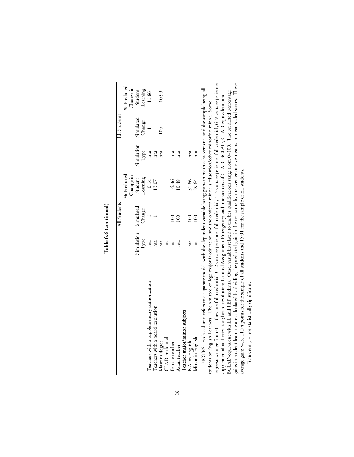| Type<br>Teachers with a supplementary authorization<br>Teachers with a board resolution |                      |                      |      | EL Students          |                                  |
|-----------------------------------------------------------------------------------------|----------------------|----------------------|------|----------------------|----------------------------------|
|                                                                                         |                      | % Predicted          |      |                      | % Predicted                      |
|                                                                                         |                      |                      |      |                      |                                  |
|                                                                                         | Simulation Simulated | Change in<br>Student |      | Simulation Simulated |                                  |
|                                                                                         | Change               | Learning             | Type | Change               | Change in<br>Student<br>Learning |
|                                                                                         |                      | $-0.14$              | nta  |                      | $-11.86$                         |
|                                                                                         |                      | 13.07                | nta  |                      |                                  |
| Master's degree                                                                         |                      |                      | nta  | $\frac{8}{1}$        | 10.99                            |
| nta<br>CLAD credential                                                                  |                      |                      |      |                      |                                  |
| nta<br>Female teacher                                                                   | 8                    | 4.86                 | nta  |                      |                                  |
| nta<br>Asian teacher                                                                    | $\frac{1}{2}$        | 10.48                | nta  |                      |                                  |
| Teacher major/minor subjects                                                            |                      |                      |      |                      |                                  |
| nta<br>B.A. in English                                                                  |                      | 31.86<br>29.64       | nta  |                      |                                  |
| nta<br>Minor in English                                                                 | $\frac{8}{10}$       |                      | nta  |                      |                                  |

Table 6.6 (continued) **Table 6.6 (continued)**

regressors range from 0-1, they are full credential, 0-2 years experience; full credential, 3-5 years experience; full credential, 6-9 years experience; gains in student learning are calculated by dividing the predicted gain in the test score by the average one-year gains in mean scaled scores. These<br>average gains were 11.74 points for the sample of all students and 15.01 regressors range from 0–1, they are full credential, 0–2 years experience; full credential, 3–5 years experience; full credential, 6–9 years experience; gains in student learning are calculated by dividing the predicted gain in the test score by the average one-year gains in mean scaled scores. These NOTES: Each column reters to a separate model, with the dependent variable being gains in math achievement, and the sample being all<br>students or English Learners. The omitted college major is education and the omitted mino NOTES: Each column refers to a separate model, with the dependent variable being gains in math achievement, and the sample being all BCLAD-equivalent with EL and FEP students. Other variables related to teacher qualifications range from 0-100. The predicted percentage BCLAD-equivalent with EL and FEP students. Other variables related to teacher qualifications range from 0–100. The predicted percentage supplemental authorization; board resolution; Limited Assignment Emergency; and interactions of CLAD, BCLAD, CLAD-equivalent, and supplemental authorization; board resolution; Limited Assignment Emergency; and interactions of CLAD, BCLAD, CLAD-equivalent, and students or English Learners. The omitted college major is education and the omitted minor is education/other minor/no minor. Some average gains were 11.74 points for the sample of all students and 15.01 for the sample of EL students.

Blank entry = not statistically significant. Blank entry = not statistically significant.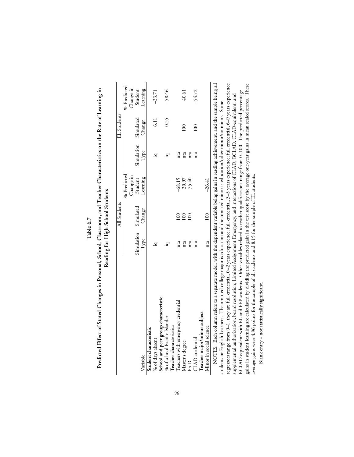| с      |
|--------|
|        |
| ψ<br>▀ |
| ٠      |
|        |
|        |

Predicted Effect of Stated Changes in Personal, School, Classroom, and Teacher Characteristics on the Rate of Learning in **Predicted Effect of Stated Changes in Personal, School, Classroom, and Teacher Characteristics on the Rate of Learning in** Reading for High School Students **Reading for High School Students**

|                                                                                                                                   |                      | All Students   |                |                      | EL Students   |             |
|-----------------------------------------------------------------------------------------------------------------------------------|----------------------|----------------|----------------|----------------------|---------------|-------------|
|                                                                                                                                   |                      |                | % Predicted    |                      |               | % Predicted |
|                                                                                                                                   |                      |                | Change in      |                      |               | Change in   |
|                                                                                                                                   | Simulation Simulated |                | Student        | Simulation Simulated |               | Student     |
| Variable                                                                                                                          | Type                 | Change         | Learning       | Type                 | Change        | Learning    |
| Student characteristic                                                                                                            |                      |                |                |                      |               |             |
| % of days absent                                                                                                                  | Ξ.                   |                |                | .모                   | $\frac{1}{2}$ | $-33.71$    |
| School and peer group characteristic                                                                                              |                      |                |                |                      |               |             |
| % of school Pacific Islander                                                                                                      | ĬΩ                   |                |                | .모                   | 0.55          | $-58.46$    |
| Teacher characteristics                                                                                                           |                      |                |                |                      |               |             |
| Teachers with emergency credential                                                                                                | nta                  | $\approx$      | $-68.15$       | nta                  |               |             |
| Master's degree                                                                                                                   | nta                  | 100            | 20.97<br>75.40 | nta                  | $\approx 0$   | 40.61       |
| Ph.D.                                                                                                                             | nta                  | $\overline{0}$ |                | nta                  |               |             |
| CLAD credential                                                                                                                   | nta                  |                |                | nta                  | $\approx 0$   | $-54.72$    |
| Teacher major/minor subject                                                                                                       |                      |                |                |                      |               |             |
| Minor in social science                                                                                                           | nta                  | 100            | $-26.41$       |                      |               |             |
| NOTES. Each column refere to a cenarge model with the denondent variable being mine in reading adjoinent and the cample being all |                      |                |                |                      |               |             |

 $\frac{1}{\log \text{min}}$ regressors range from 0-1, they are full credential, 0-2 years experience; full credential, 3-5 years experience; full credential, 6-9 years experience; gains in student learning are calculated by dividing the predicted gain in the test score by the average one-year gains in mean scaled scores. These<br>average gains were 4.96 points for the sample of all students and 8.15 fo regressors range from 0–1, they are full credential, 0–2 years experience; full credential, 3–5 years experience; full credential, 6–9 years experience; NOTES: Each column refers to a separate model, with the dependent variable being gains in reading achievement, and the sample being all gains in student learning are calculated by dividing the predicted gain in the test score by the average one-year gains in mean scaled scores. These BCLAD-equivalent with EL and FEP students. Other variables related to teacher qualifications range from 0-100. The predicted percentage BCLAD-equivalent with EL and FEP students. Other variables related to teacher qualifications range from 0–100. The predicted percentage supplemental authorization; board resolution; Limited Assignment Emergency; and interactions of CLAD, BCLAD, CLAD-equivalent, and supplemental authorization; board resolution; Limited Assignment Emergency; and interactions of CLAD, BCLAD, CLAD-equivalent, and NOTES: Each column reters to a separate model, with the dependent variable being gains in reading achievement, and the sample t<br>students or English Learners. The omitted college major is education and the omitted minot is students or English Learners. The omitted college major is education and the omitted minor is education/other minor/no minor. Some average gains were 4.96 points for the sample of all students and 8.15 for the sample of EL students.

Blank entry = not statistically significant. Blank entry = not statistically significant.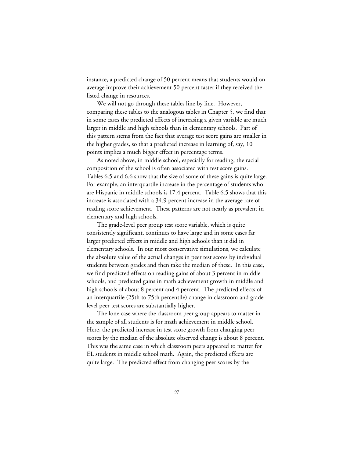instance, a predicted change of 50 percent means that students would on average improve their achievement 50 percent faster if they received the listed change in resources.

We will not go through these tables line by line. However, comparing these tables to the analogous tables in Chapter 5, we find that in some cases the predicted effects of increasing a given variable are much larger in middle and high schools than in elementary schools. Part of this pattern stems from the fact that average test score gains are smaller in the higher grades, so that a predicted increase in learning of, say, 10 points implies a much bigger effect in percentage terms.

As noted above, in middle school, especially for reading, the racial composition of the school is often associated with test score gains. Tables 6.5 and 6.6 show that the size of some of these gains is quite large. For example, an interquartile increase in the percentage of students who are Hispanic in middle schools is 17.4 percent. Table 6.5 shows that this increase is associated with a 34.9 percent increase in the average rate of reading score achievement. These patterns are not nearly as prevalent in elementary and high schools.

The grade-level peer group test score variable, which is quite consistently significant, continues to have large and in some cases far larger predicted effects in middle and high schools than it did in elementary schools. In our most conservative simulations, we calculate the absolute value of the actual changes in peer test scores by individual students between grades and then take the median of these. In this case, we find predicted effects on reading gains of about 3 percent in middle schools, and predicted gains in math achievement growth in middle and high schools of about 8 percent and 4 percent. The predicted effects of an interquartile (25th to 75th percentile) change in classroom and gradelevel peer test scores are substantially higher.

The lone case where the classroom peer group appears to matter in the sample of all students is for math achievement in middle school. Here, the predicted increase in test score growth from changing peer scores by the median of the absolute observed change is about 8 percent. This was the same case in which classroom peers appeared to matter for EL students in middle school math. Again, the predicted effects are quite large. The predicted effect from changing peer scores by the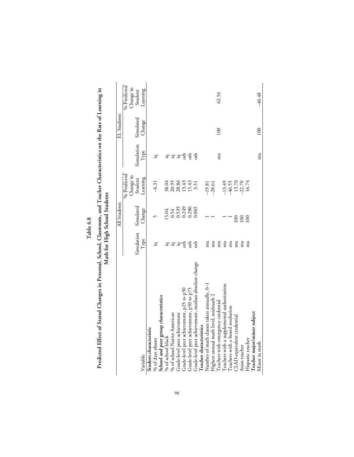|                                                      |               | All Students                    |                                             |                        | EL Students |                          |
|------------------------------------------------------|---------------|---------------------------------|---------------------------------------------|------------------------|-------------|--------------------------|
|                                                      |               |                                 | % Predicted<br>Change in                    |                        |             | % Predicted<br>Change in |
|                                                      | Simulation    | Simulated                       | Student                                     | Simulation             | Simulated   | Student                  |
| Variable                                             | Type          | Change                          | Learning                                    | Type                   | Change      | Learning                 |
| Student characteristic                               |               |                                 |                                             |                        |             |                          |
| % of days absent                                     | ੁ             |                                 | $-6.31$                                     | .ਬ                     |             |                          |
| School and peer group characteristics                |               |                                 |                                             |                        |             |                          |
| % of school black                                    |               | 5.04                            | 38.04                                       |                        |             |                          |
| % of school Native American                          |               |                                 |                                             | . <u>ਕ.'ਕ.'ਕ ਬ</u> ੍ਰਿ |             |                          |
| Grade-level peer achievement                         | .፰.፰          |                                 |                                             |                        |             |                          |
| Grade-level peer achievement, p25 to p50             | $\sin$        | 0.54<br>0.535<br>0.249<br>0.286 | 20.95<br>28.86<br>13.43                     |                        |             |                          |
| Grade-level peer achievement, p50 to p75             | $\vec{e}$     |                                 | 15.43                                       | $\frac{4}{5}$          |             |                          |
| Grade-level peer achievement, median absolute change | $\frac{1}{6}$ | 0.065                           | 3.51                                        |                        |             |                          |
| Teacher characteristics                              |               |                                 |                                             |                        |             |                          |
| Number of math classes taken annually, 0-1           | nta           |                                 | $-19.81$                                    |                        |             |                          |
| Highest annual math level, midmath 2                 | nta           |                                 | $-28.61$                                    |                        |             |                          |
| Teachers with emergency credential                   | nta           |                                 |                                             | nta                    | 100         | 62.54                    |
| Teachers with a supplemental authorization           | nta           |                                 | $-13.49$<br>$-46.55$<br>$13.70$<br>$-22.70$ |                        |             |                          |
| Teachers with a board resolution                     | nta           |                                 |                                             |                        |             |                          |
| CLAD-equivalent credential                           | nta           | 100                             |                                             |                        |             |                          |
| Asian teacher                                        | nta           | 00                              |                                             |                        |             |                          |
| Hispanic teacher                                     | nta           | $\overline{0}$                  | 16.74                                       |                        |             |                          |
| l'eacher major/minor subject                         |               |                                 |                                             |                        |             |                          |
| Minor in math                                        |               |                                 |                                             | nta                    | 100         | 46.48                    |

**Table 6.8**

Predicted Effect of Stated Changes in Personal, School, Classroom, and Teacher Characteristics on the Rate of Learning in<br>Math for High School Students **Predicted Effect of Stated Changes in Personal, School, Classroom, and Teacher Characteristics on the Rate of Learning in Math for High School Students**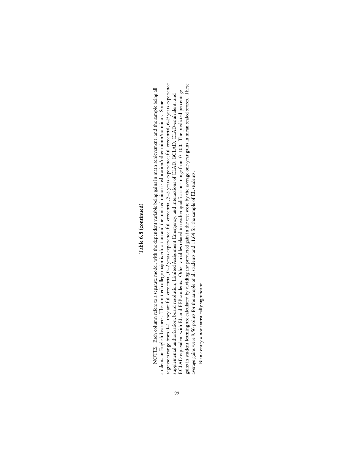# Table 6.8 (continued) **Table 6.8 (continued)**

regressors range from 0-1, they are full credential, 0-2 years experience; full credential, 3-5 years experience; full credential, 6-9 years experience; gains in student learning are calculated by dividing the predicted gain in the test score by the average one-year gains in mean scaled scores. These regressors range from 0–1, they are full credential, 0–2 years experience; full credential, 3–5 years experience; full credential, 6–9 years experience; gains in student learning are calculated by dividing the predicted gain in the test score by the average one-year gains in mean scaled scores. These NOTES: Each column refers to a separate model, with the dependent variable being gains in math achievement, and the sample being all NOTES: Each column refers to a separate model, with the dependent variable being gains in math achievement, and the sample being all BCLAD-equivalent with EL and FEP students. Other variables related to teacher qualifications range from 0-100. The predicted percentage BCLAD-equivalent with EL and FEP students. Other variables related to teacher qualifications range from 0–100. The predicted percentage supplemental authorization; board resolution; Limited Assignment Emergency; and interactions of CLAD, BCLAD, CLAD-equivalent, and supplemental authorization; board resolution; Limited Assignment Emergency; and interactions of CLAD, BCLAD, CLAD-equivalent, and students or English Learners. The omitted college major is education and the omitted minor is education/other minor/no minor. Some students or English Learners. The omitted college major is education and the omitted minor is education/other minor/no minor. Some average gains were 9.56 points for the sample of all students and 11.64 for the sample of EL students. average gains were 9.56 points for the sample of all students and 11.64 for the sample of EL students. Blank entry = not statistically significant. Blank entry = not statistically significant.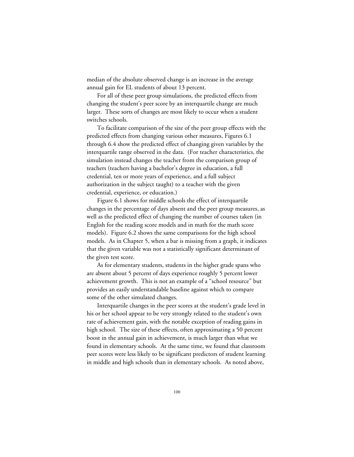median of the absolute observed change is an increase in the average annual gain for EL students of about 13 percent.

For all of these peer group simulations, the predicted effects from changing the student's peer score by an interquartile change are much larger. These sorts of changes are most likely to occur when a student switches schools.

To facilitate comparison of the size of the peer group effects with the predicted effects from changing various other measures, Figures 6.1 through 6.4 show the predicted effect of changing given variables by the interquartile range observed in the data. (For teacher characteristics, the simulation instead changes the teacher from the comparison group of teachers (teachers having a bachelor's degree in education, a full credential, ten or more years of experience, and a full subject authorization in the subject taught) to a teacher with the given credential, experience, or education.)

Figure 6.1 shows for middle schools the effect of interquartile changes in the percentage of days absent and the peer group measures, as well as the predicted effect of changing the number of courses taken (in English for the reading score models and in math for the math score models). Figure 6.2 shows the same comparisons for the high school models. As in Chapter 5, when a bar is missing from a graph, it indicates that the given variable was not a statistically significant determinant of the given test score.

As for elementary students, students in the higher grade spans who are absent about 5 percent of days experience roughly 5 percent lower achievement growth. This is not an example of a "school resource" but provides an easily understandable baseline against which to compare some of the other simulated changes.

Interquartile changes in the peer scores at the student's grade level in his or her school appear to be very strongly related to the student's own rate of achievement gain, with the notable exception of reading gains in high school. The size of these effects, often approximating a 50 percent boost in the annual gain in achievement, is much larger than what we found in elementary schools. At the same time, we found that classroom peer scores were less likely to be significant predictors of student learning in middle and high schools than in elementary schools. As noted above,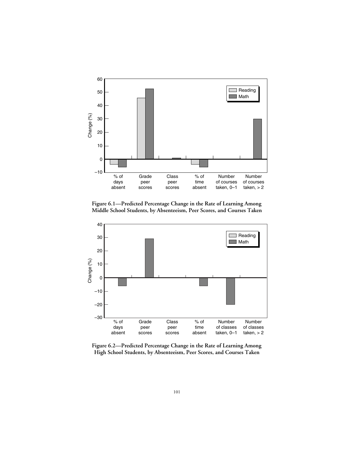

**Figure 6.1—Predicted Percentage Change in the Rate of Learning Among Middle School Students, by Absenteeism, Peer Scores, and Courses Taken**



**Figure 6.2—Predicted Percentage Change in the Rate of Learning Among High School Students, by Absenteeism, Peer Scores, and Courses Taken**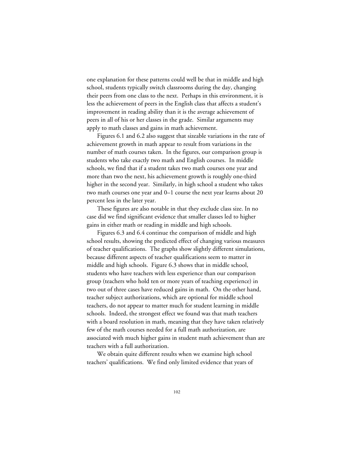one explanation for these patterns could well be that in middle and high school, students typically switch classrooms during the day, changing their peers from one class to the next. Perhaps in this environment, it is less the achievement of peers in the English class that affects a student's improvement in reading ability than it is the average achievement of peers in all of his or her classes in the grade. Similar arguments may apply to math classes and gains in math achievement.

Figures 6.1 and 6.2 also suggest that sizeable variations in the rate of achievement growth in math appear to result from variations in the number of math courses taken. In the figures, our comparison group is students who take exactly two math and English courses. In middle schools, we find that if a student takes two math courses one year and more than two the next, his achievement growth is roughly one-third higher in the second year. Similarly, in high school a student who takes two math courses one year and 0–1 course the next year learns about 20 percent less in the later year.

These figures are also notable in that they exclude class size. In no case did we find significant evidence that smaller classes led to higher gains in either math or reading in middle and high schools.

Figures 6.3 and 6.4 continue the comparison of middle and high school results, showing the predicted effect of changing various measures of teacher qualifications. The graphs show slightly different simulations, because different aspects of teacher qualifications seem to matter in middle and high schools. Figure 6.3 shows that in middle school, students who have teachers with less experience than our comparison group (teachers who hold ten or more years of teaching experience) in two out of three cases have reduced gains in math. On the other hand, teacher subject authorizations, which are optional for middle school teachers, do not appear to matter much for student learning in middle schools. Indeed, the strongest effect we found was that math teachers with a board resolution in math, meaning that they have taken relatively few of the math courses needed for a full math authorization, are associated with much higher gains in student math achievement than are teachers with a full authorization.

We obtain quite different results when we examine high school teachers' qualifications. We find only limited evidence that years of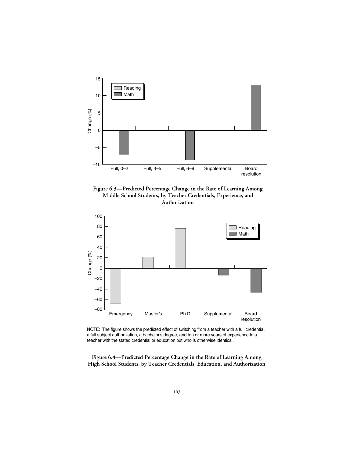

**Figure 6.3—Predicted Percentage Change in the Rate of Learning Among Middle School Students, by Teacher Credentials, Experience, and Authorization**



NOTE: The figure shows the predicted effect of switching from a teacher with a full credential, a full subject authorization, a bachelor's degree, and ten or more years of experience to a teacher with the stated credential or education but who is otherwise identical.

**Figure 6.4—Predicted Percentage Change in the Rate of Learning Among High School Students, by Teacher Credentials, Education, and Authorization**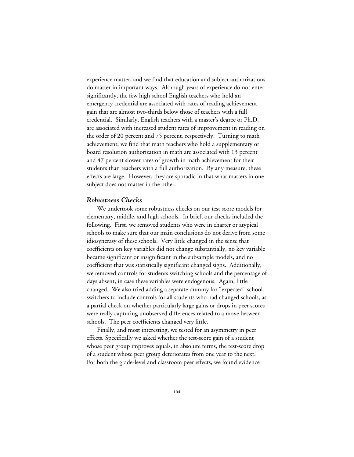experience matter, and we find that education and subject authorizations do matter in important ways. Although years of experience do not enter significantly, the few high school English teachers who hold an emergency credential are associated with rates of reading achievement gain that are almost two-thirds below those of teachers with a full credential. Similarly, English teachers with a master's degree or Ph.D. are associated with increased student rates of improvement in reading on the order of 20 percent and 75 percent, respectively. Turning to math achievement, we find that math teachers who hold a supplementary or board resolution authorization in math are associated with 13 percent and 47 percent slower rates of growth in math achievement for their students than teachers with a full authorization. By any measure, these effects are large. However, they are sporadic in that what matters in one subject does not matter in the other.

#### *Robustness Checks*

We undertook some robustness checks on our test score models for elementary, middle, and high schools. In brief, our checks included the following. First, we removed students who were in charter or atypical schools to make sure that our main conclusions do not derive from some idiosyncrasy of these schools. Very little changed in the sense that coefficients on key variables did not change substantially, no key variable became significant or insignificant in the subsample models, and no coefficient that was statistically significant changed signs. Additionally, we removed controls for students switching schools and the percentage of days absent, in case these variables were endogenous. Again, little changed. We also tried adding a separate dummy for "expected" school switchers to include controls for all students who had changed schools, as a partial check on whether particularly large gains or drops in peer scores were really capturing unobserved differences related to a move between schools. The peer coefficients changed very little.

Finally, and most interesting, we tested for an asymmetry in peer effects. Specifically we asked whether the test-score gain of a student whose peer group improves equals, in absolute terms, the test-score drop of a student whose peer group deteriorates from one year to the next. For both the grade-level and classroom peer effects, we found evidence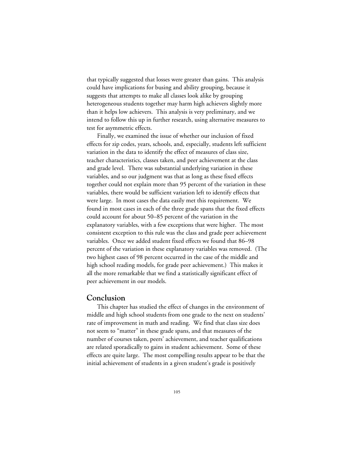that typically suggested that losses were greater than gains. This analysis could have implications for busing and ability grouping, because it suggests that attempts to make all classes look alike by grouping heterogeneous students together may harm high achievers slightly more than it helps low achievers. This analysis is very preliminary, and we intend to follow this up in further research, using alternative measures to test for asymmetric effects.

Finally, we examined the issue of whether our inclusion of fixed effects for zip codes, years, schools, and, especially, students left sufficient variation in the data to identify the effect of measures of class size, teacher characteristics, classes taken, and peer achievement at the class and grade level. There was substantial underlying variation in these variables, and so our judgment was that as long as these fixed effects together could not explain more than 95 percent of the variation in these variables, there would be sufficient variation left to identify effects that were large. In most cases the data easily met this requirement. We found in most cases in each of the three grade spans that the fixed effects could account for about 50–85 percent of the variation in the explanatory variables, with a few exceptions that were higher. The most consistent exception to this rule was the class and grade peer achievement variables. Once we added student fixed effects we found that 86–98 percent of the variation in these explanatory variables was removed. (The two highest cases of 98 percent occurred in the case of the middle and high school reading models, for grade peer achievement.) This makes it all the more remarkable that we find a statistically significant effect of peer achievement in our models.

## **Conclusion**

This chapter has studied the effect of changes in the environment of middle and high school students from one grade to the next on students' rate of improvement in math and reading. We find that class size does not seem to "matter" in these grade spans, and that measures of the number of courses taken, peers' achievement, and teacher qualifications are related sporadically to gains in student achievement. Some of these effects are quite large. The most compelling results appear to be that the initial achievement of students in a given student's grade is positively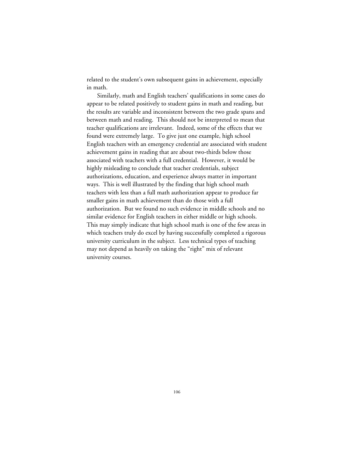related to the student's own subsequent gains in achievement, especially in math.

Similarly, math and English teachers' qualifications in some cases do appear to be related positively to student gains in math and reading, but the results are variable and inconsistent between the two grade spans and between math and reading. This should not be interpreted to mean that teacher qualifications are irrelevant. Indeed, some of the effects that we found were extremely large. To give just one example, high school English teachers with an emergency credential are associated with student achievement gains in reading that are about two-thirds below those associated with teachers with a full credential. However, it would be highly misleading to conclude that teacher credentials, subject authorizations, education, and experience always matter in important ways. This is well illustrated by the finding that high school math teachers with less than a full math authorization appear to produce far smaller gains in math achievement than do those with a full authorization. But we found no such evidence in middle schools and no similar evidence for English teachers in either middle or high schools. This may simply indicate that high school math is one of the few areas in which teachers truly do excel by having successfully completed a rigorous university curriculum in the subject. Less technical types of teaching may not depend as heavily on taking the "right" mix of relevant university courses.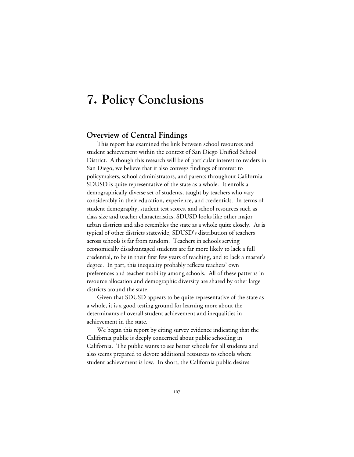# **7. Policy Conclusions**

## **Overview of Central Findings**

This report has examined the link between school resources and student achievement within the context of San Diego Unified School District. Although this research will be of particular interest to readers in San Diego, we believe that it also conveys findings of interest to policymakers, school administrators, and parents throughout California. SDUSD is quite representative of the state as a whole: It enrolls a demographically diverse set of students, taught by teachers who vary considerably in their education, experience, and credentials. In terms of student demography, student test scores, and school resources such as class size and teacher characteristics, SDUSD looks like other major urban districts and also resembles the state as a whole quite closely. As is typical of other districts statewide, SDUSD's distribution of teachers across schools is far from random. Teachers in schools serving economically disadvantaged students are far more likely to lack a full credential, to be in their first few years of teaching, and to lack a master's degree. In part, this inequality probably reflects teachers' own preferences and teacher mobility among schools. All of these patterns in resource allocation and demographic diversity are shared by other large districts around the state.

Given that SDUSD appears to be quite representative of the state as a whole, it is a good testing ground for learning more about the determinants of overall student achievement and inequalities in achievement in the state.

We began this report by citing survey evidence indicating that the California public is deeply concerned about public schooling in California. The public wants to see better schools for all students and also seems prepared to devote additional resources to schools where student achievement is low. In short, the California public desires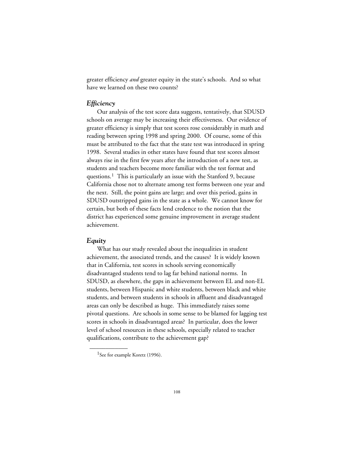greater efficiency *and* greater equity in the state's schools. And so what have we learned on these two counts?

#### *Efficiency*

Our analysis of the test score data suggests, tentatively, that SDUSD schools on average may be increasing their effectiveness. Our evidence of greater efficiency is simply that test scores rose considerably in math and reading between spring 1998 and spring 2000. Of course, some of this must be attributed to the fact that the state test was introduced in spring 1998. Several studies in other states have found that test scores almost always rise in the first few years after the introduction of a new test, as students and teachers become more familiar with the test format and questions.<sup>1</sup> This is particularly an issue with the Stanford 9, because California chose not to alternate among test forms between one year and the next. Still, the point gains are large; and over this period, gains in SDUSD outstripped gains in the state as a whole. We cannot know for certain, but both of these facts lend credence to the notion that the district has experienced some genuine improvement in average student achievement.

#### *Equity*

What has our study revealed about the inequalities in student achievement, the associated trends, and the causes? It is widely known that in California, test scores in schools serving economically disadvantaged students tend to lag far behind national norms. In SDUSD, as elsewhere, the gaps in achievement between EL and non-EL students, between Hispanic and white students, between black and white students, and between students in schools in affluent and disadvantaged areas can only be described as huge. This immediately raises some pivotal questions. Are schools in some sense to be blamed for lagging test scores in schools in disadvantaged areas? In particular, does the lower level of school resources in these schools, especially related to teacher qualifications, contribute to the achievement gap?

\_\_\_\_\_\_\_\_\_\_\_\_

<sup>&</sup>lt;sup>1</sup>See for example Koretz (1996).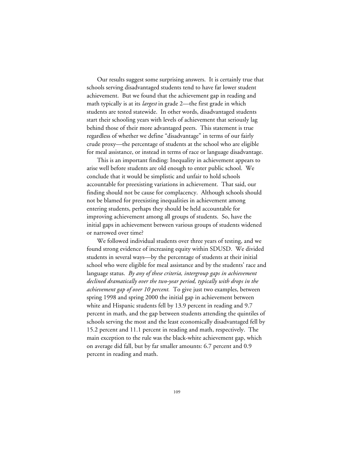Our results suggest some surprising answers. It is certainly true that schools serving disadvantaged students tend to have far lower student achievement. But we found that the achievement gap in reading and math typically is at its *largest* in grade 2—the first grade in which students are tested statewide. In other words, disadvantaged students start their schooling years with levels of achievement that seriously lag behind those of their more advantaged peers. This statement is true regardless of whether we define "disadvantage" in terms of our fairly crude proxy—the percentage of students at the school who are eligible for meal assistance, or instead in terms of race or language disadvantage.

This is an important finding: Inequality in achievement appears to arise well before students are old enough to enter public school. We conclude that it would be simplistic and unfair to hold schools accountable for preexisting variations in achievement. That said, our finding should not be cause for complacency. Although schools should not be blamed for preexisting inequalities in achievement among entering students, perhaps they should be held accountable for improving achievement among all groups of students. So, have the initial gaps in achievement between various groups of students widened or narrowed over time?

We followed individual students over three years of testing, and we found strong evidence of increasing equity within SDUSD. We divided students in several ways—by the percentage of students at their initial school who were eligible for meal assistance and by the students' race and language status. *By any of these criteria, intergroup gaps in achievement declined dramatically over the two-year period, typically with drops in the achievement gap of over 10 percent.* To give just two examples, between spring 1998 and spring 2000 the initial gap in achievement between white and Hispanic students fell by 13.9 percent in reading and 9.7 percent in math, and the gap between students attending the quintiles of schools serving the most and the least economically disadvantaged fell by 15.2 percent and 11.1 percent in reading and math, respectively. The main exception to the rule was the black-white achievement gap, which on average did fall, but by far smaller amounts: 6.7 percent and 0.9 percent in reading and math.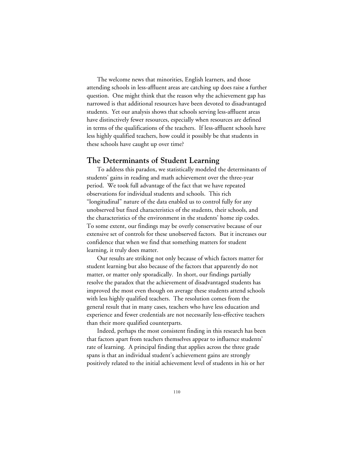The welcome news that minorities, English learners, and those attending schools in less-affluent areas are catching up does raise a further question. One might think that the reason why the achievement gap has narrowed is that additional resources have been devoted to disadvantaged students. Yet our analysis shows that schools serving less-affluent areas have distinctively fewer resources, especially when resources are defined in terms of the qualifications of the teachers. If less-affluent schools have less highly qualified teachers, how could it possibly be that students in these schools have caught up over time?

#### **The Determinants of Student Learning**

To address this paradox, we statistically modeled the determinants of students' gains in reading and math achievement over the three-year period. We took full advantage of the fact that we have repeated observations for individual students and schools. This rich "longitudinal" nature of the data enabled us to control fully for any unobserved but fixed characteristics of the students, their schools, and the characteristics of the environment in the students' home zip codes. To some extent, our findings may be overly conservative because of our extensive set of controls for these unobserved factors. But it increases our confidence that when we find that something matters for student learning, it truly does matter.

Our results are striking not only because of which factors matter for student learning but also because of the factors that apparently do not matter, or matter only sporadically. In short, our findings partially resolve the paradox that the achievement of disadvantaged students has improved the most even though on average these students attend schools with less highly qualified teachers. The resolution comes from the general result that in many cases, teachers who have less education and experience and fewer credentials are not necessarily less-effective teachers than their more qualified counterparts.

Indeed, perhaps the most consistent finding in this research has been that factors apart from teachers themselves appear to influence students' rate of learning. A principal finding that applies across the three grade spans is that an individual student's achievement gains are strongly positively related to the initial achievement level of students in his or her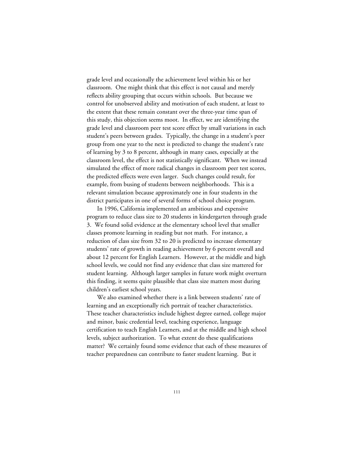grade level and occasionally the achievement level within his or her classroom. One might think that this effect is not causal and merely reflects ability grouping that occurs within schools. But because we control for unobserved ability and motivation of each student, at least to the extent that these remain constant over the three-year time span of this study, this objection seems moot. In effect, we are identifying the grade level and classroom peer test score effect by small variations in each student's peers between grades. Typically, the change in a student's peer group from one year to the next is predicted to change the student's rate of learning by 3 to 8 percent, although in many cases, especially at the classroom level, the effect is not statistically significant. When we instead simulated the effect of more radical changes in classroom peer test scores, the predicted effects were even larger. Such changes could result, for example, from busing of students between neighborhoods. This is a relevant simulation because approximately one in four students in the district participates in one of several forms of school choice program.

In 1996, California implemented an ambitious and expensive program to reduce class size to 20 students in kindergarten through grade 3. We found solid evidence at the elementary school level that smaller classes promote learning in reading but not math. For instance, a reduction of class size from 32 to 20 is predicted to increase elementary students' rate of growth in reading achievement by 6 percent overall and about 12 percent for English Learners. However, at the middle and high school levels, we could not find any evidence that class size mattered for student learning. Although larger samples in future work might overturn this finding, it seems quite plausible that class size matters most during children's earliest school years.

We also examined whether there is a link between students' rate of learning and an exceptionally rich portrait of teacher characteristics. These teacher characteristics include highest degree earned, college major and minor, basic credential level, teaching experience, language certification to teach English Learners, and at the middle and high school levels, subject authorization. To what extent do these qualifications matter? We certainly found some evidence that each of these measures of teacher preparedness can contribute to faster student learning. But it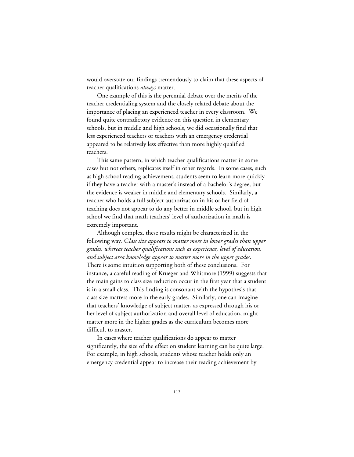would overstate our findings tremendously to claim that these aspects of teacher qualifications *always* matter.

One example of this is the perennial debate over the merits of the teacher credentialing system and the closely related debate about the importance of placing an experienced teacher in every classroom. We found quite contradictory evidence on this question in elementary schools, but in middle and high schools, we did occasionally find that less experienced teachers or teachers with an emergency credential appeared to be relatively less effective than more highly qualified teachers.

This same pattern, in which teacher qualifications matter in some cases but not others, replicates itself in other regards. In some cases, such as high school reading achievement, students seem to learn more quickly if they have a teacher with a master's instead of a bachelor's degree, but the evidence is weaker in middle and elementary schools. Similarly, a teacher who holds a full subject authorization in his or her field of teaching does not appear to do any better in middle school, but in high school we find that math teachers' level of authorization in math is extremely important.

Although complex, these results might be characterized in the following way. C*lass size appears to matter more in lower grades than upper grades, whereas teacher qualifications such as experience, level of education, and subject area knowledge appear to matter more in the upper grades*. There is some intuition supporting both of these conclusions. For instance, a careful reading of Krueger and Whitmore (1999) suggests that the main gains to class size reduction occur in the first year that a student is in a small class. This finding is consonant with the hypothesis that class size matters more in the early grades. Similarly, one can imagine that teachers' knowledge of subject matter, as expressed through his or her level of subject authorization and overall level of education, might matter more in the higher grades as the curriculum becomes more difficult to master.

In cases where teacher qualifications do appear to matter significantly, the size of the effect on student learning can be quite large. For example, in high schools, students whose teacher holds only an emergency credential appear to increase their reading achievement by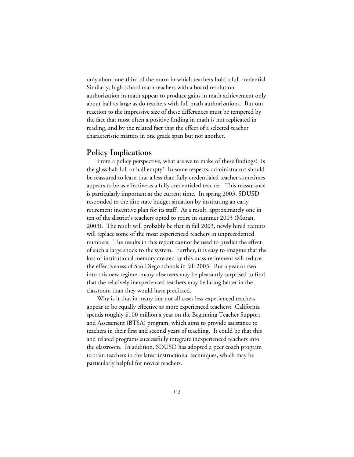only about one-third of the norm in which teachers hold a full credential. Similarly, high school math teachers with a board resolution authorization in math appear to produce gains in math achievement only about half as large as do teachers with full math authorizations. But our reaction to the impressive size of these differences must be tempered by the fact that most often a positive finding in math is not replicated in reading, and by the related fact that the effect of a selected teacher characteristic matters in one grade span but not another.

#### **Policy Implications**

From a policy perspective, what are we to make of these findings? Is the glass half full or half empty? In some respects, administrators should be reassured to learn that a less than fully credentialed teacher sometimes appears to be as effective as a fully credentialed teacher. This reassurance is particularly important at the current time. In spring 2003, SDUSD responded to the dire state budget situation by instituting an early retirement incentive plan for its staff. As a result, approximately one in ten of the district's teachers opted to retire in summer 2003 (Moran, 2003). The result will probably be that in fall 2003, newly hired recruits will replace some of the most experienced teachers in unprecedented numbers. The results in this report cannot be used to predict the effect of such a large shock to the system. Further, it is easy to imagine that the loss of institutional memory created by this mass retirement will reduce the effectiveness of San Diego schools in fall 2003. But a year or two into this new regime, many observers may be pleasantly surprised to find that the relatively inexperienced teachers may be faring better in the classroom than they would have predicted.

Why is it that in many but not all cases less-experienced teachers appear to be equally effective as more experienced teachers? California spends roughly \$100 million a year on the Beginning Teacher Support and Assessment (BTSA) program, which aims to provide assistance to teachers in their first and second years of teaching. It could be that this and related programs successfully integrate inexperienced teachers into the classroom. In addition, SDUSD has adopted a peer coach program to train teachers in the latest instructional techniques, which may be particularly helpful for novice teachers.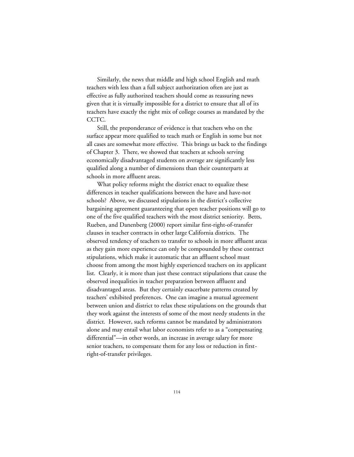Similarly, the news that middle and high school English and math teachers with less than a full subject authorization often are just as effective as fully authorized teachers should come as reassuring news given that it is virtually impossible for a district to ensure that all of its teachers have exactly the right mix of college courses as mandated by the CCTC.

Still, the preponderance of evidence is that teachers who on the surface appear more qualified to teach math or English in some but not all cases are somewhat more effective. This brings us back to the findings of Chapter 3. There, we showed that teachers at schools serving economically disadvantaged students on average are significantly less qualified along a number of dimensions than their counterparts at schools in more affluent areas.

What policy reforms might the district enact to equalize these differences in teacher qualifications between the have and have-not schools? Above, we discussed stipulations in the district's collective bargaining agreement guaranteeing that open teacher positions will go to one of the five qualified teachers with the most district seniority. Betts, Rueben, and Danenberg (2000) report similar first-right-of-transfer clauses in teacher contracts in other large California districts. The observed tendency of teachers to transfer to schools in more affluent areas as they gain more experience can only be compounded by these contract stipulations, which make it automatic that an affluent school must choose from among the most highly experienced teachers on its applicant list. Clearly, it is more than just these contract stipulations that cause the observed inequalities in teacher preparation between affluent and disadvantaged areas. But they certainly exacerbate patterns created by teachers' exhibited preferences. One can imagine a mutual agreement between union and district to relax these stipulations on the grounds that they work against the interests of some of the most needy students in the district. However, such reforms cannot be mandated by administrators alone and may entail what labor economists refer to as a "compensating differential"—in other words, an increase in average salary for more senior teachers, to compensate them for any loss or reduction in firstright-of-transfer privileges.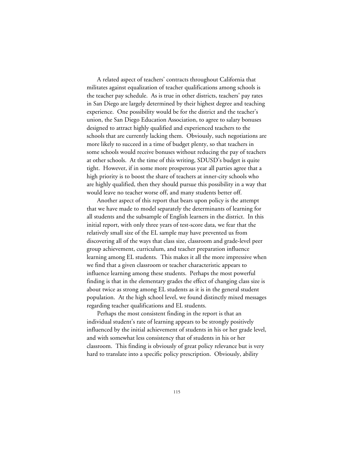A related aspect of teachers' contracts throughout California that militates against equalization of teacher qualifications among schools is the teacher pay schedule. As is true in other districts, teachers' pay rates in San Diego are largely determined by their highest degree and teaching experience. One possibility would be for the district and the teacher's union, the San Diego Education Association, to agree to salary bonuses designed to attract highly qualified and experienced teachers to the schools that are currently lacking them. Obviously, such negotiations are more likely to succeed in a time of budget plenty, so that teachers in some schools would receive bonuses without reducing the pay of teachers at other schools. At the time of this writing, SDUSD's budget is quite tight. However, if in some more prosperous year all parties agree that a high priority is to boost the share of teachers at inner-city schools who are highly qualified, then they should pursue this possibility in a way that would leave no teacher worse off, and many students better off.

Another aspect of this report that bears upon policy is the attempt that we have made to model separately the determinants of learning for all students and the subsample of English learners in the district. In this initial report, with only three years of test-score data, we fear that the relatively small size of the EL sample may have prevented us from discovering all of the ways that class size, classroom and grade-level peer group achievement, curriculum, and teacher preparation influence learning among EL students. This makes it all the more impressive when we find that a given classroom or teacher characteristic appears to influence learning among these students. Perhaps the most powerful finding is that in the elementary grades the effect of changing class size is about twice as strong among EL students as it is in the general student population. At the high school level, we found distinctly mixed messages regarding teacher qualifications and EL students.

Perhaps the most consistent finding in the report is that an individual student's rate of learning appears to be strongly positively influenced by the initial achievement of students in his or her grade level, and with somewhat less consistency that of students in his or her classroom. This finding is obviously of great policy relevance but is very hard to translate into a specific policy prescription. Obviously, ability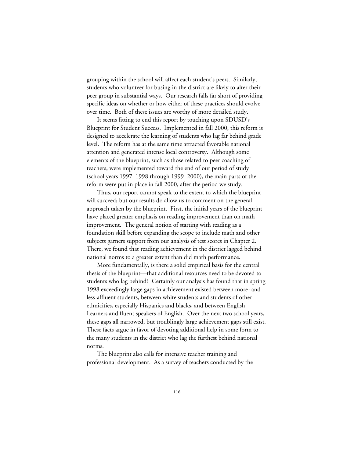grouping within the school will affect each student's peers. Similarly, students who volunteer for busing in the district are likely to alter their peer group in substantial ways. Our research falls far short of providing specific ideas on whether or how either of these practices should evolve over time. Both of these issues are worthy of more detailed study.

It seems fitting to end this report by touching upon SDUSD's Blueprint for Student Success. Implemented in fall 2000, this reform is designed to accelerate the learning of students who lag far behind grade level. The reform has at the same time attracted favorable national attention and generated intense local controversy. Although some elements of the blueprint, such as those related to peer coaching of teachers, were implemented toward the end of our period of study (school years 1997–1998 through 1999–2000), the main parts of the reform were put in place in fall 2000, after the period we study.

Thus, our report cannot speak to the extent to which the blueprint will succeed; but our results do allow us to comment on the general approach taken by the blueprint. First, the initial years of the blueprint have placed greater emphasis on reading improvement than on math improvement. The general notion of starting with reading as a foundation skill before expanding the scope to include math and other subjects garners support from our analysis of test scores in Chapter 2. There, we found that reading achievement in the district lagged behind national norms to a greater extent than did math performance.

More fundamentally, is there a solid empirical basis for the central thesis of the blueprint—that additional resources need to be devoted to students who lag behind? Certainly our analysis has found that in spring 1998 exceedingly large gaps in achievement existed between more- and less-affluent students, between white students and students of other ethnicities, especially Hispanics and blacks, and between English Learners and fluent speakers of English. Over the next two school years, these gaps all narrowed, but troublingly large achievement gaps still exist. These facts argue in favor of devoting additional help in some form to the many students in the district who lag the furthest behind national norms.

The blueprint also calls for intensive teacher training and professional development. As a survey of teachers conducted by the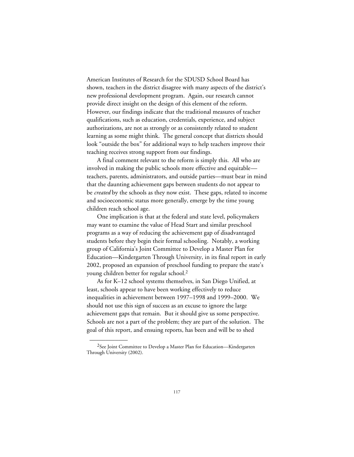American Institutes of Research for the SDUSD School Board has shown, teachers in the district disagree with many aspects of the district's new professional development program. Again, our research cannot provide direct insight on the design of this element of the reform. However, our findings indicate that the traditional measures of teacher qualifications, such as education, credentials, experience, and subject authorizations, are not as strongly or as consistently related to student learning as some might think. The general concept that districts should look "outside the box" for additional ways to help teachers improve their teaching receives strong support from our findings.

A final comment relevant to the reform is simply this. All who are involved in making the public schools more effective and equitable teachers, parents, administrators, and outside parties—must bear in mind that the daunting achievement gaps between students do not appear to be *created* by the schools as they now exist. These gaps, related to income and socioeconomic status more generally, emerge by the time young children reach school age.

One implication is that at the federal and state level, policymakers may want to examine the value of Head Start and similar preschool programs as a way of reducing the achievement gap of disadvantaged students before they begin their formal schooling. Notably, a working group of California's Joint Committee to Develop a Master Plan for Education—Kindergarten Through University, in its final report in early 2002, proposed an expansion of preschool funding to prepare the state's young children better for regular school.2

As for K–12 school systems themselves, in San Diego Unified, at least, schools appear to have been working effectively to reduce inequalities in achievement between 1997–1998 and 1999–2000. We should not use this sign of success as an excuse to ignore the large achievement gaps that remain. But it should give us some perspective. Schools are not a part of the problem; they are part of the solution. The goal of this report, and ensuing reports, has been and will be to shed

\_\_\_\_\_\_\_\_\_\_\_\_

<sup>&</sup>lt;sup>2</sup>See Joint Committee to Develop a Master Plan for Education—Kindergarten Through University (2002).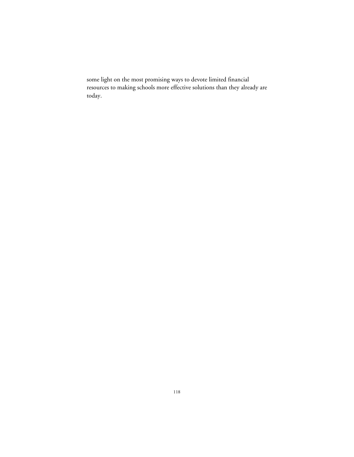some light on the most promising ways to devote limited financial resources to making schools more effective solutions than they already are today.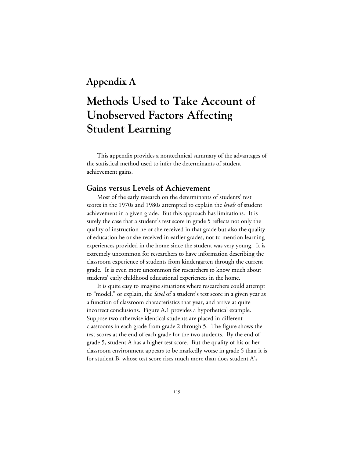## **Appendix A**

# **Methods Used to Take Account of Unobserved Factors Affecting Student Learning**

This appendix provides a nontechnical summary of the advantages of the statistical method used to infer the determinants of student achievement gains.

### **Gains versus Levels of Achievement**

Most of the early research on the determinants of students' test scores in the 1970s and 1980s attempted to explain the *levels* of student achievement in a given grade. But this approach has limitations. It is surely the case that a student's test score in grade 5 reflects not only the quality of instruction he or she received in that grade but also the quality of education he or she received in earlier grades, not to mention learning experiences provided in the home since the student was very young. It is extremely uncommon for researchers to have information describing the classroom experience of students from kindergarten through the current grade. It is even more uncommon for researchers to know much about students' early childhood educational experiences in the home.

It is quite easy to imagine situations where researchers could attempt to "model," or explain, the *level* of a student's test score in a given year as a function of classroom characteristics that year, and arrive at quite incorrect conclusions. Figure A.1 provides a hypothetical example. Suppose two otherwise identical students are placed in different classrooms in each grade from grade 2 through 5. The figure shows the test scores at the end of each grade for the two students. By the end of grade 5, student A has a higher test score. But the quality of his or her classroom environment appears to be markedly worse in grade 5 than it is for student B, whose test score rises much more than does student A's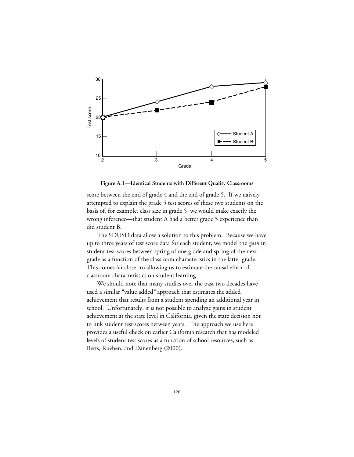

**Figure A.1—Identical Students with Different Quality Classrooms**

score between the end of grade 4 and the end of grade 5. If we naively attempted to explain the grade 5 test scores of these two students on the basis of, for example, class size in grade 5, we would make exactly the wrong inference—that student A had a better grade 5 experience than did student B.

The SDUSD data allow a solution to this problem. Because we have up to three years of test score data for each student, we model the *gain* in student test scores between spring of one grade and spring of the next grade as a function of the classroom characteristics in the latter grade. This comes far closer to allowing us to estimate the causal effect of classroom characteristics on student learning.

We should note that many studies over the past two decades have used a similar "value added*"* approach that estimates the added achievement that results from a student spending an additional year in school. Unfortunately, it is not possible to analyze gains in student achievement at the state level in California, given the state decision not to link student test scores between years. The approach we use here provides a useful check on earlier California research that has modeled levels of student test scores as a function of school resources, such as Betts, Rueben, and Danenberg (2000).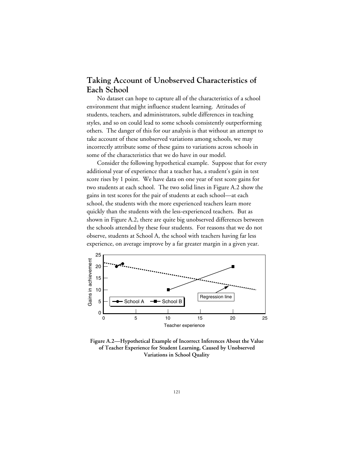### **Taking Account of Unobserved Characteristics of Each School**

No dataset can hope to capture all of the characteristics of a school environment that might influence student learning. Attitudes of students, teachers, and administrators, subtle differences in teaching styles, and so on could lead to some schools consistently outperforming others. The danger of this for our analysis is that without an attempt to take account of these unobserved variations among schools, we may incorrectly attribute some of these gains to variations across schools in some of the characteristics that we do have in our model.

Consider the following hypothetical example. Suppose that for every additional year of experience that a teacher has, a student's gain in test score rises by 1 point. We have data on one year of test score gains for two students at each school. The two solid lines in Figure A.2 show the gains in test scores for the pair of students at each school—at each school, the students with the more experienced teachers learn more quickly than the students with the less-experienced teachers. But as shown in Figure A.2, there are quite big unobserved differences between the schools attended by these four students. For reasons that we do not observe, students at School A, the school with teachers having far less experience, on average improve by a far greater margin in a given year.



**Figure A.2—Hypothetical Example of Incorrect Inferences About the Value of Teacher Experience for Student Learning, Caused by Unobserved Variations in School Quality**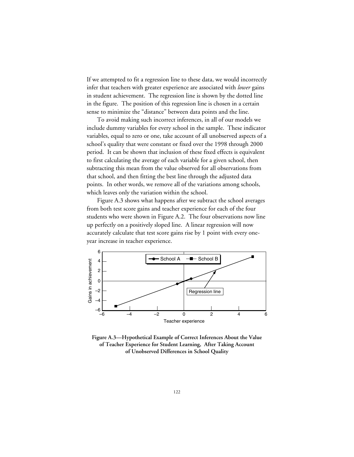If we attempted to fit a regression line to these data, we would incorrectly infer that teachers with greater experience are associated with *lower* gains in student achievement. The regression line is shown by the dotted line in the figure. The position of this regression line is chosen in a certain sense to minimize the "distance" between data points and the line.

To avoid making such incorrect inferences, in all of our models we include dummy variables for every school in the sample. These indicator variables, equal to zero or one, take account of all unobserved aspects of a school's quality that were constant or fixed over the 1998 through 2000 period. It can be shown that inclusion of these fixed effects is equivalent to first calculating the average of each variable for a given school, then subtracting this mean from the value observed for all observations from that school, and then fitting the best line through the adjusted data points. In other words, we remove all of the variations among schools, which leaves only the variation within the school.

Figure A.3 shows what happens after we subtract the school averages from both test score gains and teacher experience for each of the four students who were shown in Figure A.2. The four observations now line up perfectly on a positively sloped line. A linear regression will now accurately calculate that test score gains rise by 1 point with every oneyear increase in teacher experience.



**Figure A.3—Hypothetical Example of Correct Inferences About the Value of Teacher Experience for Student Learning, After Taking Account of Unobserved Differences in School Quality**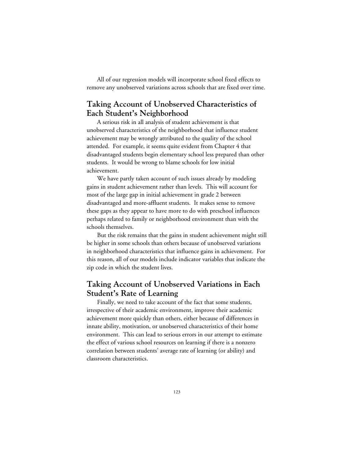All of our regression models will incorporate school fixed effects to remove any unobserved variations across schools that are fixed over time.

### **Taking Account of Unobserved Characteristics of Each Student's Neighborhood**

A serious risk in all analysis of student achievement is that unobserved characteristics of the neighborhood that influence student achievement may be wrongly attributed to the quality of the school attended. For example, it seems quite evident from Chapter 4 that disadvantaged students begin elementary school less prepared than other students. It would be wrong to blame schools for low initial achievement.

We have partly taken account of such issues already by modeling gains in student achievement rather than levels. This will account for most of the large gap in initial achievement in grade 2 between disadvantaged and more-affluent students. It makes sense to remove these gaps as they appear to have more to do with preschool influences perhaps related to family or neighborhood environment than with the schools themselves.

But the risk remains that the gains in student achievement might still be higher in some schools than others because of unobserved variations in neighborhood characteristics that influence gains in achievement. For this reason, all of our models include indicator variables that indicate the zip code in which the student lives.

### **Taking Account of Unobserved Variations in Each Student's Rate of Learning**

Finally, we need to take account of the fact that some students, irrespective of their academic environment, improve their academic achievement more quickly than others, either because of differences in innate ability, motivation, or unobserved characteristics of their home environment. This can lead to serious errors in our attempt to estimate the effect of various school resources on learning if there is a nonzero correlation between students' average rate of learning (or ability) and classroom characteristics.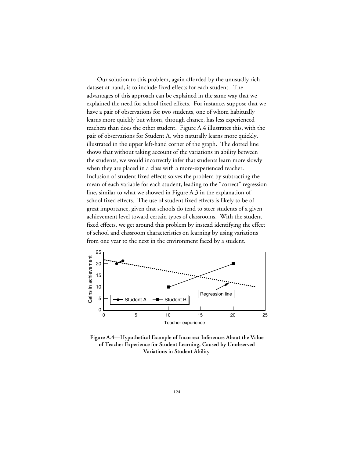Our solution to this problem, again afforded by the unusually rich dataset at hand, is to include fixed effects for each student. The advantages of this approach can be explained in the same way that we explained the need for school fixed effects. For instance, suppose that we have a pair of observations for two students, one of whom habitually learns more quickly but whom, through chance, has less experienced teachers than does the other student. Figure A.4 illustrates this, with the pair of observations for Student A, who naturally learns more quickly, illustrated in the upper left-hand corner of the graph. The dotted line shows that without taking account of the variations in ability between the students, we would incorrectly infer that students learn more slowly when they are placed in a class with a more-experienced teacher. Inclusion of student fixed effects solves the problem by subtracting the mean of each variable for each student, leading to the "correct" regression line, similar to what we showed in Figure A.3 in the explanation of school fixed effects. The use of student fixed effects is likely to be of great importance, given that schools do tend to steer students of a given achievement level toward certain types of classrooms. With the student fixed effects, we get around this problem by instead identifying the effect of school and classroom characteristics on learning by using variations from one year to the next in the environment faced by a student.



**Figure A.4—Hypothetical Example of Incorrect Inferences About the Value of Teacher Experience for Student Learning, Caused by Unobserved Variations in Student Ability**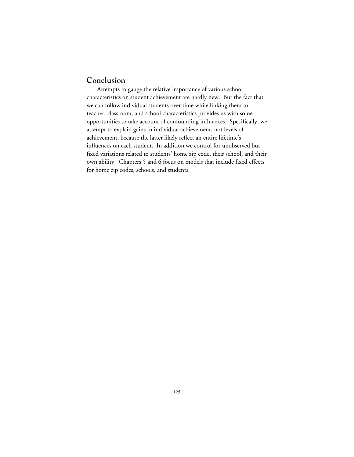### **Conclusion**

Attempts to gauge the relative importance of various school characteristics on student achievement are hardly new. But the fact that we can follow individual students over time while linking them to teacher, classroom, and school characteristics provides us with some opportunities to take account of confounding influences. Specifically, we attempt to explain gains in individual achievement, not levels of achievement, because the latter likely reflect an entire lifetime's influences on each student. In addition we control for unobserved but fixed variations related to students' home zip code, their school, and their own ability. Chapters 5 and 6 focus on models that include fixed effects for home zip codes, schools, and students.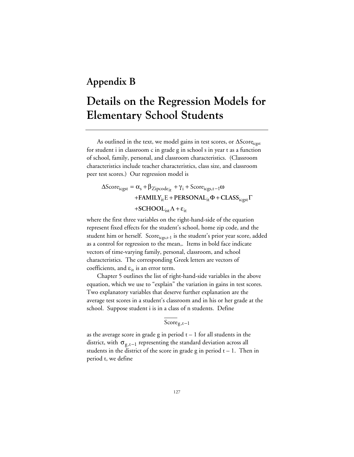### **Appendix B**

# **Details on the Regression Models for Elementary School Students**

As outlined in the text, we model gains in test scores, or  $\Delta$ Score $_{\text{ccyst}}$ for student i in classroom c in grade g in school s in year t as a function of school, family, personal, and classroom characteristics. (Classroom characteristics include teacher characteristics, class size, and classroom peer test scores.) Our regression model is

 $\Delta \text{Score}_{\text{icgst}} = \alpha_s + \beta_{\text{Zipcode}_{\text{it}}} + \gamma_i + \text{Score}_{\text{icgs,t}-1}\omega$ +**FAMILY**<sub>it</sub> E + **PERSONAL**<sub>it</sub> $\Phi$  + **CLASS**<sub>icgst</sub>  $\Gamma$ +**SCHOOL**<sub>ist</sub> $\Lambda$  +  $\varepsilon$ <sub>it</sub>

where the first three variables on the right-hand-side of the equation represent fixed effects for the student's school, home zip code, and the student him or herself.  $Score_{icgs,t-1}$  is the student's prior year score, added as a control for regression to the mean,. Items in bold face indicate vectors of time-varying family, personal, classroom, and school characteristics. The corresponding Greek letters are vectors of coefficients, and  $\varepsilon_{it}$  is an error term.

Chapter 5 outlines the list of right-hand-side variables in the above equation, which we use to "explain" the variation in gains in test scores. Two explanatory variables that deserve further explanation are the average test scores in a student's classroom and in his or her grade at the school. Suppose student i is in a class of n students. Define

### $Score<sub>g,t-1</sub>$

as the average score in grade g in period  $t - 1$  for all students in the district, with  $\sigma_{g,t-1}$  representing the standard deviation across all students in the district of the score in grade g in period  $t - 1$ . Then in period t, we define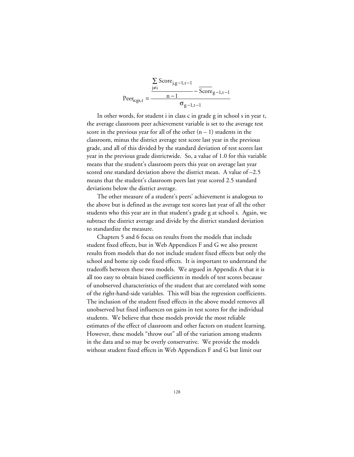$$
\text{Peer}_{\text{icgs,t}} = \frac{\frac{\sum\limits_{j \neq i} \text{Score}_{j,g-1,t-1}}{n-1} - \overline{\text{Score}}_{g-1,t-1}}{\sigma_{g-1,t-1}}
$$

In other words, for student i in class c in grade g in school s in year t, the average classroom peer achievement variable is set to the average test score in the previous year for all of the other  $(n - 1)$  students in the classroom, minus the district average test score last year in the previous grade, and all of this divided by the standard deviation of test scores last year in the previous grade districtwide. So, a value of 1.0 for this variable means that the student's classroom peers this year on average last year scored one standard deviation above the district mean. A value of –2.5 means that the student's classroom peers last year scored 2.5 standard deviations below the district average.

The other measure of a student's peers' achievement is analogous to the above but is defined as the average test scores last year of all the other students who this year are in that student's grade g at school s. Again, we subtract the district average and divide by the district standard deviation to standardize the measure.

Chapters 5 and 6 focus on results from the models that include student fixed effects, but in [Web Appendices F](web_appendix_F.toc.htm) and G we also present results from models that do not include student fixed effects but only the school and home zip code fixed effects. It is important to understand the tradeoffs between these two models. We argued in Appendix A that it is all too easy to obtain biased coefficients in models of test scores because of unobserved characteristics of the student that are correlated with some of the right-hand-side variables. This will bias the regression coefficients. The inclusion of the student fixed effects in the above model removes all unobserved but fixed influences on gains in test scores for the individual students. We believe that these models provide the most reliable estimates of the effect of classroom and other factors on student learning. However, these models "throw out" all of the variation among students in the data and so may be overly conservative. We provide the models without student fixed effects in Web Appendices F and G but limit our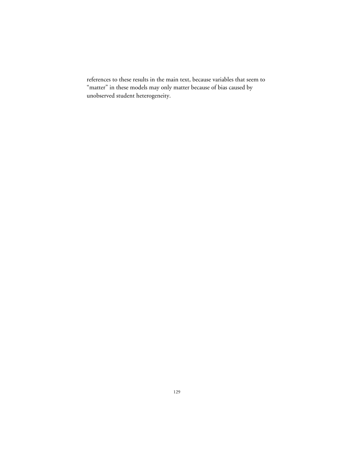references to these results in the main text, because variables that seem to "matter" in these models may only matter because of bias caused by unobserved student heterogeneity.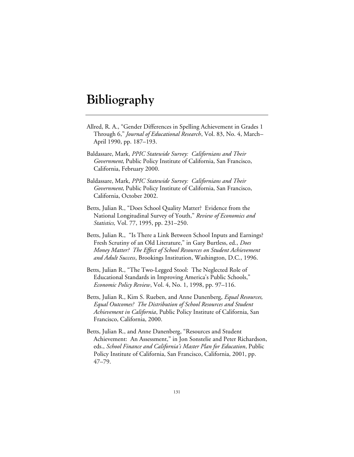# **Bibliography**

- Allred, R. A., "Gender Differences in Spelling Achievement in Grades 1 Through 6," *Journal of Educational Research*, Vol. 83, No. 4, March– April 1990, pp. 187–193.
- Baldassare, Mark, *PPIC Statewide Survey: Californians and Their Government*, Public Policy Institute of California, San Francisco, California, February 2000.
- Baldassare, Mark, *PPIC Statewide Survey: Californians and Their Government*, Public Policy Institute of California, San Francisco, California, October 2002.
- Betts, Julian R., "Does School Quality Matter? Evidence from the National Longitudinal Survey of Youth," *Review of Economics and Statistics,* Vol. 77, 1995, pp. 231–250.
- Betts, Julian R., "Is There a Link Between School Inputs and Earnings? Fresh Scrutiny of an Old Literature," in Gary Burtless, ed., *Does Money Matter? The Effect of School Resources on Student Achievement and Adult Success*, Brookings Institution, Washington, D.C., 1996.
- Betts, Julian R., "The Two-Legged Stool: The Neglected Role of Educational Standards in Improving America's Public Schools," *Economic Policy Review*, Vol. 4, No. 1, 1998, pp. 97–116.
- Betts, Julian R., Kim S. Rueben, and Anne Danenberg, *Equal Resources, Equal Outcomes? The Distribution of School Resources and Student Achievement in California*, Public Policy Institute of California, San Francisco, California, 2000.
- Betts, Julian R., and Anne Danenberg, "Resources and Student Achievement: An Assessment," in Jon Sonstelie and Peter Richardson, eds., *School Finance and California's Master Plan for Education*, Public Policy Institute of California, San Francisco, California, 2001, pp. 47–79.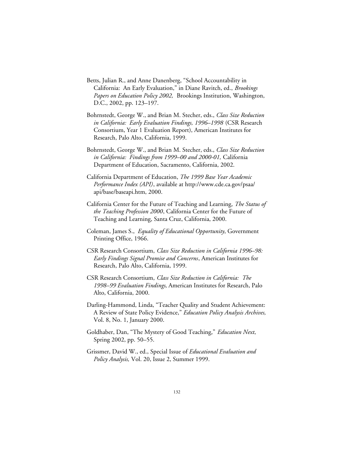- Betts, Julian R., and Anne Danenberg, "School Accountability in California: An Early Evaluation," in Diane Ravitch, ed., *Brookings Papers on Education Policy 2002,* Brookings Institution, Washington, D.C., 2002, pp. 123–197.
- Bohrnstedt, George W., and Brian M. Stecher, eds., *Class Size Reduction in California: Early Evaluation Findings, 1996–1998* (CSR Research Consortium, Year 1 Evaluation Report), American Institutes for Research, Palo Alto, California, 1999.
- Bohrnstedt, George W., and Brian M. Stecher, eds., *Class Size Reduction in California: Findings from 1999–00 and 2000-01,* California Department of Education, Sacramento, California, 2002.
- California Department of Education, *The 1999 Base Year Academic Performance Index (API)*, available at http://www.cde.ca.gov/psaa/ api/base/baseapi.htm, 2000.
- California Center for the Future of Teaching and Learning, *The Status of the Teaching Profession 2000*, California Center for the Future of Teaching and Learning, Santa Cruz, California, 2000.
- Coleman, James S., *Equality of Educational Opportunity*, Government Printing Office, 1966.
- CSR Research Consortium, *Class Size Reduction in California 1996–98: Early Findings Signal Promise and Concerns*, American Institutes for Research, Palo Alto, California, 1999.
- CSR Research Consortium, *Class Size Reduction in California: The 1998–99 Evaluation Findings*, American Institutes for Research, Palo Alto, California, 2000.
- Darling-Hammond, Linda, "Teacher Quality and Student Achievement: A Review of State Policy Evidence," *Education Policy Analysis Archives,* Vol. 8, No. 1, January 2000.
- Goldhaber, Dan, "The Mystery of Good Teaching," *Education Next*, Spring 2002, pp. 50–55.
- Grissmer, David W., ed., Special Issue of *Educational Evaluation and Policy Analysis,* Vol. 20, Issue 2, Summer 1999.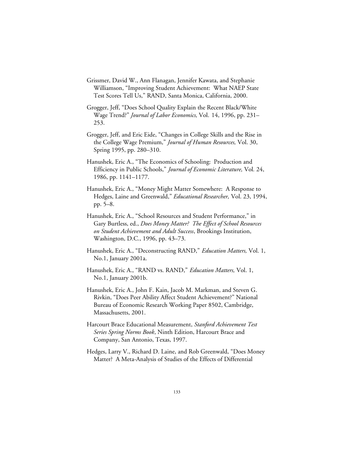- Grissmer, David W., Ann Flanagan, Jennifer Kawata, and Stephanie Williamson, "Improving Student Achievement: What NAEP State Test Scores Tell Us," RAND, Santa Monica, California, 2000.
- Grogger, Jeff, "Does School Quality Explain the Recent Black/White Wage Trend?" *Journal of Labor Economics,* Vol. 14, 1996, pp. 231– 253.
- Grogger, Jeff, and Eric Eide, "Changes in College Skills and the Rise in the College Wage Premium," *Journal of Human Resources,* Vol. 30, Spring 1995, pp. 280–310.
- Hanushek, Eric A., "The Economics of Schooling: Production and Efficiency in Public Schools," *Journal of Economic Literature,* Vol*.* 24, 1986, pp. 1141–1177.
- Hanushek, Eric A., "Money Might Matter Somewhere: A Response to Hedges, Laine and Greenwald," *Educational Researcher,* Vol. 23, 1994, pp. 5–8.
- Hanushek, Eric A., "School Resources and Student Performance," in Gary Burtless, ed., *Does Money Matter? The Effect of School Resources on Student Achievement and Adult Success*, Brookings Institution, Washington, D.C., 1996, pp. 43–73.
- Hanushek, Eric A., "Deconstructing RAND," *Education Matters,* Vol. 1, No.1, January 2001a.
- Hanushek, Eric A., "RAND vs. RAND," *Education Matters,* Vol. 1, No.1, January 2001b.
- Hanushek, Eric A., John F. Kain, Jacob M. Markman, and Steven G. Rivkin, "Does Peer Ability Affect Student Achievement?" National Bureau of Economic Research Working Paper 8502, Cambridge, Massachusetts, 2001.
- Harcourt Brace Educational Measurement, *Stanford Achievement Test Series Spring Norms Book*, Ninth Edition, Harcourt Brace and Company, San Antonio, Texas, 1997.
- Hedges, Larry V., Richard D. Laine, and Rob Greenwald, "Does Money Matter? A Meta-Analysis of Studies of the Effects of Differential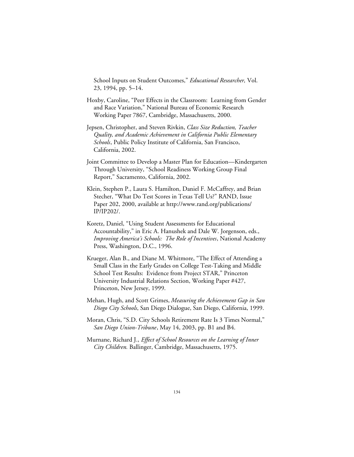School Inputs on Student Outcomes," *Educational Researcher,* Vol. 23, 1994, pp. 5–14.

- Hoxby, Caroline, "Peer Effects in the Classroom: Learning from Gender and Race Variation," National Bureau of Economic Research Working Paper 7867, Cambridge, Massachusetts, 2000.
- Jepsen, Christopher, and Steven Rivkin, *Class Size Reduction, Teacher Quality, and Academic Achievement in California Public Elementary Schools*, Public Policy Institute of California, San Francisco, California, 2002.
- Joint Committee to Develop a Master Plan for Education—Kindergarten Through University, "School Readiness Working Group Final Report," Sacramento, California, 2002.
- Klein, Stephen P., Laura S. Hamilton, Daniel F. McCaffrey, and Brian Stecher, "What Do Test Scores in Texas Tell Us?" RAND, Issue Paper 202, 2000, available at http://www.rand.org/publications/ IP/IP202/.
- Koretz, Daniel, "Using Student Assessments for Educational Accountability," in Eric A. Hanushek and Dale W. Jorgenson, eds., *Improving America's Schools: The Role of Incentives*, National Academy Press, Washington, D.C., 1996.
- Krueger, Alan B., and Diane M. Whitmore, "The Effect of Attending a Small Class in the Early Grades on College Test-Taking and Middle School Test Results: Evidence from Project STAR," Princeton University Industrial Relations Section, Working Paper #427, Princeton, New Jersey, 1999.
- Mehan, Hugh, and Scott Grimes, *Measuring the Achievement Gap in San Diego City Schools*, San Diego Dialogue, San Diego, California, 1999.
- Moran, Chris, "S.D. City Schools Retirement Rate Is 3 Times Normal," *San Diego Union-Tribune*, May 14, 2003, pp. B1 and B4.
- Murnane, Richard J., *Effect of School Resources on the Learning of Inner City Children.* Ballinger, Cambridge, Massachusetts, 1975.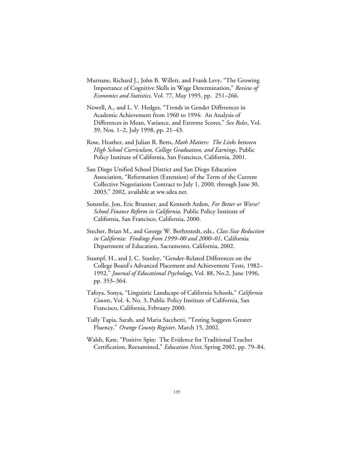- Murnane, Richard J., John B. Willett, and Frank Levy, "The Growing Importance of Cognitive Skills in Wage Determination," *Review of Economics and Statistics,* Vol. 77, May 1995, pp. 251–266.
- Nowell, A., and L. V. Hedges, "Trends in Gender Differences in Academic Achievement from 1960 to 1994: An Analysis of Differences in Mean, Variance, and Extreme Scores," *Sex Roles*, Vol. 39, Nos. 1–2, July 1998, pp. 21–43.
- Rose, Heather, and Julian R. Betts, *Math Matters: The Links between High School Curriculum, College Graduation, and Earnings*, Public Policy Institute of California, San Francisco, California, 2001.
- San Diego Unified School District and San Diego Education Association, "Reformation (Extension) of the Term of the Current Collective Negotiations Contract to July 1, 2000, through June 30, 2003," 2002, available at ww.sdea.net.
- Sonstelie, Jon, Eric Brunner, and Kenneth Ardon, *For Better or Worse? School Finance Reform in California,* Public Policy Institute of California, San Francisco, California, 2000.
- Stecher, Brian M., and George W. Borhnstedt, eds., *Class Size Reduction in California: Findings from 1999–00 and 2000–01*, California Department of Education, Sacramento, California, 2002.
- Stumpf, H., and J. C. Stanley, "Gender-Related Differences on the College Board's Advanced Placement and Achievement Tests, 1982– 1992," *Journal of Educational Psychology*, Vol. 88, No.2, June 1996, pp. 353–364.
- Tafoya, Sonya, "Linguistic Landscape of California Schools," *California Counts*, Vol. 4, No. 3, Public Policy Institute of California, San Francisco, California, February 2000.
- Tully Tapia, Sarah, and Maria Sacchetti, "Testing Suggests Greater Fluency," *Orange County Register*, March 15, 2002.
- Walsh, Kate, "Positive Spin: The Evidence for Traditional Teacher Certification, Reexamined," *Education Next*, Spring 2002, pp. 79–84.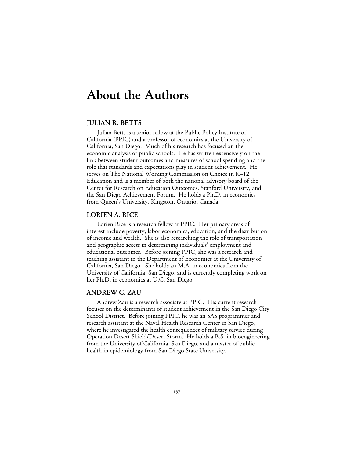# **About the Authors**

#### **JULIAN R. BETTS**

Julian Betts is a senior fellow at the Public Policy Institute of California (PPIC) and a professor of economics at the University of California, San Diego. Much of his research has focused on the economic analysis of public schools. He has written extensively on the link between student outcomes and measures of school spending and the role that standards and expectations play in student achievement. He serves on The National Working Commission on Choice in K–12 Education and is a member of both the national advisory board of the Center for Research on Education Outcomes, Stanford University, and the San Diego Achievement Forum. He holds a Ph.D. in economics from Queen's University, Kingston, Ontario, Canada.

#### **LORIEN A. RICE**

Lorien Rice is a research fellow at PPIC. Her primary areas of interest include poverty, labor economics, education, and the distribution of income and wealth. She is also researching the role of transportation and geographic access in determining individuals' employment and educational outcomes. Before joining PPIC, she was a research and teaching assistant in the Department of Economics at the University of California, San Diego. She holds an M.A. in economics from the University of California, San Diego, and is currently completing work on her Ph.D. in economics at U.C. San Diego.

#### **ANDREW C. ZAU**

Andrew Zau is a research associate at PPIC. His current research focuses on the determinants of student achievement in the San Diego City School District. Before joining PPIC, he was an SAS programmer and research assistant at the Naval Health Research Center in San Diego, where he investigated the health consequences of military service during Operation Desert Shield/Desert Storm. He holds a B.S. in bioengineering from the University of California, San Diego, and a master of public health in epidemiology from San Diego State University.